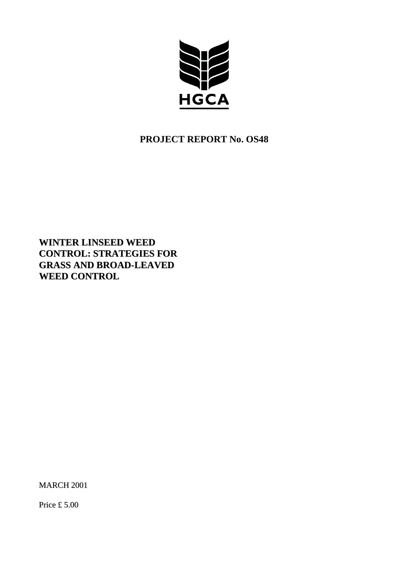

# **PROJECT REPORT No. OS48**

**WINTER LINSEED WEED CONTROL: STRATEGIES FOR GRASS AND BROAD-LEAVED WEED CONTROL**

MARCH 2001

Price £ 5.00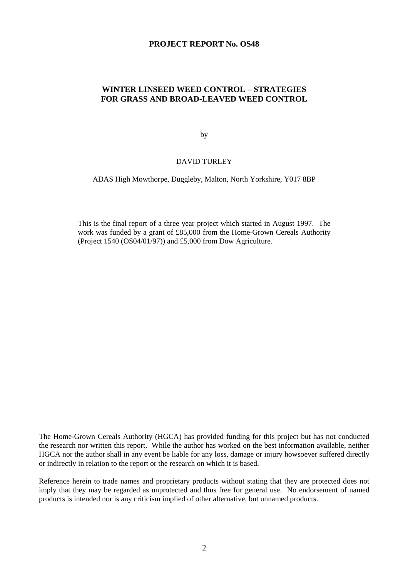### **PROJECT REPORT No. OS48**

## **WINTER LINSEED WEED CONTROL – STRATEGIES FOR GRASS AND BROAD-LEAVED WEED CONTROL**

by

### DAVID TURLEY

ADAS High Mowthorpe, Duggleby, Malton, North Yorkshire, Y017 8BP

This is the final report of a three year project which started in August 1997. The work was funded by a grant of £85,000 from the Home-Grown Cereals Authority (Project 1540 (OS04/01/97)) and £5,000 from Dow Agriculture.

The Home-Grown Cereals Authority (HGCA) has provided funding for this project but has not conducted the research nor written this report. While the author has worked on the best information available, neither HGCA nor the author shall in any event be liable for any loss, damage or injury howsoever suffered directly or indirectly in relation to the report or the research on which it is based.

Reference herein to trade names and proprietary products without stating that they are protected does not imply that they may be regarded as unprotected and thus free for general use. No endorsement of named products is intended nor is any criticism implied of other alternative, but unnamed products.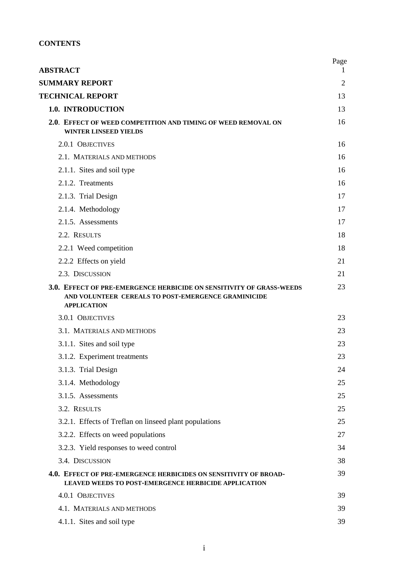## **CONTENTS**

| <b>ABSTRACT</b>                                                                                                                                   | Page<br>$\bf{l}$ |
|---------------------------------------------------------------------------------------------------------------------------------------------------|------------------|
| <b>SUMMARY REPORT</b>                                                                                                                             | $\overline{2}$   |
| <b>TECHNICAL REPORT</b>                                                                                                                           | 13               |
| 1.0. INTRODUCTION                                                                                                                                 | 13               |
| 2.0. EFFECT OF WEED COMPETITION AND TIMING OF WEED REMOVAL ON<br><b>WINTER LINSEED YIELDS</b>                                                     | 16               |
| 2.0.1 OBJECTIVES                                                                                                                                  | 16               |
| 2.1. MATERIALS AND METHODS                                                                                                                        | 16               |
| 2.1.1. Sites and soil type                                                                                                                        | 16               |
| 2.1.2. Treatments                                                                                                                                 | 16               |
| 2.1.3. Trial Design                                                                                                                               | 17               |
| 2.1.4. Methodology                                                                                                                                | 17               |
| 2.1.5. Assessments                                                                                                                                | 17               |
| 2.2. RESULTS                                                                                                                                      | 18               |
| 2.2.1 Weed competition                                                                                                                            | 18               |
| 2.2.2 Effects on yield                                                                                                                            | 21               |
| 2.3. DISCUSSION                                                                                                                                   | 21               |
| 3.0. EFFECT OF PRE-EMERGENCE HERBICIDE ON SENSITIVITY OF GRASS-WEEDS<br>AND VOLUNTEER CEREALS TO POST-EMERGENCE GRAMINICIDE<br><b>APPLICATION</b> | 23               |
| 3.0.1 OBJECTIVES                                                                                                                                  | 23               |
| 3.1. MATERIALS AND METHODS                                                                                                                        | 23               |
| 3.1.1. Sites and soil type                                                                                                                        | 23               |
| 3.1.2. Experiment treatments                                                                                                                      | 23               |
| 3.1.3. Trial Design                                                                                                                               | 24               |
| 3.1.4. Methodology                                                                                                                                | 25               |
| 3.1.5. Assessments                                                                                                                                | 25               |
| 3.2. RESULTS                                                                                                                                      | 25               |
| 3.2.1. Effects of Treflan on linseed plant populations                                                                                            | 25               |
| 3.2.2. Effects on weed populations                                                                                                                | 27               |
| 3.2.3. Yield responses to weed control                                                                                                            | 34               |
| 3.4. DISCUSSION                                                                                                                                   | 38               |
| 4.0. EFFECT OF PRE-EMERGENCE HERBICIDES ON SENSITIVITY OF BROAD-<br><b>LEAVED WEEDS TO POST-EMERGENCE HERBICIDE APPLICATION</b>                   | 39               |
| 4.0.1 OBJECTIVES                                                                                                                                  | 39               |
| 4.1. MATERIALS AND METHODS                                                                                                                        | 39               |
| 4.1.1. Sites and soil type                                                                                                                        | 39               |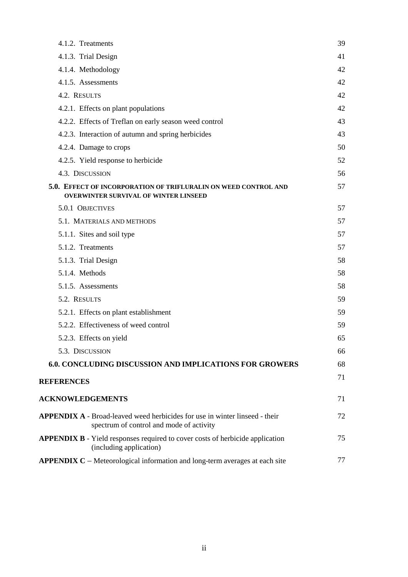| 4.1.2. Treatments                                                                                                              | 39 |
|--------------------------------------------------------------------------------------------------------------------------------|----|
| 4.1.3. Trial Design                                                                                                            | 41 |
| 4.1.4. Methodology                                                                                                             | 42 |
| 4.1.5. Assessments                                                                                                             | 42 |
| 4.2. RESULTS                                                                                                                   | 42 |
| 4.2.1. Effects on plant populations                                                                                            | 42 |
| 4.2.2. Effects of Treflan on early season weed control                                                                         | 43 |
| 4.2.3. Interaction of autumn and spring herbicides                                                                             | 43 |
| 4.2.4. Damage to crops                                                                                                         | 50 |
| 4.2.5. Yield response to herbicide                                                                                             | 52 |
| 4.3. DISCUSSION                                                                                                                | 56 |
| 5.0. EFFECT OF INCORPORATION OF TRIFLURALIN ON WEED CONTROL AND<br><b>OVERWINTER SURVIVAL OF WINTER LINSEED</b>                | 57 |
| 5.0.1 OBJECTIVES                                                                                                               | 57 |
| 5.1. MATERIALS AND METHODS                                                                                                     | 57 |
| 5.1.1. Sites and soil type                                                                                                     | 57 |
| 5.1.2. Treatments                                                                                                              | 57 |
| 5.1.3. Trial Design                                                                                                            | 58 |
| 5.1.4. Methods                                                                                                                 | 58 |
| 5.1.5. Assessments                                                                                                             | 58 |
| 5.2. RESULTS                                                                                                                   | 59 |
| 5.2.1. Effects on plant establishment                                                                                          | 59 |
| 5.2.2. Effectiveness of weed control                                                                                           | 59 |
| 5.2.3. Effects on yield                                                                                                        | 65 |
| 5.3. DISCUSSION                                                                                                                | 66 |
| <b>6.0. CONCLUDING DISCUSSION AND IMPLICATIONS FOR GROWERS</b>                                                                 | 68 |
| <b>REFERENCES</b>                                                                                                              | 71 |
| <b>ACKNOWLEDGEMENTS</b>                                                                                                        | 71 |
| <b>APPENDIX A</b> - Broad-leaved weed herbicides for use in winter linseed - their<br>spectrum of control and mode of activity | 72 |
| APPENDIX B - Yield responses required to cover costs of herbicide application<br>(including application)                       | 75 |
| <b>APPENDIX C</b> – Meteorological information and long-term averages at each site                                             | 77 |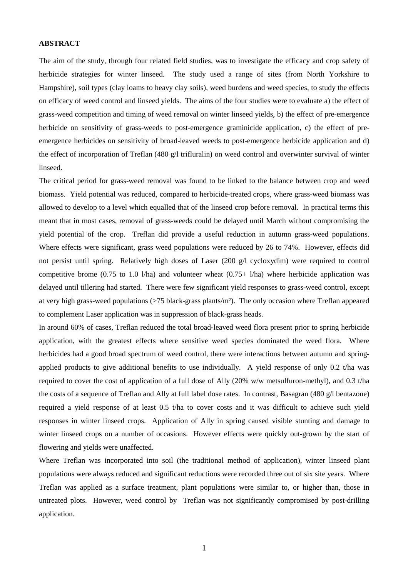### **ABSTRACT**

The aim of the study, through four related field studies, was to investigate the efficacy and crop safety of herbicide strategies for winter linseed. The study used a range of sites (from North Yorkshire to Hampshire), soil types (clay loams to heavy clay soils), weed burdens and weed species, to study the effects on efficacy of weed control and linseed yields. The aims of the four studies were to evaluate a) the effect of grass-weed competition and timing of weed removal on winter linseed yields, b) the effect of pre-emergence herbicide on sensitivity of grass-weeds to post-emergence graminicide application, c) the effect of preemergence herbicides on sensitivity of broad-leaved weeds to post-emergence herbicide application and d) the effect of incorporation of Treflan (480 g/l trifluralin) on weed control and overwinter survival of winter linseed.

The critical period for grass-weed removal was found to be linked to the balance between crop and weed biomass. Yield potential was reduced, compared to herbicide-treated crops, where grass-weed biomass was allowed to develop to a level which equalled that of the linseed crop before removal. In practical terms this meant that in most cases, removal of grass-weeds could be delayed until March without compromising the yield potential of the crop. Treflan did provide a useful reduction in autumn grass-weed populations. Where effects were significant, grass weed populations were reduced by 26 to 74%. However, effects did not persist until spring. Relatively high doses of Laser (200 g/l cycloxydim) were required to control competitive brome (0.75 to 1.0 l/ha) and volunteer wheat  $(0.75+ 1/ha)$  where herbicide application was delayed until tillering had started. There were few significant yield responses to grass-weed control, except at very high grass-weed populations (>75 black-grass plants/m²). The only occasion where Treflan appeared to complement Laser application was in suppression of black-grass heads.

In around 60% of cases, Treflan reduced the total broad-leaved weed flora present prior to spring herbicide application, with the greatest effects where sensitive weed species dominated the weed flora. Where herbicides had a good broad spectrum of weed control, there were interactions between autumn and springapplied products to give additional benefits to use individually. A yield response of only 0.2 t/ha was required to cover the cost of application of a full dose of Ally (20% w/w metsulfuron-methyl), and 0.3 t/ha the costs of a sequence of Treflan and Ally at full label dose rates. In contrast, Basagran (480 g/l bentazone) required a yield response of at least 0.5 t/ha to cover costs and it was difficult to achieve such yield responses in winter linseed crops. Application of Ally in spring caused visible stunting and damage to winter linseed crops on a number of occasions. However effects were quickly out-grown by the start of flowering and yields were unaffected.

Where Treflan was incorporated into soil (the traditional method of application), winter linseed plant populations were always reduced and significant reductions were recorded three out of six site years. Where Treflan was applied as a surface treatment, plant populations were similar to, or higher than, those in untreated plots. However, weed control by Treflan was not significantly compromised by post-drilling application.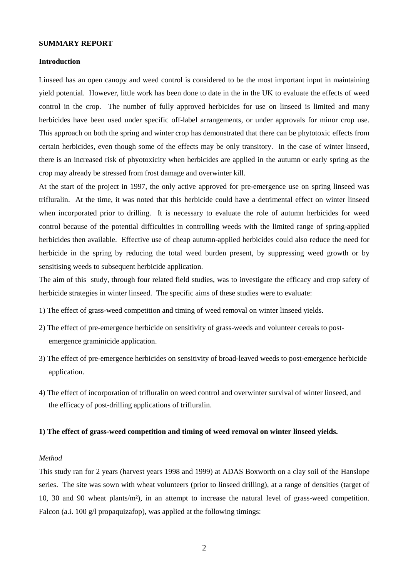### **SUMMARY REPORT**

### **Introduction**

Linseed has an open canopy and weed control is considered to be the most important input in maintaining yield potential. However, little work has been done to date in the in the UK to evaluate the effects of weed control in the crop. The number of fully approved herbicides for use on linseed is limited and many herbicides have been used under specific off-label arrangements, or under approvals for minor crop use. This approach on both the spring and winter crop has demonstrated that there can be phytotoxic effects from certain herbicides, even though some of the effects may be only transitory. In the case of winter linseed, there is an increased risk of phyotoxicity when herbicides are applied in the autumn or early spring as the crop may already be stressed from frost damage and overwinter kill.

At the start of the project in 1997, the only active approved for pre-emergence use on spring linseed was trifluralin. At the time, it was noted that this herbicide could have a detrimental effect on winter linseed when incorporated prior to drilling. It is necessary to evaluate the role of autumn herbicides for weed control because of the potential difficulties in controlling weeds with the limited range of spring-applied herbicides then available. Effective use of cheap autumn-applied herbicides could also reduce the need for herbicide in the spring by reducing the total weed burden present, by suppressing weed growth or by sensitising weeds to subsequent herbicide application.

The aim of this study, through four related field studies, was to investigate the efficacy and crop safety of herbicide strategies in winter linseed. The specific aims of these studies were to evaluate:

- 1) The effect of grass-weed competition and timing of weed removal on winter linseed yields.
- 2) The effect of pre-emergence herbicide on sensitivity of grass-weeds and volunteer cereals to postemergence graminicide application.
- 3) The effect of pre-emergence herbicides on sensitivity of broad-leaved weeds to post-emergence herbicide application.
- 4) The effect of incorporation of trifluralin on weed control and overwinter survival of winter linseed, and the efficacy of post-drilling applications of trifluralin.

### **1) The effect of grass-weed competition and timing of weed removal on winter linseed yields.**

#### *Method*

This study ran for 2 years (harvest years 1998 and 1999) at ADAS Boxworth on a clay soil of the Hanslope series. The site was sown with wheat volunteers (prior to linseed drilling), at a range of densities (target of 10, 30 and 90 wheat plants/m²), in an attempt to increase the natural level of grass-weed competition. Falcon (a.i. 100 g/l propaquizafop), was applied at the following timings: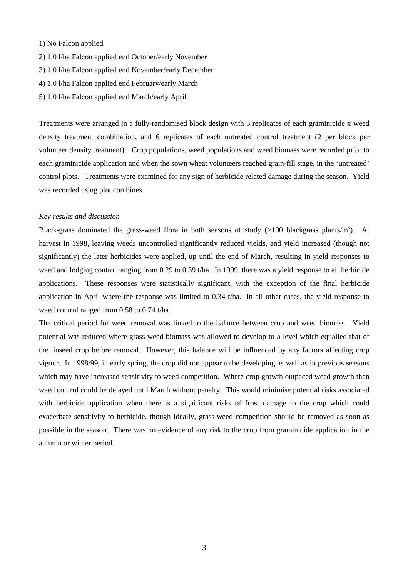### 1) No Falcon applied

- 2) 1.0 l/ha Falcon applied end October/early November
- 3) 1.0 l/ha Falcon applied end November/early December
- 4) 1.0 l/ha Falcon applied end February/early March
- 5) 1.0 l/ha Falcon applied end March/early April

Treatments were arranged in a fully-randomised block design with 3 replicates of each graminicide x weed density treatment combination, and 6 replicates of each untreated control treatment (2 per block per volunteer density treatment). Crop populations, weed populations and weed biomass were recorded prior to each graminicide application and when the sown wheat volunteers reached grain-fill stage, in the 'untreated' control plots. Treatments were examined for any sign of herbicide related damage during the season. Yield was recorded using plot combines.

### *Key results and discussion*

Black-grass dominated the grass-weed flora in both seasons of study  $(>100)$  blackgrass plants/m<sup>2</sup>). At harvest in 1998, leaving weeds uncontrolled significantly reduced yields, and yield increased (though not significantly) the later herbicides were applied, up until the end of March, resulting in yield responses to weed and lodging control ranging from 0.29 to 0.39 t/ha. In 1999, there was a yield response to all herbicide applications. These responses were statistically significant, with the exception of the final herbicide application in April where the response was limited to 0.34 t/ha. In all other cases, the yield response to weed control ranged from 0.58 to 0.74 t/ha.

The critical period for weed removal was linked to the balance between crop and weed biomass. Yield potential was reduced where grass-weed biomass was allowed to develop to a level which equalled that of the linseed crop before removal. However, this balance will be influenced by any factors affecting crop vigour. In 1998/99, in early spring, the crop did not appear to be developing as well as in previous seasons which may have increased sensitivity to weed competition. Where crop growth outpaced weed growth then weed control could be delayed until March without penalty. This would minimise potential risks associated with herbicide application when there is a significant risks of frost damage to the crop which could exacerbate sensitivity to herbicide, though ideally, grass-weed competition should be removed as soon as possible in the season. There was no evidence of any risk to the crop from graminicide application in the autumn or winter period.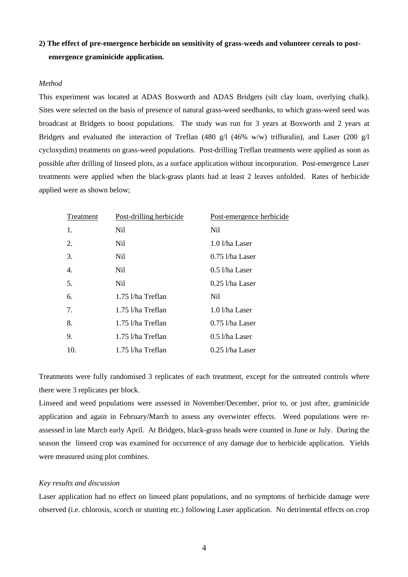## **2) The effect of pre-emergence herbicide on sensitivity of grass-weeds and volunteer cereals to postemergence graminicide application.**

### *Method*

This experiment was located at ADAS Boxworth and ADAS Bridgets (silt clay loam, overlying chalk). Sites were selected on the basis of presence of natural grass-weed seedbanks, to which grass-weed seed was broadcast at Bridgets to boost populations. The study was run for 3 years at Boxworth and 2 years at Bridgets and evaluated the interaction of Treflan (480 g/l (46% w/w) trifluralin), and Laser (200 g/l cycloxydim) treatments on grass-weed populations. Post-drilling Treflan treatments were applied as soon as possible after drilling of linseed plots, as a surface application without incorporation. Post-emergence Laser treatments were applied when the black-grass plants had at least 2 leaves unfolded. Rates of herbicide applied were as shown below;

| Treatment | Post-drilling herbicide | Post-emergence herbicide |
|-----------|-------------------------|--------------------------|
| 1.        | Nil                     | Nil                      |
| 2.        | Nil                     | 1.0 l/ha Laser           |
| 3.        | Nil.                    | $0.75$ l/ha Laser        |
| 4.        | Nil.                    | $0.5$ l/ha Laser         |
| 5.        | Nil                     | $0.25$ l/ha Laser        |
| 6.        | 1.75 l/ha Treflan       | Nil.                     |
| 7.        | 1.75 l/ha Treflan       | 1.0 l/ha Laser           |
| 8.        | 1.75 l/ha Treflan       | $0.75$ l/ha Laser        |
| 9.        | 1.75 l/ha Treflan       | $0.5$ l/ha Laser         |
| 10.       | 1.75 l/ha Treflan       | $0.25$ l/ha Laser        |

Treatments were fully randomised 3 replicates of each treatment, except for the untreated controls where there were 3 replicates per block.

Linseed and weed populations were assessed in November/December, prior to, or just after, graminicide application and again in February/March to assess any overwinter effects. Weed populations were reassessed in late March early April. At Bridgets, black-grass heads were counted in June or July. During the season the linseed crop was examined for occurrence of any damage due to herbicide application. Yields were measured using plot combines.

## *Key results and discussion*

Laser application had no effect on linseed plant populations, and no symptoms of herbicide damage were observed (i.e. chlorosis, scorch or stunting etc.) following Laser application. No detrimental effects on crop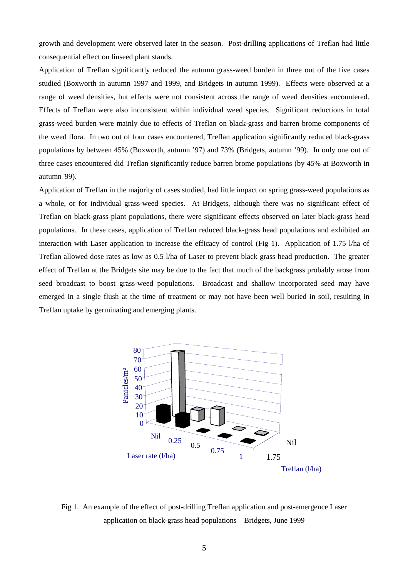growth and development were observed later in the season. Post-drilling applications of Treflan had little consequential effect on linseed plant stands.

Application of Treflan significantly reduced the autumn grass-weed burden in three out of the five cases studied (Boxworth in autumn 1997 and 1999, and Bridgets in autumn 1999). Effects were observed at a range of weed densities, but effects were not consistent across the range of weed densities encountered. Effects of Treflan were also inconsistent within individual weed species. Significant reductions in total grass-weed burden were mainly due to effects of Treflan on black-grass and barren brome components of the weed flora. In two out of four cases encountered, Treflan application significantly reduced black-grass populations by between 45% (Boxworth, autumn '97) and 73% (Bridgets, autumn '99). In only one out of three cases encountered did Treflan significantly reduce barren brome populations (by 45% at Boxworth in autumn '99).

Application of Treflan in the majority of cases studied, had little impact on spring grass-weed populations as a whole, or for individual grass-weed species. At Bridgets, although there was no significant effect of Treflan on black-grass plant populations, there were significant effects observed on later black-grass head populations. In these cases, application of Treflan reduced black-grass head populations and exhibited an interaction with Laser application to increase the efficacy of control (Fig 1). Application of 1.75 l/ha of Treflan allowed dose rates as low as 0.5 l/ha of Laser to prevent black grass head production. The greater effect of Treflan at the Bridgets site may be due to the fact that much of the backgrass probably arose from seed broadcast to boost grass-weed populations. Broadcast and shallow incorporated seed may have emerged in a single flush at the time of treatment or may not have been well buried in soil, resulting in Treflan uptake by germinating and emerging plants.



Fig 1. An example of the effect of post-drilling Treflan application and post-emergence Laser application on black-grass head populations – Bridgets, June 1999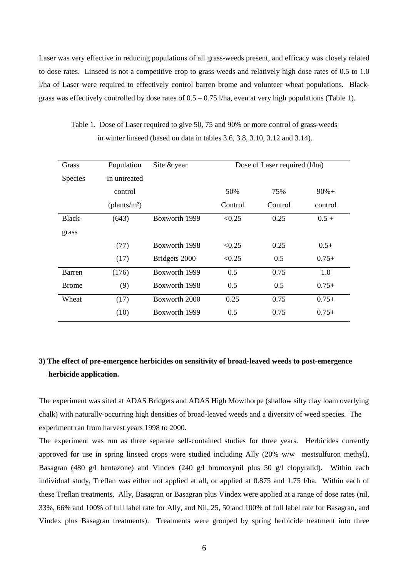Laser was very effective in reducing populations of all grass-weeds present, and efficacy was closely related to dose rates. Linseed is not a competitive crop to grass-weeds and relatively high dose rates of 0.5 to 1.0 l/ha of Laser were required to effectively control barren brome and volunteer wheat populations. Blackgrass was effectively controlled by dose rates of  $0.5 - 0.75$  l/ha, even at very high populations (Table 1).

| Grass          | Population               | Site & year   | Dose of Laser required (l/ha) |         |         |  |
|----------------|--------------------------|---------------|-------------------------------|---------|---------|--|
| <b>Species</b> | In untreated             |               |                               |         |         |  |
|                | control                  |               | 50%                           | 75%     | $90%+$  |  |
|                | (plants/m <sup>2</sup> ) |               | Control                       | Control | control |  |
| Black-         | (643)                    | Boxworth 1999 | < 0.25                        | 0.25    | $0.5 +$ |  |
| grass          |                          |               |                               |         |         |  |
|                | (77)                     | Boxworth 1998 | < 0.25                        | 0.25    | $0.5+$  |  |
|                | (17)                     | Bridgets 2000 | < 0.25                        | 0.5     | $0.75+$ |  |
| Barren         | (176)                    | Boxworth 1999 | 0.5                           | 0.75    | 1.0     |  |
| Brome          | (9)                      | Boxworth 1998 | 0.5                           | 0.5     | $0.75+$ |  |
| Wheat          | (17)                     | Boxworth 2000 | 0.25                          | 0.75    | $0.75+$ |  |
|                | (10)                     | Boxworth 1999 | 0.5                           | 0.75    | $0.75+$ |  |

Table 1. Dose of Laser required to give 50, 75 and 90% or more control of grass-weeds in winter linseed (based on data in tables 3.6, 3.8, 3.10, 3.12 and 3.14).

## **3) The effect of pre-emergence herbicides on sensitivity of broad-leaved weeds to post-emergence herbicide application.**

The experiment was sited at ADAS Bridgets and ADAS High Mowthorpe (shallow silty clay loam overlying chalk) with naturally-occurring high densities of broad-leaved weeds and a diversity of weed species. The experiment ran from harvest years 1998 to 2000.

The experiment was run as three separate self-contained studies for three years. Herbicides currently approved for use in spring linseed crops were studied including Ally (20% w/w mestsulfuron methyl), Basagran (480 g/l bentazone) and Vindex (240 g/l bromoxynil plus 50 g/l clopyralid). Within each individual study, Treflan was either not applied at all, or applied at 0.875 and 1.75 l/ha. Within each of these Treflan treatments, Ally, Basagran or Basagran plus Vindex were applied at a range of dose rates (nil, 33%, 66% and 100% of full label rate for Ally, and Nil, 25, 50 and 100% of full label rate for Basagran, and Vindex plus Basagran treatments). Treatments were grouped by spring herbicide treatment into three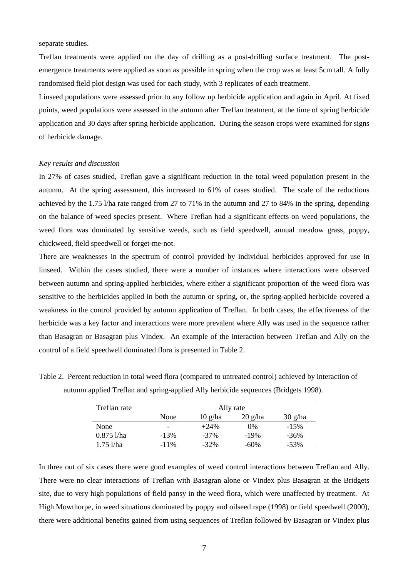separate studies.

Treflan treatments were applied on the day of drilling as a post-drilling surface treatment. The postemergence treatments were applied as soon as possible in spring when the crop was at least 5cm tall. A fully randomised field plot design was used for each study, with 3 replicates of each treatment.

Linseed populations were assessed prior to any follow up herbicide application and again in April. At fixed points, weed populations were assessed in the autumn after Treflan treatment, at the time of spring herbicide application and 30 days after spring herbicide application. During the season crops were examined for signs of herbicide damage.

### *Key results and discussion*

In 27% of cases studied, Treflan gave a significant reduction in the total weed population present in the autumn. At the spring assessment, this increased to 61% of cases studied. The scale of the reductions achieved by the 1.75 l/ha rate ranged from 27 to 71% in the autumn and 27 to 84% in the spring, depending on the balance of weed species present. Where Treflan had a significant effects on weed populations, the weed flora was dominated by sensitive weeds, such as field speedwell, annual meadow grass, poppy, chickweed, field speedwell or forget-me-not.

There are weaknesses in the spectrum of control provided by individual herbicides approved for use in linseed. Within the cases studied, there were a number of instances where interactions were observed between autumn and spring-applied herbicides, where either a significant proportion of the weed flora was sensitive to the herbicides applied in both the autumn or spring, or, the spring-applied herbicide covered a weakness in the control provided by autumn application of Treflan. In both cases, the effectiveness of the herbicide was a key factor and interactions were more prevalent where Ally was used in the sequence rather than Basagran or Basagran plus Vindex. An example of the interaction between Treflan and Ally on the control of a field speedwell dominated flora is presented in Table 2.

| Treflan rate | Ally rate |                                |                                  |                   |  |  |
|--------------|-----------|--------------------------------|----------------------------------|-------------------|--|--|
|              | None      | $10 \frac{\text{g}}{\text{h}}$ | $20 \frac{\text{g}}{\text{h}}$ a | $30 \frac{g}{ha}$ |  |  |
| None         | -         | $+24\%$                        | 0%                               | $-15%$            |  |  |
| $0.875$ 1/ha | $-13%$    | $-37\%$                        | $-19%$                           | $-36%$            |  |  |
| $1.75$ l/ha  | $-11\%$   | $-32\%$                        | $-60%$                           | $-53%$            |  |  |

Table 2. Percent reduction in total weed flora (compared to untreated control) achieved by interaction of autumn applied Treflan and spring-applied Ally herbicide sequences (Bridgets 1998).

In three out of six cases there were good examples of weed control interactions between Treflan and Ally. There were no clear interactions of Treflan with Basagran alone or Vindex plus Basagran at the Bridgets site, due to very high populations of field pansy in the weed flora, which were unaffected by treatment. At High Mowthorpe, in weed situations dominated by poppy and oilseed rape (1998) or field speedwell (2000), there were additional benefits gained from using sequences of Treflan followed by Basagran or Vindex plus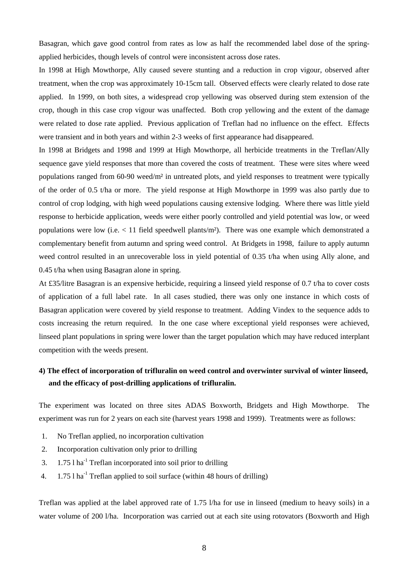Basagran, which gave good control from rates as low as half the recommended label dose of the springapplied herbicides, though levels of control were inconsistent across dose rates.

In 1998 at High Mowthorpe, Ally caused severe stunting and a reduction in crop vigour, observed after treatment, when the crop was approximately 10-15cm tall. Observed effects were clearly related to dose rate applied. In 1999, on both sites, a widespread crop yellowing was observed during stem extension of the crop, though in this case crop vigour was unaffected. Both crop yellowing and the extent of the damage were related to dose rate applied. Previous application of Treflan had no influence on the effect. Effects were transient and in both years and within 2-3 weeks of first appearance had disappeared.

In 1998 at Bridgets and 1998 and 1999 at High Mowthorpe, all herbicide treatments in the Treflan/Ally sequence gave yield responses that more than covered the costs of treatment. These were sites where weed populations ranged from 60-90 weed/m² in untreated plots, and yield responses to treatment were typically of the order of 0.5 t/ha or more. The yield response at High Mowthorpe in 1999 was also partly due to control of crop lodging, with high weed populations causing extensive lodging. Where there was little yield response to herbicide application, weeds were either poorly controlled and yield potential was low, or weed populations were low (i.e.  $< 11$  field speedwell plants/m<sup>2</sup>). There was one example which demonstrated a complementary benefit from autumn and spring weed control. At Bridgets in 1998, failure to apply autumn weed control resulted in an unrecoverable loss in yield potential of 0.35 t/ha when using Ally alone, and 0.45 t/ha when using Basagran alone in spring.

At £35/litre Basagran is an expensive herbicide, requiring a linseed yield response of 0.7 t/ha to cover costs of application of a full label rate. In all cases studied, there was only one instance in which costs of Basagran application were covered by yield response to treatment. Adding Vindex to the sequence adds to costs increasing the return required. In the one case where exceptional yield responses were achieved, linseed plant populations in spring were lower than the target population which may have reduced interplant competition with the weeds present.

## **4) The effect of incorporation of trifluralin on weed control and overwinter survival of winter linseed, and the efficacy of post-drilling applications of trifluralin.**

The experiment was located on three sites ADAS Boxworth, Bridgets and High Mowthorpe. The experiment was run for 2 years on each site (harvest years 1998 and 1999). Treatments were as follows:

- 1. No Treflan applied, no incorporation cultivation
- 2. Incorporation cultivation only prior to drilling
- 3.  $1.75$  l ha<sup>-1</sup> Treflan incorporated into soil prior to drilling
- 4.  $1.75$  l ha<sup>-1</sup> Treflan applied to soil surface (within 48 hours of drilling)

Treflan was applied at the label approved rate of 1.75 l/ha for use in linseed (medium to heavy soils) in a water volume of 200 l/ha. Incorporation was carried out at each site using rotovators (Boxworth and High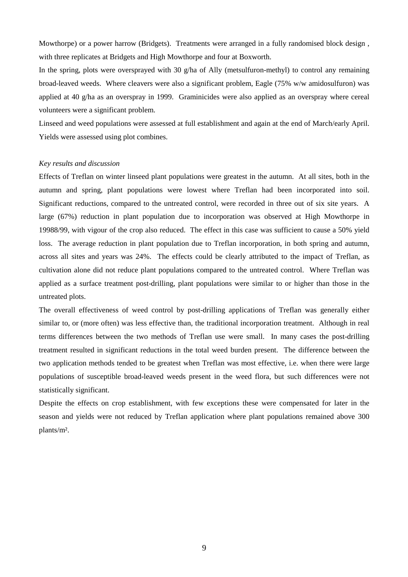Mowthorpe) or a power harrow (Bridgets). Treatments were arranged in a fully randomised block design , with three replicates at Bridgets and High Mowthorpe and four at Boxworth.

In the spring, plots were oversprayed with 30 g/ha of Ally (metsulfuron-methyl) to control any remaining broad-leaved weeds. Where cleavers were also a significant problem, Eagle (75% w/w amidosulfuron) was applied at 40 g/ha as an overspray in 1999. Graminicides were also applied as an overspray where cereal volunteers were a significant problem.

Linseed and weed populations were assessed at full establishment and again at the end of March/early April. Yields were assessed using plot combines.

### *Key results and discussion*

Effects of Treflan on winter linseed plant populations were greatest in the autumn. At all sites, both in the autumn and spring, plant populations were lowest where Treflan had been incorporated into soil. Significant reductions, compared to the untreated control, were recorded in three out of six site years. A large (67%) reduction in plant population due to incorporation was observed at High Mowthorpe in 19988/99, with vigour of the crop also reduced. The effect in this case was sufficient to cause a 50% yield loss. The average reduction in plant population due to Treflan incorporation, in both spring and autumn, across all sites and years was 24%. The effects could be clearly attributed to the impact of Treflan, as cultivation alone did not reduce plant populations compared to the untreated control. Where Treflan was applied as a surface treatment post-drilling, plant populations were similar to or higher than those in the untreated plots.

The overall effectiveness of weed control by post-drilling applications of Treflan was generally either similar to, or (more often) was less effective than, the traditional incorporation treatment. Although in real terms differences between the two methods of Treflan use were small. In many cases the post-drilling treatment resulted in significant reductions in the total weed burden present. The difference between the two application methods tended to be greatest when Treflan was most effective, i.e. when there were large populations of susceptible broad-leaved weeds present in the weed flora, but such differences were not statistically significant.

Despite the effects on crop establishment, with few exceptions these were compensated for later in the season and yields were not reduced by Treflan application where plant populations remained above 300 plants/m².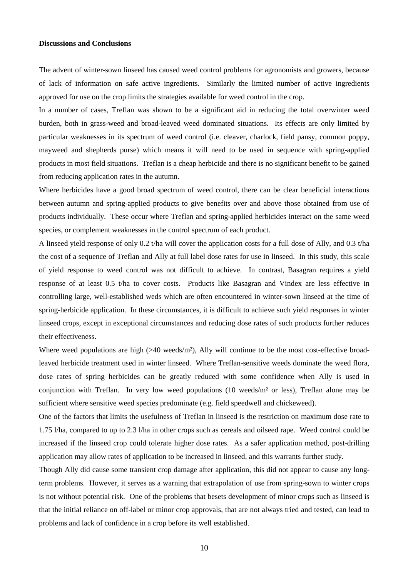### **Discussions and Conclusions**

The advent of winter-sown linseed has caused weed control problems for agronomists and growers, because of lack of information on safe active ingredients. Similarly the limited number of active ingredients approved for use on the crop limits the strategies available for weed control in the crop.

In a number of cases, Treflan was shown to be a significant aid in reducing the total overwinter weed burden, both in grass-weed and broad-leaved weed dominated situations. Its effects are only limited by particular weaknesses in its spectrum of weed control (i.e. cleaver, charlock, field pansy, common poppy, mayweed and shepherds purse) which means it will need to be used in sequence with spring-applied products in most field situations. Treflan is a cheap herbicide and there is no significant benefit to be gained from reducing application rates in the autumn.

Where herbicides have a good broad spectrum of weed control, there can be clear beneficial interactions between autumn and spring-applied products to give benefits over and above those obtained from use of products individually. These occur where Treflan and spring-applied herbicides interact on the same weed species, or complement weaknesses in the control spectrum of each product.

A linseed yield response of only 0.2 t/ha will cover the application costs for a full dose of Ally, and 0.3 t/ha the cost of a sequence of Treflan and Ally at full label dose rates for use in linseed. In this study, this scale of yield response to weed control was not difficult to achieve. In contrast, Basagran requires a yield response of at least 0.5 t/ha to cover costs. Products like Basagran and Vindex are less effective in controlling large, well-established weds which are often encountered in winter-sown linseed at the time of spring-herbicide application. In these circumstances, it is difficult to achieve such yield responses in winter linseed crops, except in exceptional circumstances and reducing dose rates of such products further reduces their effectiveness.

Where weed populations are high  $(>40 \text{ weeds/m}^2)$ , Ally will continue to be the most cost-effective broadleaved herbicide treatment used in winter linseed. Where Treflan-sensitive weeds dominate the weed flora, dose rates of spring herbicides can be greatly reduced with some confidence when Ally is used in conjunction with Treflan. In very low weed populations (10 weeds/m² or less), Treflan alone may be sufficient where sensitive weed species predominate (e.g. field speedwell and chickeweed).

One of the factors that limits the usefulness of Treflan in linseed is the restriction on maximum dose rate to 1.75 l/ha, compared to up to 2.3 l/ha in other crops such as cereals and oilseed rape. Weed control could be increased if the linseed crop could tolerate higher dose rates. As a safer application method, post-drilling application may allow rates of application to be increased in linseed, and this warrants further study.

Though Ally did cause some transient crop damage after application, this did not appear to cause any longterm problems. However, it serves as a warning that extrapolation of use from spring-sown to winter crops is not without potential risk. One of the problems that besets development of minor crops such as linseed is that the initial reliance on off-label or minor crop approvals, that are not always tried and tested, can lead to problems and lack of confidence in a crop before its well established.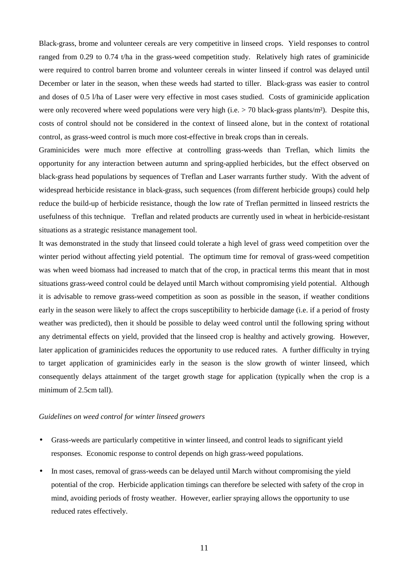Black-grass, brome and volunteer cereals are very competitive in linseed crops. Yield responses to control ranged from 0.29 to 0.74 t/ha in the grass-weed competition study. Relatively high rates of graminicide were required to control barren brome and volunteer cereals in winter linseed if control was delayed until December or later in the season, when these weeds had started to tiller. Black-grass was easier to control and doses of 0.5 l/ha of Laser were very effective in most cases studied. Costs of graminicide application were only recovered where weed populations were very high (i.e.  $>$  70 black-grass plants/m<sup>2</sup>). Despite this, costs of control should not be considered in the context of linseed alone, but in the context of rotational control, as grass-weed control is much more cost-effective in break crops than in cereals.

Graminicides were much more effective at controlling grass-weeds than Treflan, which limits the opportunity for any interaction between autumn and spring-applied herbicides, but the effect observed on black-grass head populations by sequences of Treflan and Laser warrants further study. With the advent of widespread herbicide resistance in black-grass, such sequences (from different herbicide groups) could help reduce the build-up of herbicide resistance, though the low rate of Treflan permitted in linseed restricts the usefulness of this technique. Treflan and related products are currently used in wheat in herbicide-resistant situations as a strategic resistance management tool.

It was demonstrated in the study that linseed could tolerate a high level of grass weed competition over the winter period without affecting yield potential. The optimum time for removal of grass-weed competition was when weed biomass had increased to match that of the crop, in practical terms this meant that in most situations grass-weed control could be delayed until March without compromising yield potential. Although it is advisable to remove grass-weed competition as soon as possible in the season, if weather conditions early in the season were likely to affect the crops susceptibility to herbicide damage (i.e. if a period of frosty weather was predicted), then it should be possible to delay weed control until the following spring without any detrimental effects on yield, provided that the linseed crop is healthy and actively growing. However, later application of graminicides reduces the opportunity to use reduced rates. A further difficulty in trying to target application of graminicides early in the season is the slow growth of winter linseed, which consequently delays attainment of the target growth stage for application (typically when the crop is a minimum of 2.5cm tall).

### *Guidelines on weed control for winter linseed growers*

- Grass-weeds are particularly competitive in winter linseed, and control leads to significant yield responses. Economic response to control depends on high grass-weed populations.
- In most cases, removal of grass-weeds can be delayed until March without compromising the yield potential of the crop. Herbicide application timings can therefore be selected with safety of the crop in mind, avoiding periods of frosty weather. However, earlier spraying allows the opportunity to use reduced rates effectively.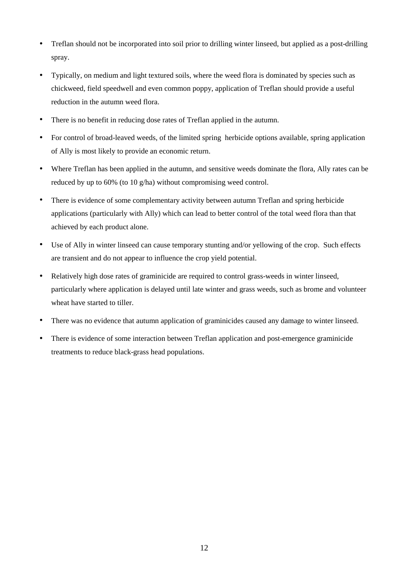- Treflan should not be incorporated into soil prior to drilling winter linseed, but applied as a post-drilling spray.
- Typically, on medium and light textured soils, where the weed flora is dominated by species such as chickweed, field speedwell and even common poppy, application of Treflan should provide a useful reduction in the autumn weed flora.
- There is no benefit in reducing dose rates of Treflan applied in the autumn.
- For control of broad-leaved weeds, of the limited spring herbicide options available, spring application of Ally is most likely to provide an economic return.
- Where Treflan has been applied in the autumn, and sensitive weeds dominate the flora, Ally rates can be reduced by up to 60% (to 10 g/ha) without compromising weed control.
- There is evidence of some complementary activity between autumn Treflan and spring herbicide applications (particularly with Ally) which can lead to better control of the total weed flora than that achieved by each product alone.
- Use of Ally in winter linseed can cause temporary stunting and/or yellowing of the crop. Such effects are transient and do not appear to influence the crop yield potential.
- Relatively high dose rates of graminicide are required to control grass-weeds in winter linseed, particularly where application is delayed until late winter and grass weeds, such as brome and volunteer wheat have started to tiller.
- There was no evidence that autumn application of graminicides caused any damage to winter linseed.
- There is evidence of some interaction between Treflan application and post-emergence graminicide treatments to reduce black-grass head populations.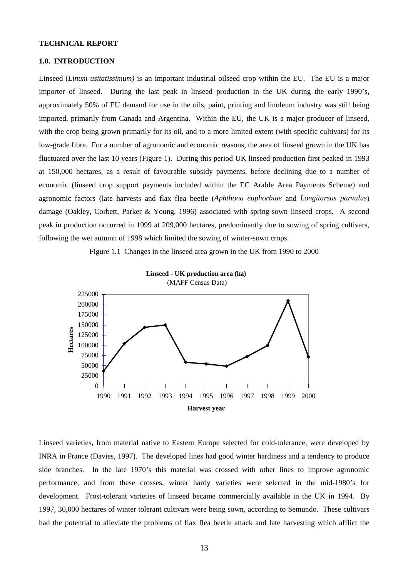#### **TECHNICAL REPORT**

### **1.0. INTRODUCTION**

Linseed (*Linum usitatissimum)* is an important industrial oilseed crop within the EU. The EU is a major importer of linseed. During the last peak in linseed production in the UK during the early 1990's, approximately 50% of EU demand for use in the oils, paint, printing and linoleum industry was still being imported, primarily from Canada and Argentina. Within the EU, the UK is a major producer of linseed, with the crop being grown primarily for its oil, and to a more limited extent (with specific cultivars) for its low-grade fibre. For a number of agronomic and economic reasons, the area of linseed grown in the UK has fluctuated over the last 10 years (Figure 1). During this period UK linseed production first peaked in 1993 at 150,000 hectares, as a result of favourable subsidy payments, before declining due to a number of economic (linseed crop support payments included within the EC Arable Area Payments Scheme) and agronomic factors (late harvests and flax flea beetle (*Aphthona euphorbiae* and *Longitarsus parvulus*) damage (Oakley, Corbett, Parker & Young, 1996) associated with spring-sown linseed crops. A second peak in production occurred in 1999 at 209,000 hectares, predominantly due to sowing of spring cultivars, following the wet autumn of 1998 which limited the sowing of winter-sown crops.

Figure 1.1 Changes in the linseed area grown in the UK from 1990 to 2000



Linseed varieties, from material native to Eastern Europe selected for cold-tolerance, were developed by INRA in France (Davies, 1997). The developed lines had good winter hardiness and a tendency to produce side branches. In the late 1970's this material was crossed with other lines to improve agronomic performance, and from these crosses, winter hardy varieties were selected in the mid-1980's for development. Frost-tolerant varieties of linseed became commercially available in the UK in 1994. By 1997, 30,000 hectares of winter tolerant cultivars were being sown, according to Semundo. These cultivars had the potential to alleviate the problems of flax flea beetle attack and late harvesting which afflict the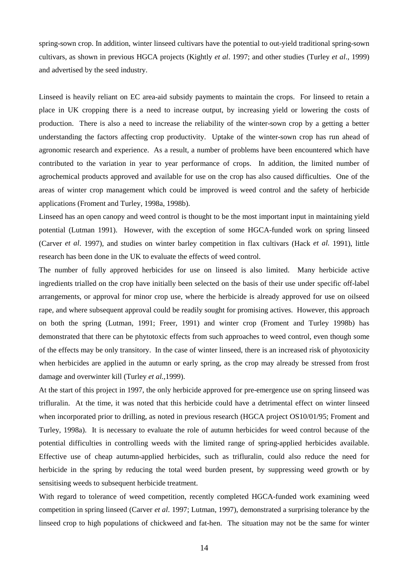spring-sown crop. In addition, winter linseed cultivars have the potential to out-yield traditional spring-sown cultivars, as shown in previous HGCA projects (Kightly *et al*. 1997; and other studies (Turley *et al*., 1999) and advertised by the seed industry.

Linseed is heavily reliant on EC area-aid subsidy payments to maintain the crops. For linseed to retain a place in UK cropping there is a need to increase output, by increasing yield or lowering the costs of production. There is also a need to increase the reliability of the winter-sown crop by a getting a better understanding the factors affecting crop productivity. Uptake of the winter-sown crop has run ahead of agronomic research and experience. As a result, a number of problems have been encountered which have contributed to the variation in year to year performance of crops. In addition, the limited number of agrochemical products approved and available for use on the crop has also caused difficulties. One of the areas of winter crop management which could be improved is weed control and the safety of herbicide applications (Froment and Turley, 1998a, 1998b).

Linseed has an open canopy and weed control is thought to be the most important input in maintaining yield potential (Lutman 1991). However, with the exception of some HGCA-funded work on spring linseed (Carver *et al*. 1997), and studies on winter barley competition in flax cultivars (Hack *et al.* 1991), little research has been done in the UK to evaluate the effects of weed control.

The number of fully approved herbicides for use on linseed is also limited. Many herbicide active ingredients trialled on the crop have initially been selected on the basis of their use under specific off-label arrangements, or approval for minor crop use, where the herbicide is already approved for use on oilseed rape, and where subsequent approval could be readily sought for promising actives. However, this approach on both the spring (Lutman, 1991; Freer, 1991) and winter crop (Froment and Turley 1998b) has demonstrated that there can be phytotoxic effects from such approaches to weed control, even though some of the effects may be only transitory. In the case of winter linseed, there is an increased risk of phyotoxicity when herbicides are applied in the autumn or early spring, as the crop may already be stressed from frost damage and overwinter kill (Turley *et al.,*1999).

At the start of this project in 1997, the only herbicide approved for pre-emergence use on spring linseed was trifluralin. At the time, it was noted that this herbicide could have a detrimental effect on winter linseed when incorporated prior to drilling, as noted in previous research (HGCA project OS10/01/95; Froment and Turley, 1998a). It is necessary to evaluate the role of autumn herbicides for weed control because of the potential difficulties in controlling weeds with the limited range of spring-applied herbicides available. Effective use of cheap autumn-applied herbicides, such as trifluralin, could also reduce the need for herbicide in the spring by reducing the total weed burden present, by suppressing weed growth or by sensitising weeds to subsequent herbicide treatment.

With regard to tolerance of weed competition, recently completed HGCA-funded work examining weed competition in spring linseed (Carver *et al*. 1997; Lutman, 1997), demonstrated a surprising tolerance by the linseed crop to high populations of chickweed and fat-hen. The situation may not be the same for winter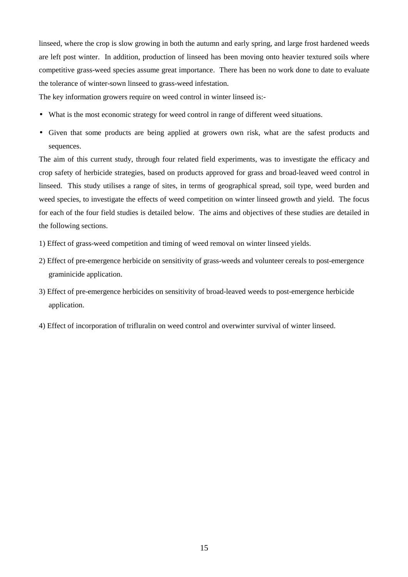linseed, where the crop is slow growing in both the autumn and early spring, and large frost hardened weeds are left post winter. In addition, production of linseed has been moving onto heavier textured soils where competitive grass-weed species assume great importance. There has been no work done to date to evaluate the tolerance of winter-sown linseed to grass-weed infestation.

The key information growers require on weed control in winter linseed is:-

- What is the most economic strategy for weed control in range of different weed situations.
- Given that some products are being applied at growers own risk, what are the safest products and sequences.

The aim of this current study, through four related field experiments, was to investigate the efficacy and crop safety of herbicide strategies, based on products approved for grass and broad-leaved weed control in linseed. This study utilises a range of sites, in terms of geographical spread, soil type, weed burden and weed species, to investigate the effects of weed competition on winter linseed growth and yield. The focus for each of the four field studies is detailed below. The aims and objectives of these studies are detailed in the following sections.

- 1) Effect of grass-weed competition and timing of weed removal on winter linseed yields.
- 2) Effect of pre-emergence herbicide on sensitivity of grass-weeds and volunteer cereals to post-emergence graminicide application.
- 3) Effect of pre-emergence herbicides on sensitivity of broad-leaved weeds to post-emergence herbicide application.
- 4) Effect of incorporation of trifluralin on weed control and overwinter survival of winter linseed.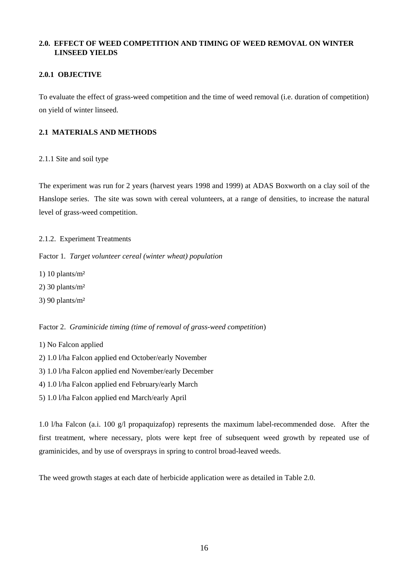## **2.0. EFFECT OF WEED COMPETITION AND TIMING OF WEED REMOVAL ON WINTER LINSEED YIELDS**

## **2.0.1 OBJECTIVE**

To evaluate the effect of grass-weed competition and the time of weed removal (i.e. duration of competition) on yield of winter linseed.

## **2.1 MATERIALS AND METHODS**

2.1.1 Site and soil type

The experiment was run for 2 years (harvest years 1998 and 1999) at ADAS Boxworth on a clay soil of the Hanslope series. The site was sown with cereal volunteers, at a range of densities, to increase the natural level of grass-weed competition.

2.1.2.Experiment Treatments

Factor 1*. Target volunteer cereal (winter wheat) population*

1) 10 plants/ $m<sup>2</sup>$ 

2) 30 plants/m²

3) 90 plants/m²

Factor 2. *Graminicide timing (time of removal of grass-weed competition*)

1) No Falcon applied

- 2) 1.0 l/ha Falcon applied end October/early November
- 3) 1.0 l/ha Falcon applied end November/early December
- 4) 1.0 l/ha Falcon applied end February/early March
- 5) 1.0 l/ha Falcon applied end March/early April

1.0 l/ha Falcon (a.i. 100 g/l propaquizafop) represents the maximum label-recommended dose. After the first treatment, where necessary, plots were kept free of subsequent weed growth by repeated use of graminicides, and by use of oversprays in spring to control broad-leaved weeds.

The weed growth stages at each date of herbicide application were as detailed in Table 2.0.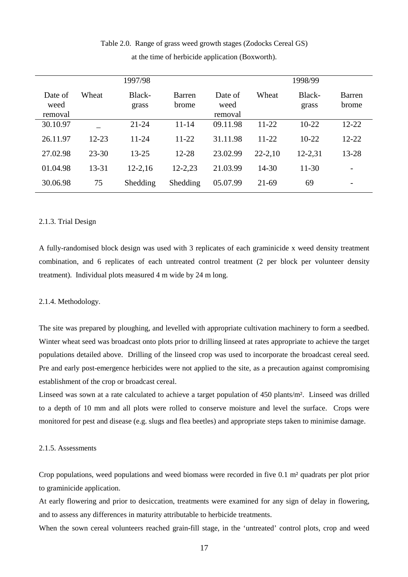|                            |           | 1997/98         |                 |                            |             | 1998/99         |                        |
|----------------------------|-----------|-----------------|-----------------|----------------------------|-------------|-----------------|------------------------|
| Date of<br>weed<br>removal | Wheat     | Black-<br>grass | Barren<br>brome | Date of<br>weed<br>removal | Wheat       | Black-<br>grass | <b>Barren</b><br>brome |
| 30.10.97                   |           | $21 - 24$       | $11 - 14$       | 09.11.98                   | $11 - 22$   | $10-22$         | $12 - 22$              |
| 26.11.97                   | $12 - 23$ | $11 - 24$       | $11 - 22$       | 31.11.98                   | $11 - 22$   | $10 - 22$       | $12 - 22$              |
| 27.02.98                   | $23 - 30$ | $13 - 25$       | $12 - 28$       | 23.02.99                   | $22 - 2,10$ | 12-2,31         | $13 - 28$              |
| 01.04.98                   | $13 - 31$ | $12 - 2,16$     | 12-2,23         | 21.03.99                   | $14 - 30$   | $11-30$         |                        |
| 30.06.98                   | 75        | Shedding        | Shedding        | 05.07.99                   | $21-69$     | 69              |                        |

## Table 2.0. Range of grass weed growth stages (Zodocks Cereal GS) at the time of herbicide application (Boxworth).

## 2.1.3. Trial Design

A fully-randomised block design was used with 3 replicates of each graminicide x weed density treatment combination, and 6 replicates of each untreated control treatment (2 per block per volunteer density treatment). Individual plots measured 4 m wide by 24 m long.

### 2.1.4. Methodology.

The site was prepared by ploughing, and levelled with appropriate cultivation machinery to form a seedbed. Winter wheat seed was broadcast onto plots prior to drilling linseed at rates appropriate to achieve the target populations detailed above. Drilling of the linseed crop was used to incorporate the broadcast cereal seed. Pre and early post-emergence herbicides were not applied to the site, as a precaution against compromising establishment of the crop or broadcast cereal.

Linseed was sown at a rate calculated to achieve a target population of 450 plants/m². Linseed was drilled to a depth of 10 mm and all plots were rolled to conserve moisture and level the surface. Crops were monitored for pest and disease (e.g. slugs and flea beetles) and appropriate steps taken to minimise damage.

### 2.1.5. Assessments

Crop populations, weed populations and weed biomass were recorded in five 0.1 m² quadrats per plot prior to graminicide application.

At early flowering and prior to desiccation, treatments were examined for any sign of delay in flowering, and to assess any differences in maturity attributable to herbicide treatments.

When the sown cereal volunteers reached grain-fill stage, in the 'untreated' control plots, crop and weed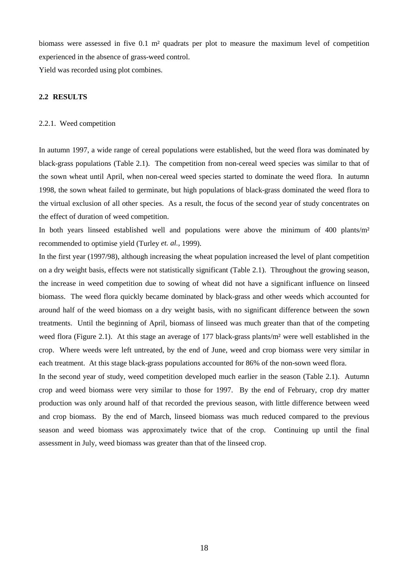biomass were assessed in five 0.1 m² quadrats per plot to measure the maximum level of competition experienced in the absence of grass-weed control.

Yield was recorded using plot combines.

## **2.2 RESULTS**

### 2.2.1. Weed competition

In autumn 1997, a wide range of cereal populations were established, but the weed flora was dominated by black-grass populations (Table 2.1). The competition from non-cereal weed species was similar to that of the sown wheat until April, when non-cereal weed species started to dominate the weed flora. In autumn 1998, the sown wheat failed to germinate, but high populations of black-grass dominated the weed flora to the virtual exclusion of all other species. As a result, the focus of the second year of study concentrates on the effect of duration of weed competition.

In both years linseed established well and populations were above the minimum of 400 plants/ $m<sup>2</sup>$ recommended to optimise yield (Turley *et. al.,* 1999).

In the first year (1997/98), although increasing the wheat population increased the level of plant competition on a dry weight basis, effects were not statistically significant (Table 2.1). Throughout the growing season, the increase in weed competition due to sowing of wheat did not have a significant influence on linseed biomass. The weed flora quickly became dominated by black-grass and other weeds which accounted for around half of the weed biomass on a dry weight basis, with no significant difference between the sown treatments. Until the beginning of April, biomass of linseed was much greater than that of the competing weed flora (Figure 2.1). At this stage an average of 177 black-grass plants/m² were well established in the crop. Where weeds were left untreated, by the end of June, weed and crop biomass were very similar in each treatment. At this stage black-grass populations accounted for 86% of the non-sown weed flora.

In the second year of study, weed competition developed much earlier in the season (Table 2.1). Autumn crop and weed biomass were very similar to those for 1997. By the end of February, crop dry matter production was only around half of that recorded the previous season, with little difference between weed and crop biomass. By the end of March, linseed biomass was much reduced compared to the previous season and weed biomass was approximately twice that of the crop. Continuing up until the final assessment in July, weed biomass was greater than that of the linseed crop.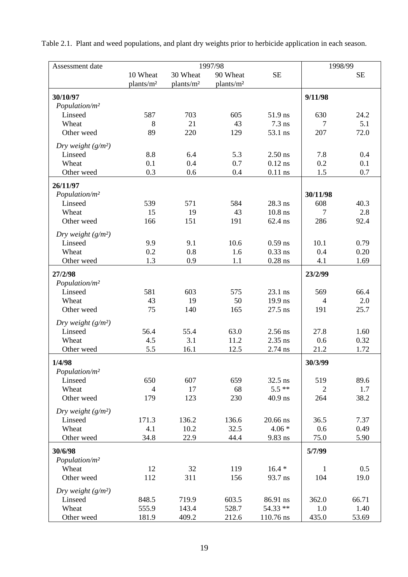| Assessment date           |                       |                       | 1997/98               |           |                | 1998/99   |  |
|---------------------------|-----------------------|-----------------------|-----------------------|-----------|----------------|-----------|--|
|                           | 10 Wheat              | 30 Wheat              | 90 Wheat              | <b>SE</b> |                | <b>SE</b> |  |
|                           | plants/m <sup>2</sup> | plants/m <sup>2</sup> | plants/m <sup>2</sup> |           |                |           |  |
| 30/10/97                  |                       |                       |                       |           | 9/11/98        |           |  |
| Population/m <sup>2</sup> |                       |                       |                       |           |                |           |  |
| Linseed                   | 587                   | 703                   | 605                   | 51.9 ns   | 630            | 24.2      |  |
| Wheat                     | 8                     | 21                    | 43                    | $7.3$ ns  | 7              | 5.1       |  |
| Other weed                | 89                    | 220                   | 129                   | 53.1 ns   | 207            | 72.0      |  |
| Dry weight $(g/m^2)$      |                       |                       |                       |           |                |           |  |
| Linseed                   | 8.8                   | 6.4                   | 5.3                   | $2.50$ ns | 7.8            | 0.4       |  |
| Wheat                     | 0.1                   | 0.4                   | 0.7                   | $0.12$ ns | 0.2            | 0.1       |  |
| Other weed                | 0.3                   | 0.6                   | 0.4                   | $0.11$ ns | 1.5            | 0.7       |  |
| 26/11/97                  |                       |                       |                       |           |                |           |  |
| Population/m <sup>2</sup> |                       |                       |                       |           | 30/11/98       |           |  |
| Linseed                   | 539                   | 571                   | 584                   | 28.3 ns   | 608            | 40.3      |  |
| Wheat                     | 15                    | 19                    | 43                    | $10.8$ ns | 7              | 2.8       |  |
| Other weed                | 166                   | 151                   | 191                   | 62.4 ns   | 286            | 92.4      |  |
| Dry weight $(g/m^2)$      |                       |                       |                       |           |                |           |  |
| Linseed                   | 9.9                   | 9.1                   | 10.6                  | $0.59$ ns | 10.1           | 0.79      |  |
| Wheat                     | 0.2                   | 0.8                   | 1.6                   | $0.33$ ns | 0.4            | 0.20      |  |
|                           | 1.3                   |                       |                       |           |                |           |  |
| Other weed                |                       | 0.9                   | 1.1                   | $0.28$ ns | 4.1            | 1.69      |  |
| 27/2/98                   |                       |                       |                       |           | 23/2/99        |           |  |
| Population/m <sup>2</sup> |                       |                       |                       |           |                |           |  |
| Linseed                   | 581                   | 603                   | 575                   | 23.1 ns   | 569            | 66.4      |  |
| Wheat                     | 43                    | 19                    | 50                    | 19.9 ns   | $\overline{4}$ | 2.0       |  |
| Other weed                | 75                    | 140                   | 165                   | 27.5 ns   | 191            | 25.7      |  |
| Dry weight $(g/m^2)$      |                       |                       |                       |           |                |           |  |
| Linseed                   | 56.4                  | 55.4                  | 63.0                  | 2.56 ns   | 27.8           | 1.60      |  |
| Wheat                     | 4.5                   | 3.1                   | 11.2                  | $2.35$ ns | 0.6            | 0.32      |  |
| Other weed                | 5.5                   | 16.1                  | 12.5                  | 2.74 ns   | 21.2           | 1.72      |  |
| 1/4/98                    |                       |                       |                       |           | 30/3/99        |           |  |
| Population/m <sup>2</sup> |                       |                       |                       |           |                |           |  |
| Linseed                   | 650                   | 607                   | 659                   | 32.5 ns   | 519            | 89.6      |  |
| Wheat                     | $\overline{4}$        | 17                    | 68                    | $5.5***$  | $\overline{2}$ | 1.7       |  |
| Other weed                | 179                   | 123                   | 230                   | 40.9 ns   | 264            | 38.2      |  |
| Dry weight $(g/m^2)$      |                       |                       |                       |           |                |           |  |
| Linseed                   | 171.3                 | 136.2                 | 136.6                 | 20.66 ns  | 36.5           | 7.37      |  |
| Wheat                     | 4.1                   | 10.2                  | 32.5                  | $4.06*$   | 0.6            | 0.49      |  |
| Other weed                | 34.8                  | 22.9                  | 44.4                  | 9.83 ns   | 75.0           | 5.90      |  |
| 30/6/98                   |                       |                       |                       |           | 5/7/99         |           |  |
| Population/m <sup>2</sup> |                       |                       |                       |           |                |           |  |
| Wheat                     | 12                    | 32                    | 119                   | $16.4*$   | 1              | 0.5       |  |
| Other weed                | 112                   | 311                   | 156                   | 93.7 ns   | 104            | 19.0      |  |
| Dry weight $(g/m^2)$      |                       |                       |                       |           |                |           |  |
| Linseed                   | 848.5                 | 719.9                 | 603.5                 | 86.91 ns  | 362.0          | 66.71     |  |
| Wheat                     | 555.9                 | 143.4                 | 528.7                 | 54.33 **  | 1.0            | 1.40      |  |
| Other weed                | 181.9                 | 409.2                 | 212.6                 | 110.76 ns | 435.0          | 53.69     |  |

Table 2.1. Plant and weed populations, and plant dry weights prior to herbicide application in each season.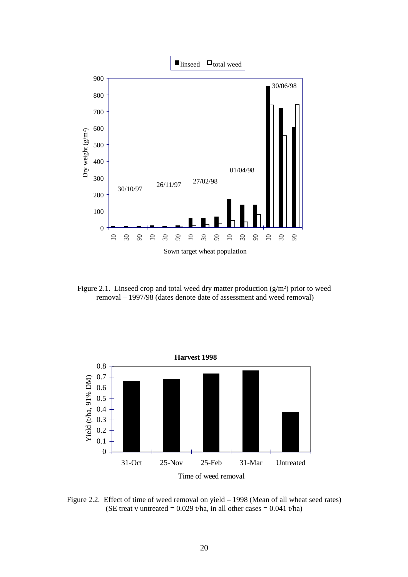

Figure 2.1. Linseed crop and total weed dry matter production  $(g/m<sup>2</sup>)$  prior to weed removal – 1997/98 (dates denote date of assessment and weed removal)



Figure 2.2. Effect of time of weed removal on yield – 1998 (Mean of all wheat seed rates) (SE treat v untreated =  $0.029$  t/ha, in all other cases =  $0.041$  t/ha)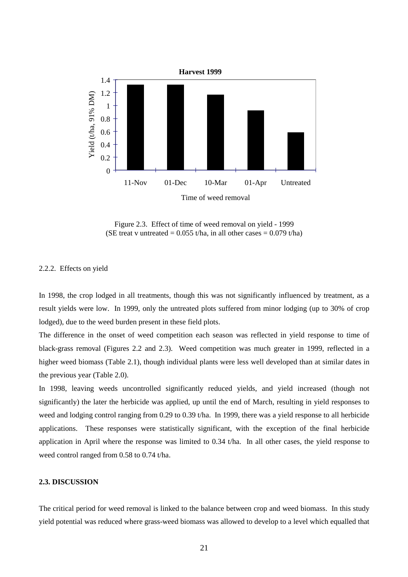

Figure 2.3. Effect of time of weed removal on yield - 1999 (SE treat v untreated =  $0.055$  t/ha, in all other cases =  $0.079$  t/ha)

### 2.2.2. Effects on yield

In 1998, the crop lodged in all treatments, though this was not significantly influenced by treatment, as a result yields were low. In 1999, only the untreated plots suffered from minor lodging (up to 30% of crop lodged), due to the weed burden present in these field plots.

The difference in the onset of weed competition each season was reflected in yield response to time of black-grass removal (Figures 2.2 and 2.3). Weed competition was much greater in 1999, reflected in a higher weed biomass (Table 2.1), though individual plants were less well developed than at similar dates in the previous year (Table 2.0).

In 1998, leaving weeds uncontrolled significantly reduced yields, and yield increased (though not significantly) the later the herbicide was applied, up until the end of March, resulting in yield responses to weed and lodging control ranging from 0.29 to 0.39 t/ha. In 1999, there was a yield response to all herbicide applications. These responses were statistically significant, with the exception of the final herbicide application in April where the response was limited to 0.34 t/ha. In all other cases, the yield response to weed control ranged from 0.58 to 0.74 t/ha.

### **2.3. DISCUSSION**

The critical period for weed removal is linked to the balance between crop and weed biomass. In this study yield potential was reduced where grass-weed biomass was allowed to develop to a level which equalled that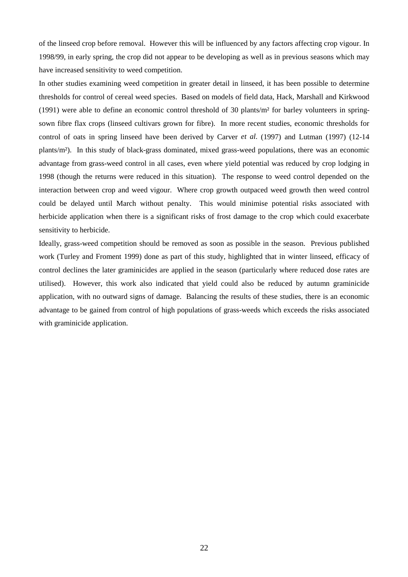of the linseed crop before removal. However this will be influenced by any factors affecting crop vigour. In 1998/99, in early spring, the crop did not appear to be developing as well as in previous seasons which may have increased sensitivity to weed competition.

In other studies examining weed competition in greater detail in linseed, it has been possible to determine thresholds for control of cereal weed species. Based on models of field data, Hack, Marshall and Kirkwood (1991) were able to define an economic control threshold of 30 plants/m² for barley volunteers in springsown fibre flax crops (linseed cultivars grown for fibre). In more recent studies, economic thresholds for control of oats in spring linseed have been derived by Carver *et al.* (1997) and Lutman (1997) (12-14 plants/m²). In this study of black-grass dominated, mixed grass-weed populations, there was an economic advantage from grass-weed control in all cases, even where yield potential was reduced by crop lodging in 1998 (though the returns were reduced in this situation). The response to weed control depended on the interaction between crop and weed vigour. Where crop growth outpaced weed growth then weed control could be delayed until March without penalty. This would minimise potential risks associated with herbicide application when there is a significant risks of frost damage to the crop which could exacerbate sensitivity to herbicide.

Ideally, grass-weed competition should be removed as soon as possible in the season. Previous published work (Turley and Froment 1999) done as part of this study, highlighted that in winter linseed, efficacy of control declines the later graminicides are applied in the season (particularly where reduced dose rates are utilised). However, this work also indicated that yield could also be reduced by autumn graminicide application, with no outward signs of damage. Balancing the results of these studies, there is an economic advantage to be gained from control of high populations of grass-weeds which exceeds the risks associated with graminicide application.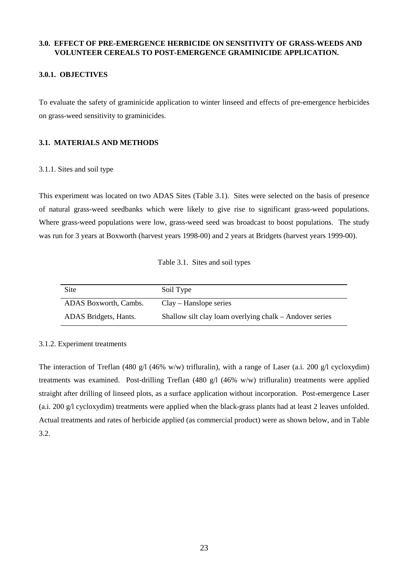## **3.0. EFFECT OF PRE-EMERGENCE HERBICIDE ON SENSITIVITY OF GRASS-WEEDS AND VOLUNTEER CEREALS TO POST-EMERGENCE GRAMINICIDE APPLICATION.**

## **3.0.1. OBJECTIVES**

To evaluate the safety of graminicide application to winter linseed and effects of pre-emergence herbicides on grass-weed sensitivity to graminicides.

## **3.1. MATERIALS AND METHODS**

## 3.1.1. Sites and soil type

This experiment was located on two ADAS Sites (Table 3.1). Sites were selected on the basis of presence of natural grass-weed seedbanks which were likely to give rise to significant grass-weed populations. Where grass-weed populations were low, grass-weed seed was broadcast to boost populations. The study was run for 3 years at Boxworth (harvest years 1998-00) and 2 years at Bridgets (harvest years 1999-00).

| Table 3.1. Sites and soil types |  |  |  |
|---------------------------------|--|--|--|
|---------------------------------|--|--|--|

| Site                  | Soil Type                                               |
|-----------------------|---------------------------------------------------------|
| ADAS Boxworth, Cambs. | $Clav - Hanslope series$                                |
| ADAS Bridgets, Hants. | Shallow silt clay loam overlying chalk – Andover series |

## 3.1.2. Experiment treatments

The interaction of Treflan (480 g/l (46% w/w) trifluralin), with a range of Laser (a.i. 200 g/l cycloxydim) treatments was examined. Post-drilling Treflan (480 g/l (46% w/w) trifluralin) treatments were applied straight after drilling of linseed plots, as a surface application without incorporation. Post-emergence Laser (a.i. 200 g/l cycloxydim) treatments were applied when the black-grass plants had at least 2 leaves unfolded. Actual treatments and rates of herbicide applied (as commercial product) were as shown below, and in Table 3.2.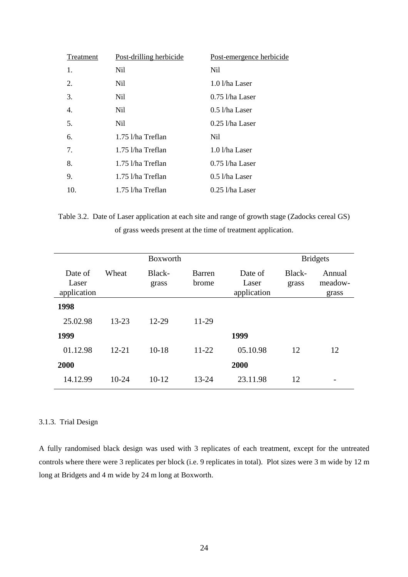| Treatment | Post-drilling herbicide | Post-emergence herbicide |
|-----------|-------------------------|--------------------------|
| 1.        | Nil.                    | Nil.                     |
| 2.        | Nil.                    | $1.0$ l/ha Laser         |
| 3.        | Nil.                    | $0.75$ 1/ha Laser        |
| 4.        | Nil.                    | $0.5$ l/ha Laser         |
| 5.        | Nil.                    | $0.25$ l/ha Laser        |
| 6.        | 1.75 l/ha Treflan       | Nil.                     |
| 7.        | 1.75 l/ha Treflan       | 1.0 l/ha Laser           |
| 8.        | 1.75 l/ha Treflan       | $0.75$ 1/ha Laser        |
| 9.        | 1.75 l/ha Treflan       | $0.5$ l/ha Laser         |
| 10.       | 1.75 l/ha Treflan       | $0.25$ l/ha Laser        |

Table 3.2. Date of Laser application at each site and range of growth stage (Zadocks cereal GS) of grass weeds present at the time of treatment application.

|                                 |           | Boxworth        |                        |                                 |                 | <b>Bridgets</b>            |
|---------------------------------|-----------|-----------------|------------------------|---------------------------------|-----------------|----------------------------|
| Date of<br>Laser<br>application | Wheat     | Black-<br>grass | <b>Barren</b><br>brome | Date of<br>Laser<br>application | Black-<br>grass | Annual<br>meadow-<br>grass |
| 1998                            |           |                 |                        |                                 |                 |                            |
| 25.02.98                        | $13 - 23$ | 12-29           | 11-29                  |                                 |                 |                            |
| 1999                            |           |                 |                        | 1999                            |                 |                            |
| 01.12.98                        | $12 - 21$ | $10-18$         | 11-22                  | 05.10.98                        | 12              | 12                         |
| 2000                            |           |                 |                        | 2000                            |                 |                            |
| 14.12.99                        | $10-24$   | $10-12$         | $13 - 24$              | 23.11.98                        | 12              |                            |

## 3.1.3. Trial Design

A fully randomised black design was used with 3 replicates of each treatment, except for the untreated controls where there were 3 replicates per block (i.e. 9 replicates in total). Plot sizes were 3 m wide by 12 m long at Bridgets and 4 m wide by 24 m long at Boxworth.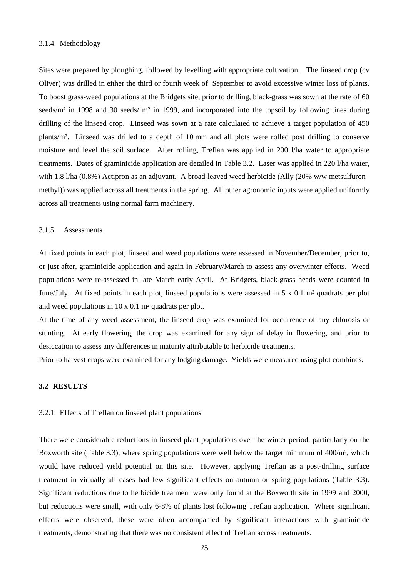### 3.1.4. Methodology

Sites were prepared by ploughing, followed by levelling with appropriate cultivation.. The linseed crop (cv Oliver) was drilled in either the third or fourth week of September to avoid excessive winter loss of plants. To boost grass-weed populations at the Bridgets site, prior to drilling, black-grass was sown at the rate of 60 seeds/m<sup>2</sup> in 1998 and 30 seeds/ m<sup>2</sup> in 1999, and incorporated into the topsoil by following tines during drilling of the linseed crop. Linseed was sown at a rate calculated to achieve a target population of 450 plants/m². Linseed was drilled to a depth of 10 mm and all plots were rolled post drilling to conserve moisture and level the soil surface. After rolling, Treflan was applied in 200 l/ha water to appropriate treatments. Dates of graminicide application are detailed in Table 3.2. Laser was applied in 220 l/ha water, with 1.8 l/ha (0.8%) Actipron as an adjuvant. A broad-leaved weed herbicide (Ally (20% w/w metsulfuron– methyl)) was applied across all treatments in the spring. All other agronomic inputs were applied uniformly across all treatments using normal farm machinery.

### 3.1.5. Assessments

At fixed points in each plot, linseed and weed populations were assessed in November/December, prior to, or just after, graminicide application and again in February/March to assess any overwinter effects. Weed populations were re-assessed in late March early April. At Bridgets, black-grass heads were counted in June/July. At fixed points in each plot, linseed populations were assessed in  $5 \times 0.1$  m<sup>2</sup> quadrats per plot and weed populations in 10 x 0.1 m² quadrats per plot.

At the time of any weed assessment, the linseed crop was examined for occurrence of any chlorosis or stunting. At early flowering, the crop was examined for any sign of delay in flowering, and prior to desiccation to assess any differences in maturity attributable to herbicide treatments.

Prior to harvest crops were examined for any lodging damage. Yields were measured using plot combines.

### **3.2 RESULTS**

### 3.2.1. Effects of Treflan on linseed plant populations

There were considerable reductions in linseed plant populations over the winter period, particularly on the Boxworth site (Table 3.3), where spring populations were well below the target minimum of 400/m², which would have reduced yield potential on this site. However, applying Treflan as a post-drilling surface treatment in virtually all cases had few significant effects on autumn or spring populations (Table 3.3). Significant reductions due to herbicide treatment were only found at the Boxworth site in 1999 and 2000, but reductions were small, with only 6-8% of plants lost following Treflan application. Where significant effects were observed, these were often accompanied by significant interactions with graminicide treatments, demonstrating that there was no consistent effect of Treflan across treatments.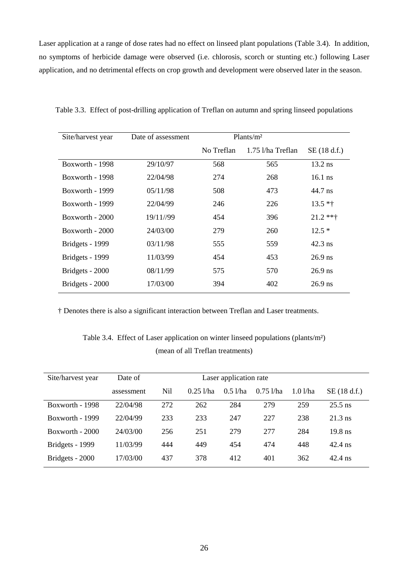Laser application at a range of dose rates had no effect on linseed plant populations (Table 3.4). In addition, no symptoms of herbicide damage were observed (i.e. chlorosis, scorch or stunting etc.) following Laser application, and no detrimental effects on crop growth and development were observed later in the season.

| Site/harvest year | Date of assessment | Plants/m <sup>2</sup> |                   |             |
|-------------------|--------------------|-----------------------|-------------------|-------------|
|                   |                    | No Treflan            | 1.75 l/ha Treflan | SE(18 d.f.) |
| Boxworth - 1998   | 29/10/97           | 568                   | 565               | $13.2$ ns   |
| Boxworth - 1998   | 22/04/98           | 274                   | 268               | $16.1$ ns   |
| Boxworth - 1999   | 05/11/98           | 508                   | 473               | 44.7 ns     |
| Boxworth - 1999   | 22/04/99           | 246                   | 226               | $13.5 *†$   |
| Boxworth - 2000   | 19/11//99          | 454                   | 396               | $21.2$ **†  |
| Boxworth $-2000$  | 24/03/00           | 279                   | 260               | $12.5*$     |
| Bridgets - 1999   | 03/11/98           | 555                   | 559               | 42.3 ns     |
| Bridgets - 1999   | 11/03/99           | 454                   | 453               | $26.9$ ns   |
| Bridgets - 2000   | 08/11/99           | 575                   | 570               | $26.9$ ns   |
| Bridgets - 2000   | 17/03/00           | 394                   | 402               | $26.9$ ns   |

Table 3.3. Effect of post-drilling application of Treflan on autumn and spring linseed populations

† Denotes there is also a significant interaction between Treflan and Laser treatments.

# Table 3.4. Effect of Laser application on winter linseed populations (plants/m²) (mean of all Treflan treatments)

| Site/harvest year | Date of    | Laser application rate |             |         |             |         |             |  |
|-------------------|------------|------------------------|-------------|---------|-------------|---------|-------------|--|
|                   | assessment | Nil                    | $0.25$ l/ha | 0.51/ha | $0.75$ 1/ha | 1.01/ha | SE(18 d.f.) |  |
| Boxworth - 1998   | 22/04/98   | 272                    | 262         | 284     | 279         | 259     | $25.5$ ns   |  |
| Boxworth - 1999   | 22/04/99   | 233                    | 233         | 247     | 227         | 238     | $21.3$ ns   |  |
| $Boxworth - 2000$ | 24/03/00   | 256                    | 251         | 279     | 277         | 284     | $19.8$ ns   |  |
| Bridgets - 1999   | 11/03/99   | 444                    | 449         | 454     | 474         | 448     | $42.4$ ns   |  |
| Bridgets - 2000   | 17/03/00   | 437                    | 378         | 412     | 401         | 362     | $42.4$ ns   |  |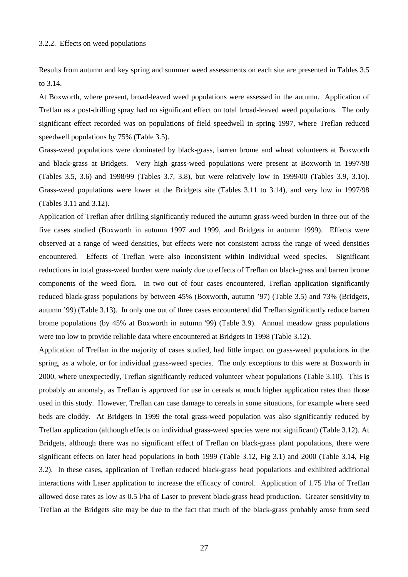### 3.2.2. Effects on weed populations

Results from autumn and key spring and summer weed assessments on each site are presented in Tables 3.5 to 3.14.

At Boxworth, where present, broad-leaved weed populations were assessed in the autumn. Application of Treflan as a post-drilling spray had no significant effect on total broad-leaved weed populations. The only significant effect recorded was on populations of field speedwell in spring 1997, where Treflan reduced speedwell populations by 75% (Table 3.5).

Grass-weed populations were dominated by black-grass, barren brome and wheat volunteers at Boxworth and black-grass at Bridgets. Very high grass-weed populations were present at Boxworth in 1997/98 (Tables 3.5, 3.6) and 1998/99 (Tables 3.7, 3.8), but were relatively low in 1999/00 (Tables 3.9, 3.10). Grass-weed populations were lower at the Bridgets site (Tables 3.11 to 3.14), and very low in 1997/98 (Tables 3.11 and 3.12).

Application of Treflan after drilling significantly reduced the autumn grass-weed burden in three out of the five cases studied (Boxworth in autumn 1997 and 1999, and Bridgets in autumn 1999). Effects were observed at a range of weed densities, but effects were not consistent across the range of weed densities encountered. Effects of Treflan were also inconsistent within individual weed species. Significant reductions in total grass-weed burden were mainly due to effects of Treflan on black-grass and barren brome components of the weed flora. In two out of four cases encountered, Treflan application significantly reduced black-grass populations by between 45% (Boxworth, autumn '97) (Table 3.5) and 73% (Bridgets, autumn '99) (Table 3.13). In only one out of three cases encountered did Treflan significantly reduce barren brome populations (by 45% at Boxworth in autumn '99) (Table 3.9). Annual meadow grass populations were too low to provide reliable data where encountered at Bridgets in 1998 (Table 3.12).

Application of Treflan in the majority of cases studied, had little impact on grass-weed populations in the spring, as a whole, or for individual grass-weed species. The only exceptions to this were at Boxworth in 2000, where unexpectedly, Treflan significantly reduced volunteer wheat populations (Table 3.10). This is probably an anomaly, as Treflan is approved for use in cereals at much higher application rates than those used in this study. However, Treflan can case damage to cereals in some situations, for example where seed beds are cloddy. At Bridgets in 1999 the total grass-weed population was also significantly reduced by Treflan application (although effects on individual grass-weed species were not significant) (Table 3.12). At Bridgets, although there was no significant effect of Treflan on black-grass plant populations, there were significant effects on later head populations in both 1999 (Table 3.12, Fig 3.1) and 2000 (Table 3.14, Fig 3.2). In these cases, application of Treflan reduced black-grass head populations and exhibited additional interactions with Laser application to increase the efficacy of control. Application of 1.75 l/ha of Treflan allowed dose rates as low as 0.5 l/ha of Laser to prevent black-grass head production. Greater sensitivity to Treflan at the Bridgets site may be due to the fact that much of the black-grass probably arose from seed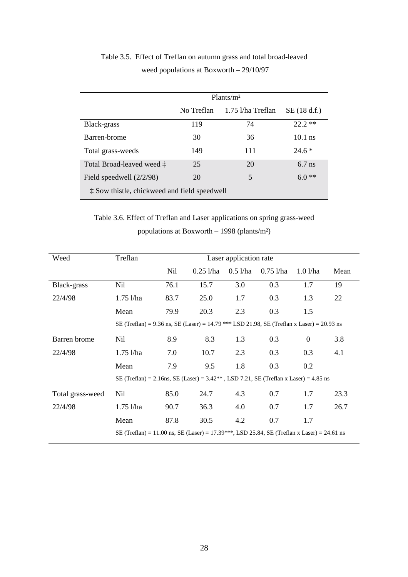|                                              | Plants/m <sup>2</sup> |                   |             |  |  |  |  |
|----------------------------------------------|-----------------------|-------------------|-------------|--|--|--|--|
|                                              | No Treflan            | 1.75 l/ha Treflan | SE(18 d.f.) |  |  |  |  |
| Black-grass                                  | 119                   | 74                | $22.2**$    |  |  |  |  |
| Barren-brome                                 | 30                    | 36                | $10.1$ ns   |  |  |  |  |
| Total grass-weeds                            | 149                   | 111               | $24.6*$     |  |  |  |  |
| Total Broad-leaved weed $\ddagger$           | 25                    | 20                | $6.7$ ns    |  |  |  |  |
| Field speedwell $(2/2/98)$                   | 20                    | 5                 | $6.0**$     |  |  |  |  |
| t Sow thistle, chickweed and field speedwell |                       |                   |             |  |  |  |  |

# Table 3.5. Effect of Treflan on autumn grass and total broad-leaved weed populations at Boxworth – 29/10/97

Table 3.6. Effect of Treflan and Laser applications on spring grass-weed populations at Boxworth – 1998 (plants/m²)

| Weed             | Treflan                                                                                    | Laser application rate |             |            |             |              |      |
|------------------|--------------------------------------------------------------------------------------------|------------------------|-------------|------------|-------------|--------------|------|
|                  |                                                                                            | Nil                    | $0.251$ /ha | $0.5$ l/ha | $0.75$ l/ha | 1.01/ha      | Mean |
| Black-grass      | Nil                                                                                        | 76.1                   | 15.7        | 3.0        | 0.3         | 1.7          | 19   |
| 22/4/98          | $1.75$ l/ha                                                                                | 83.7                   | 25.0        | 1.7        | 0.3         | 1.3          | 22   |
|                  | Mean                                                                                       | 79.9                   | 20.3        | 2.3        | 0.3         | 1.5          |      |
|                  | SE (Treflan) = 9.36 ns, SE (Laser) = 14.79 *** LSD 21.98, SE (Treflan x Laser) = 20.93 ns  |                        |             |            |             |              |      |
| Barren brome     | Nil                                                                                        | 8.9                    | 8.3         | 1.3        | 0.3         | $\mathbf{0}$ | 3.8  |
| 22/4/98          | $1.75$ l/ha                                                                                | 7.0                    | 10.7        | 2.3        | 0.3         | 0.3          | 4.1  |
|                  | Mean                                                                                       | 7.9                    | 9.5         | 1.8        | 0.3         | 0.2          |      |
|                  | SE (Treflan) = 2.16ns, SE (Laser) = $3.42**$ , LSD 7.21, SE (Treflan x Laser) = 4.85 ns    |                        |             |            |             |              |      |
| Total grass-weed | <b>Nil</b>                                                                                 | 85.0                   | 24.7        | 4.3        | 0.7         | 1.7          | 23.3 |
| 22/4/98          | $1.75$ l/ha                                                                                | 90.7                   | 36.3        | 4.0        | 0.7         | 1.7          | 26.7 |
|                  | Mean                                                                                       | 87.8                   | 30.5        | 4.2        | 0.7         | 1.7          |      |
|                  | SE (Treflan) = 11.00 ns, SE (Laser) = 17.39***, LSD 25.84, SE (Treflan x Laser) = 24.61 ns |                        |             |            |             |              |      |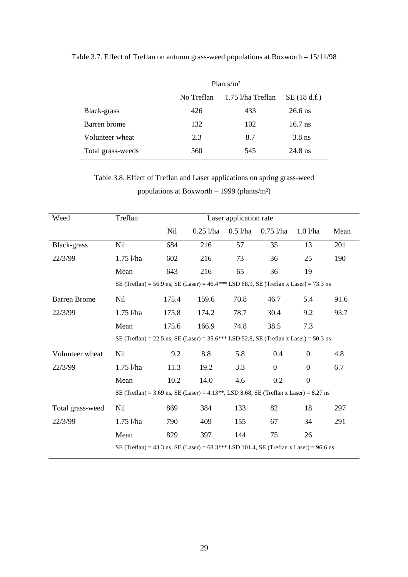|                   | Plants/m <sup>2</sup> |                   |             |  |  |  |
|-------------------|-----------------------|-------------------|-------------|--|--|--|
|                   | No Treflan            | 1.75 l/ha Treflan | SE(18 d.f.) |  |  |  |
| Black-grass       | 426                   | 433               | $26.6$ ns   |  |  |  |
| Barren brome      | 132                   | 102               | $16.7$ ns   |  |  |  |
| Volunteer wheat   | 2.3                   | 8.7               | $3.8$ ns    |  |  |  |
| Total grass-weeds | 560                   | 545               | $24.8$ ns   |  |  |  |

Table 3.7. Effect of Treflan on autumn grass-weed populations at Boxworth – 15/11/98

Table 3.8. Effect of Treflan and Laser applications on spring grass-weed populations at Boxworth – 1999 (plants/m²)

| Weed                | Treflan                                                                                            | Laser application rate |             |            |                |                  |      |  |
|---------------------|----------------------------------------------------------------------------------------------------|------------------------|-------------|------------|----------------|------------------|------|--|
|                     |                                                                                                    | Nil                    | $0.25$ l/ha | $0.5$ l/ha | $0.75$ l/ha    | 1.01/ha          | Mean |  |
| Black-grass         | Nil                                                                                                | 684                    | 216         | 57         | 35             | 13               | 201  |  |
| 22/3/99             | $1.75$ l/ha                                                                                        | 602                    | 216         | 73         | 36             | 25               | 190  |  |
|                     | Mean                                                                                               | 643                    | 216         | 65         | 36             | 19               |      |  |
|                     | SE (Treflan) = 56.9 ns, SE (Laser) = 46.4*** LSD 68.9, SE (Treflan x Laser) = 73.3 ns              |                        |             |            |                |                  |      |  |
| <b>Barren Brome</b> | <b>Nil</b>                                                                                         | 175.4                  | 159.6       | 70.8       | 46.7           | 5.4              | 91.6 |  |
| 22/3/99             | $1.75$ l/ha                                                                                        | 175.8                  | 174.2       | 78.7       | 30.4           | 9.2              | 93.7 |  |
|                     | Mean                                                                                               | 175.6                  | 166.9       | 74.8       | 38.5           | 7.3              |      |  |
|                     | SE (Treflan) = 22.5 ns, SE (Laser) = 35.6*** LSD 52.8, SE (Treflan x Laser) = 50.3 ns              |                        |             |            |                |                  |      |  |
| Volunteer wheat     | Nil                                                                                                | 9.2                    | 8.8         | 5.8        | 0.4            | $\Omega$         | 4.8  |  |
| 22/3/99             | $1.75$ l/ha                                                                                        | 11.3                   | 19.2        | 3.3        | $\overline{0}$ | $\boldsymbol{0}$ | 6.7  |  |
|                     | Mean                                                                                               | 10.2                   | 14.0        | 4.6        | 0.2            | $\mathbf{0}$     |      |  |
|                     | SE (Treflan) = 3.69 ns, SE (Laser) = 4.13 <sup>**</sup> , LSD 8.68, SE (Treflan x Laser) = 8.27 ns |                        |             |            |                |                  |      |  |
| Total grass-weed    | Nil                                                                                                | 869                    | 384         | 133        | 82             | 18               | 297  |  |
| 22/3/99             | $1.75$ l/ha                                                                                        | 790                    | 409         | 155        | 67             | 34               | 291  |  |
|                     | Mean                                                                                               | 829                    | 397         | 144        | 75             | 26               |      |  |
|                     | SE (Treflan) = 43.3 ns, SE (Laser) = 68.3*** LSD 101.4, SE (Treflan x Laser) = 96.6 ns             |                        |             |            |                |                  |      |  |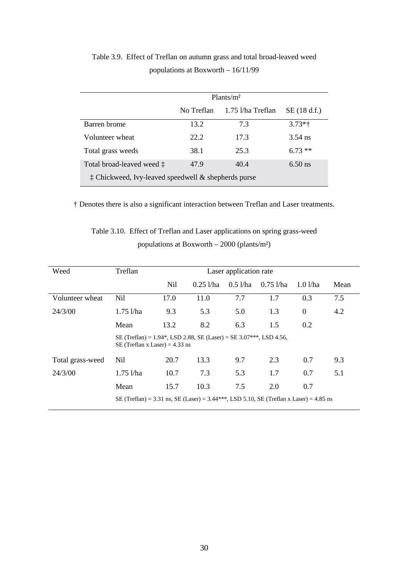|                                                              | Plants/m <sup>2</sup> |                   |             |  |  |  |
|--------------------------------------------------------------|-----------------------|-------------------|-------------|--|--|--|
|                                                              | No Treflan            | 1.75 l/ha Treflan | SE(18 d.f.) |  |  |  |
| Barren brome                                                 | 13.2                  | 7.3               | $3.73*$     |  |  |  |
| Volunteer wheat                                              | 22.2                  | 17.3              | $3.54$ ns   |  |  |  |
| Total grass weeds                                            | 38.1                  | 25.3              | $6.73**$    |  |  |  |
| Total broad-leaved weed $\ddagger$                           | 47.9                  | 40.4              | $6.50$ ns   |  |  |  |
| $\ddagger$ Chickweed, Ivy-leaved speedwell & shepherds purse |                       |                   |             |  |  |  |

Table 3.9. Effect of Treflan on autumn grass and total broad-leaved weed populations at Boxworth – 16/11/99

† Denotes there is also a significant interaction between Treflan and Laser treatments.

| Table 3.10. Effect of Treflan and Laser applications on spring grass-weed |
|---------------------------------------------------------------------------|
| populations at Boxworth $-$ 2000 (plants/m <sup>2</sup> )                 |

| Weed             | Treflan                                                                                                | Laser application rate |             |                    |             |                |      |  |  |
|------------------|--------------------------------------------------------------------------------------------------------|------------------------|-------------|--------------------|-------------|----------------|------|--|--|
|                  |                                                                                                        | <b>Nil</b>             | $0.25$ l/ha | $0.5$ <i>l</i> /ha | $0.75$ l/ha | 1.01/ha        | Mean |  |  |
| Volunteer wheat  | <b>Nil</b>                                                                                             | 17.0                   | 11.0        | 7.7                | 1.7         | 0.3            | 7.5  |  |  |
| 24/3/00          | $1.75$ l/ha                                                                                            | 9.3                    | 5.3         | 5.0                | 1.3         | $\overline{0}$ | 4.2  |  |  |
|                  | Mean                                                                                                   | 13.2                   | 8.2         | 6.3                | 1.5         | 0.2            |      |  |  |
|                  | SE (Treflan) = 1.94*, LSD 2.88, SE (Laser) = SE 3.07***, LSD 4.56,<br>SE (Treflan x Laser) = $4.33$ ns |                        |             |                    |             |                |      |  |  |
| Total grass-weed | <b>Nil</b>                                                                                             | 20.7                   | 13.3        | 9.7                | 2.3         | 0.7            | 9.3  |  |  |
| 24/3/00          | $1.75$ l/ha                                                                                            | 10.7                   | 7.3         | 5.3                | 1.7         | 0.7            | 5.1  |  |  |
|                  | Mean                                                                                                   | 15.7                   | 10.3        | 7.5                | 2.0         | 0.7            |      |  |  |
|                  | SE (Treflan) = 3.31 ns, SE (Laser) = 3.44***, LSD 5.10, SE (Treflan x Laser) = 4.85 ns                 |                        |             |                    |             |                |      |  |  |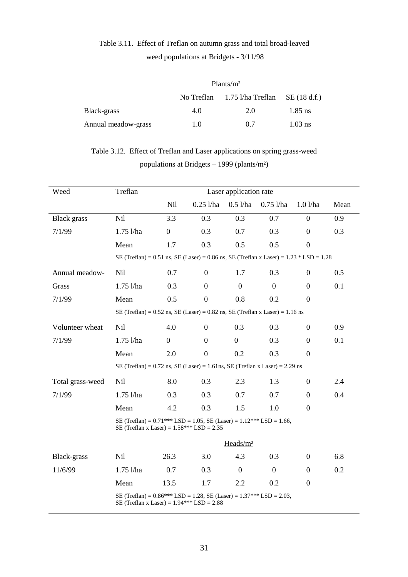|                     | Plants/m <sup>2</sup>        |     |           |  |  |  |
|---------------------|------------------------------|-----|-----------|--|--|--|
|                     | No Treflan 1.75 l/ha Treflan |     |           |  |  |  |
| Black-grass         | 4.0                          | 2.0 | $1.85$ ns |  |  |  |
| Annual meadow-grass | 1.0                          | 0.7 | $1.03$ ns |  |  |  |

# Table 3.11. Effect of Treflan on autumn grass and total broad-leaved weed populations at Bridgets - 3/11/98

Table 3.12. Effect of Treflan and Laser applications on spring grass-weed populations at Bridgets – 1999 (plants/m²)

| Weed               | Treflan                                                                                                                     | Laser application rate |                  |                      |                  |                  |      |
|--------------------|-----------------------------------------------------------------------------------------------------------------------------|------------------------|------------------|----------------------|------------------|------------------|------|
|                    |                                                                                                                             | <b>Nil</b>             | $0.25$ l/ha      | $0.5$ l/ha           | $0.75$ l/ha      | 1.01/ha          | Mean |
| <b>Black</b> grass | Nil                                                                                                                         | 3.3                    | 0.3              | 0.3                  | 0.7              | $\boldsymbol{0}$ | 0.9  |
| 7/1/99             | $1.75$ l/ha                                                                                                                 | $\boldsymbol{0}$       | 0.3              | 0.7                  | 0.3              | $\overline{0}$   | 0.3  |
|                    | Mean                                                                                                                        | 1.7                    | 0.3              | 0.5                  | 0.5              | $\boldsymbol{0}$ |      |
|                    | SE (Treflan) = 0.51 ns, SE (Laser) = 0.86 ns, SE (Treflan x Laser) = $1.23 * LSD = 1.28$                                    |                        |                  |                      |                  |                  |      |
| Annual meadow-     | Nil                                                                                                                         | 0.7                    | $\boldsymbol{0}$ | 1.7                  | 0.3              | $\boldsymbol{0}$ | 0.5  |
| Grass              | $1.75$ $1/ha$                                                                                                               | 0.3                    | $\overline{0}$   | $\overline{0}$       | $\boldsymbol{0}$ | $\overline{0}$   | 0.1  |
| 7/1/99             | Mean                                                                                                                        | 0.5                    | $\boldsymbol{0}$ | 0.8                  | 0.2              | $\boldsymbol{0}$ |      |
|                    | SE (Treflan) = $0.52$ ns, SE (Laser) = $0.82$ ns, SE (Treflan x Laser) = $1.16$ ns                                          |                        |                  |                      |                  |                  |      |
| Volunteer wheat    | Nil                                                                                                                         | 4.0                    | $\boldsymbol{0}$ | 0.3                  | 0.3              | $\boldsymbol{0}$ | 0.9  |
| 7/1/99             | $1.75$ $1/ha$                                                                                                               | $\overline{0}$         | $\boldsymbol{0}$ | $\boldsymbol{0}$     | 0.3              | $\boldsymbol{0}$ | 0.1  |
|                    | Mean                                                                                                                        | 2.0                    | $\boldsymbol{0}$ | 0.2                  | 0.3              | $\boldsymbol{0}$ |      |
|                    | SE (Treflan) = $0.72$ ns, SE (Laser) = $1.61$ ns, SE (Treflan x Laser) = $2.29$ ns                                          |                        |                  |                      |                  |                  |      |
| Total grass-weed   | Nil                                                                                                                         | 8.0                    | 0.3              | 2.3                  | 1.3              | $\boldsymbol{0}$ | 2.4  |
| 7/1/99             | $1.75$ l/ha                                                                                                                 | 0.3                    | 0.3              | 0.7                  | 0.7              | $\boldsymbol{0}$ | 0.4  |
|                    | Mean                                                                                                                        | 4.2                    | 0.3              | 1.5                  | 1.0              | $\boldsymbol{0}$ |      |
|                    | SE (Treflan) = $0.71$ *** LSD = 1.05, SE (Laser) = $1.12$ *** LSD = 1.66,<br>SE (Treflan x Laser) = $1.58***$ LSD = $2.35$  |                        |                  |                      |                  |                  |      |
|                    |                                                                                                                             |                        |                  | Heads/m <sup>2</sup> |                  |                  |      |
| Black-grass        | Nil                                                                                                                         | 26.3                   | 3.0              | 4.3                  | 0.3              | $\boldsymbol{0}$ | 6.8  |
| 11/6/99            | $1.75$ $1/ha$                                                                                                               | 0.7                    | 0.3              | $\boldsymbol{0}$     | $\boldsymbol{0}$ | $\boldsymbol{0}$ | 0.2  |
|                    | Mean                                                                                                                        | 13.5                   | 1.7              | 2.2                  | 0.2              | $\boldsymbol{0}$ |      |
|                    | SE (Treflan) = $0.86***$ LSD = 1.28, SE (Laser) = $1.37***$ LSD = $2.03$ ,<br>SE (Treflan x Laser) = $1.94***$ LSD = $2.88$ |                        |                  |                      |                  |                  |      |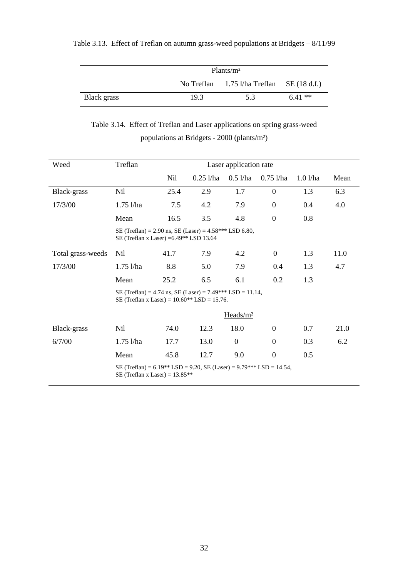|             | Plants/m <sup>2</sup> |                                                                |          |  |  |  |
|-------------|-----------------------|----------------------------------------------------------------|----------|--|--|--|
|             |                       | No Treflan $1.75 \frac{\lambda}{\lambda}$ Treflan SE (18 d.f.) |          |  |  |  |
| Black grass | 19.3                  | 5.3                                                            | $6.41**$ |  |  |  |

## Table 3.13. Effect of Treflan on autumn grass-weed populations at Bridgets – 8/11/99

Table 3.14. Effect of Treflan and Laser applications on spring grass-weed

populations at Bridgets - 2000 (plants/m²)

| Weed              | Treflan<br>Laser application rate                                                                           |      |             |                      |                  |         |      |
|-------------------|-------------------------------------------------------------------------------------------------------------|------|-------------|----------------------|------------------|---------|------|
|                   |                                                                                                             | Nil  | $0.25$ l/ha | $0.5$ l/ha           | $0.75$ l/ha      | 1.01/ha | Mean |
| Black-grass       | <b>Nil</b>                                                                                                  | 25.4 | 2.9         | 1.7                  | $\overline{0}$   | 1.3     | 6.3  |
| 17/3/00           | $1.75$ l/ha                                                                                                 | 7.5  | 4.2         | 7.9                  | $\boldsymbol{0}$ | 0.4     | 4.0  |
|                   | Mean                                                                                                        | 16.5 | 3.5         | 4.8                  | $\boldsymbol{0}$ | 0.8     |      |
|                   | SE (Treflan) = 2.90 ns, SE (Laser) = $4.58***$ LSD 6.80,<br>SE (Treflan x Laser) = $6.49**$ LSD 13.64       |      |             |                      |                  |         |      |
| Total grass-weeds | Nil                                                                                                         | 41.7 | 7.9         | 4.2                  | $\overline{0}$   | 1.3     | 11.0 |
| 17/3/00           | $1.75$ l/ha                                                                                                 | 8.8  | 5.0         | 7.9                  | 0.4              | 1.3     | 4.7  |
|                   | Mean                                                                                                        | 25.2 | 6.5         | 6.1                  | 0.2              | 1.3     |      |
|                   | SE (Treflan) = 4.74 ns, SE (Laser) = 7.49*** LSD = 11.14,<br>SE (Treflan x Laser) = $10.60**$ LSD = 15.76.  |      |             |                      |                  |         |      |
|                   |                                                                                                             |      |             | Heads/m <sup>2</sup> |                  |         |      |
| Black-grass       | Nil                                                                                                         | 74.0 | 12.3        | 18.0                 | $\theta$         | 0.7     | 21.0 |
| 6/7/00            | $1.75$ l/ha                                                                                                 | 17.7 | 13.0        | $\overline{0}$       | $\boldsymbol{0}$ | 0.3     | 6.2  |
|                   | Mean                                                                                                        | 45.8 | 12.7        | 9.0                  | $\boldsymbol{0}$ | 0.5     |      |
|                   | SE (Treflan) = $6.19**$ LSD = 9.20, SE (Laser) = $9.79***$ LSD = 14.54,<br>SE (Treflan x Laser) = $13.85**$ |      |             |                      |                  |         |      |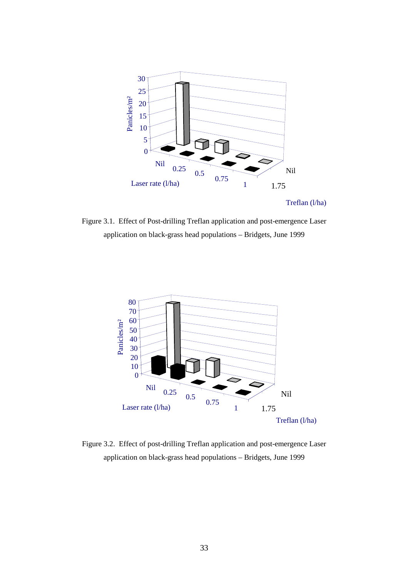

Treflan (l/ha)

Figure 3.1. Effect of Post-drilling Treflan application and post-emergence Laser application on black-grass head populations – Bridgets, June 1999



Figure 3.2. Effect of post-drilling Treflan application and post-emergence Laser application on black-grass head populations – Bridgets, June 1999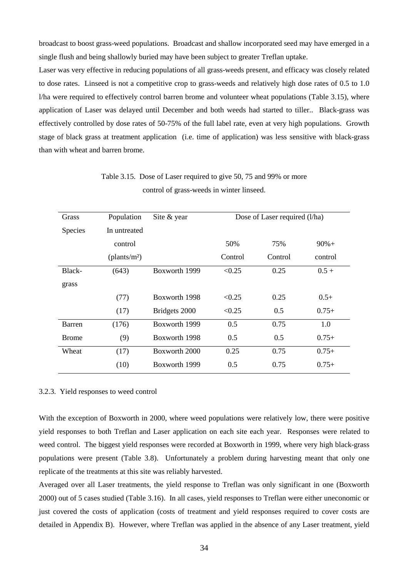broadcast to boost grass-weed populations. Broadcast and shallow incorporated seed may have emerged in a single flush and being shallowly buried may have been subject to greater Treflan uptake.

Laser was very effective in reducing populations of all grass-weeds present, and efficacy was closely related to dose rates. Linseed is not a competitive crop to grass-weeds and relatively high dose rates of 0.5 to 1.0 l/ha were required to effectively control barren brome and volunteer wheat populations (Table 3.15), where application of Laser was delayed until December and both weeds had started to tiller.. Black-grass was effectively controlled by dose rates of 50-75% of the full label rate, even at very high populations. Growth stage of black grass at treatment application (i.e. time of application) was less sensitive with black-grass than with wheat and barren brome.

| Grass          | Population               | Site & year   | Dose of Laser required (l/ha) |         |         |  |
|----------------|--------------------------|---------------|-------------------------------|---------|---------|--|
| <b>Species</b> | In untreated             |               |                               |         |         |  |
|                | control                  |               | 50%                           | 75%     | $90%+$  |  |
|                | (plants/m <sup>2</sup> ) |               | Control                       | Control | control |  |
| Black-         | (643)                    | Boxworth 1999 | < 0.25                        | 0.25    | $0.5 +$ |  |
| grass          |                          |               |                               |         |         |  |
|                | (77)                     | Boxworth 1998 | < 0.25                        | 0.25    | $0.5+$  |  |
|                | (17)                     | Bridgets 2000 | < 0.25                        | 0.5     | $0.75+$ |  |
| Barren         | (176)                    | Boxworth 1999 | 0.5                           | 0.75    | 1.0     |  |
| <b>Brome</b>   | (9)                      | Boxworth 1998 | 0.5                           | 0.5     | $0.75+$ |  |
| Wheat          | (17)                     | Boxworth 2000 | 0.25                          | 0.75    | $0.75+$ |  |
|                | (10)                     | Boxworth 1999 | 0.5                           | 0.75    | $0.75+$ |  |

Table 3.15. Dose of Laser required to give 50, 75 and 99% or more control of grass-weeds in winter linseed.

#### 3.2.3. Yield responses to weed control

With the exception of Boxworth in 2000, where weed populations were relatively low, there were positive yield responses to both Treflan and Laser application on each site each year. Responses were related to weed control. The biggest yield responses were recorded at Boxworth in 1999, where very high black-grass populations were present (Table 3.8). Unfortunately a problem during harvesting meant that only one replicate of the treatments at this site was reliably harvested.

Averaged over all Laser treatments, the yield response to Treflan was only significant in one (Boxworth 2000) out of 5 cases studied (Table 3.16). In all cases, yield responses to Treflan were either uneconomic or just covered the costs of application (costs of treatment and yield responses required to cover costs are detailed in Appendix B). However, where Treflan was applied in the absence of any Laser treatment, yield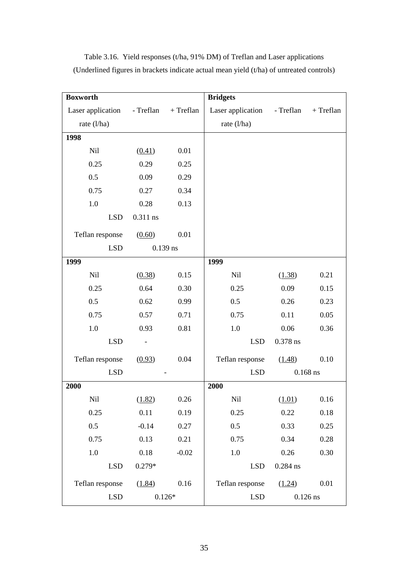| <b>Boxworth</b>   |           |             | <b>Bridgets</b>          |            |            |
|-------------------|-----------|-------------|--------------------------|------------|------------|
| Laser application | - Treflan | $+$ Treflan | Laser application        | - Treflan  | + Treflan  |
| rate (l/ha)       |           |             | rate $(l/ha)$            |            |            |
| 1998              |           |             |                          |            |            |
| Nil               | (0.41)    | 0.01        |                          |            |            |
| 0.25              | 0.29      | 0.25        |                          |            |            |
| 0.5               | 0.09      | 0.29        |                          |            |            |
| 0.75              | 0.27      | 0.34        |                          |            |            |
| $1.0\,$           | 0.28      | 0.13        |                          |            |            |
| <b>LSD</b>        | 0.311 ns  |             |                          |            |            |
| Teflan response   | (0.60)    | 0.01        |                          |            |            |
| <b>LSD</b>        |           | $0.139$ ns  |                          |            |            |
| 1999              |           |             | 1999                     |            |            |
| Nil               | (0.38)    | 0.15        | Nil                      | (1.38)     | 0.21       |
| 0.25              | 0.64      | 0.30        | 0.25                     | 0.09       | 0.15       |
| 0.5               | 0.62      | 0.99        | 0.5                      | 0.26       | 0.23       |
| 0.75              | 0.57      | 0.71        | 0.75                     | 0.11       | 0.05       |
| $1.0\,$           | 0.93      | 0.81        | 1.0                      | 0.06       | 0.36       |
| <b>LSD</b>        |           |             | <b>LSD</b>               | 0.378 ns   |            |
| Teflan response   | (0.93)    | 0.04        | Teflan response          | (1.48)     | 0.10       |
| <b>LSD</b>        |           |             | <b>LSD</b>               |            | $0.168$ ns |
| 2000              |           |             | 2000                     |            |            |
| Nil               | (1.82)    | 0.26        | Nil                      | (1.01)     | 0.16       |
| 0.25              | 0.11      | 0.19        | 0.25                     | 0.22       | 0.18       |
| 0.5               | $-0.14$   | 0.27        | 0.5                      | 0.33       | 0.25       |
| 0.75              | 0.13      | 0.21        | 0.75                     | 0.34       | 0.28       |
| 1.0               | 0.18      | $-0.02$     | 1.0                      | 0.26       | 0.30       |
| <b>LSD</b>        | $0.279*$  |             | <b>LSD</b>               | $0.284$ ns |            |
| Teflan response   | (1.84)    | 0.16        | Teflan response          | (1.24)     | 0.01       |
| <b>LSD</b>        |           | $0.126*$    | <b>LSD</b><br>$0.126$ ns |            |            |

Table 3.16. Yield responses (t/ha, 91% DM) of Treflan and Laser applications (Underlined figures in brackets indicate actual mean yield (t/ha) of untreated controls)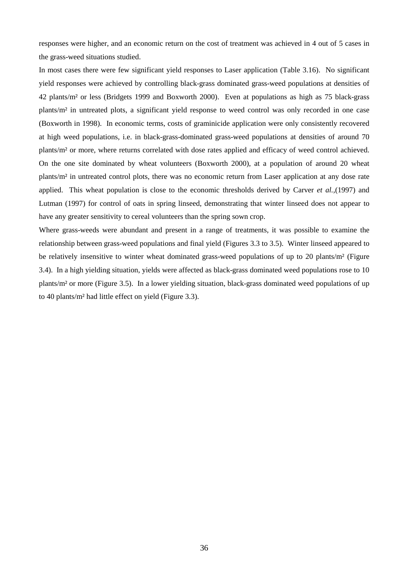responses were higher, and an economic return on the cost of treatment was achieved in 4 out of 5 cases in the grass-weed situations studied.

In most cases there were few significant yield responses to Laser application (Table 3.16). No significant yield responses were achieved by controlling black-grass dominated grass-weed populations at densities of 42 plants/m² or less (Bridgets 1999 and Boxworth 2000). Even at populations as high as 75 black-grass plants/m² in untreated plots, a significant yield response to weed control was only recorded in one case (Boxworth in 1998). In economic terms, costs of graminicide application were only consistently recovered at high weed populations, i.e. in black-grass-dominated grass-weed populations at densities of around 70 plants/m² or more, where returns correlated with dose rates applied and efficacy of weed control achieved. On the one site dominated by wheat volunteers (Boxworth 2000), at a population of around 20 wheat plants/m² in untreated control plots, there was no economic return from Laser application at any dose rate applied. This wheat population is close to the economic thresholds derived by Carver *et al.,*(1997) and Lutman (1997) for control of oats in spring linseed, demonstrating that winter linseed does not appear to have any greater sensitivity to cereal volunteers than the spring sown crop.

Where grass-weeds were abundant and present in a range of treatments, it was possible to examine the relationship between grass-weed populations and final yield (Figures 3.3 to 3.5). Winter linseed appeared to be relatively insensitive to winter wheat dominated grass-weed populations of up to 20 plants/m² (Figure 3.4). In a high yielding situation, yields were affected as black-grass dominated weed populations rose to 10 plants/m² or more (Figure 3.5). In a lower yielding situation, black-grass dominated weed populations of up to 40 plants/m² had little effect on yield (Figure 3.3).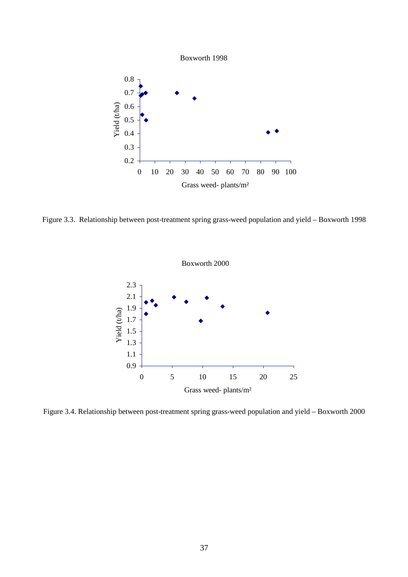Boxworth 1998



Figure 3.3. Relationship between post-treatment spring grass-weed population and yield – Boxworth 1998



Figure 3.4. Relationship between post-treatment spring grass-weed population and yield – Boxworth 2000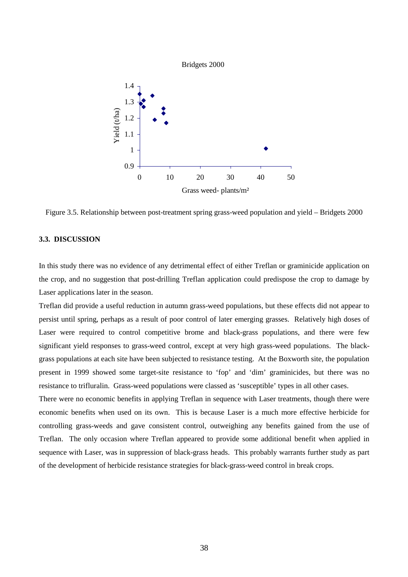

Figure 3.5. Relationship between post-treatment spring grass-weed population and yield – Bridgets 2000

# **3.3. DISCUSSION**

In this study there was no evidence of any detrimental effect of either Treflan or graminicide application on the crop, and no suggestion that post-drilling Treflan application could predispose the crop to damage by Laser applications later in the season.

Treflan did provide a useful reduction in autumn grass-weed populations, but these effects did not appear to persist until spring, perhaps as a result of poor control of later emerging grasses. Relatively high doses of Laser were required to control competitive brome and black-grass populations, and there were few significant yield responses to grass-weed control, except at very high grass-weed populations. The blackgrass populations at each site have been subjected to resistance testing. At the Boxworth site, the population present in 1999 showed some target-site resistance to 'fop' and 'dim' graminicides, but there was no resistance to trifluralin. Grass-weed populations were classed as 'susceptible' types in all other cases.

There were no economic benefits in applying Treflan in sequence with Laser treatments, though there were economic benefits when used on its own. This is because Laser is a much more effective herbicide for controlling grass-weeds and gave consistent control, outweighing any benefits gained from the use of Treflan. The only occasion where Treflan appeared to provide some additional benefit when applied in sequence with Laser, was in suppression of black-grass heads. This probably warrants further study as part of the development of herbicide resistance strategies for black-grass-weed control in break crops.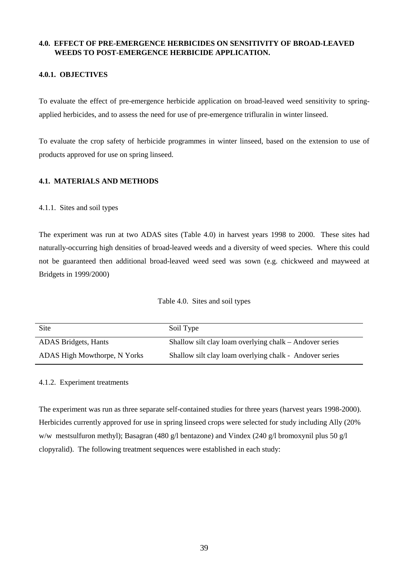# **4.0. EFFECT OF PRE-EMERGENCE HERBICIDES ON SENSITIVITY OF BROAD-LEAVED WEEDS TO POST-EMERGENCE HERBICIDE APPLICATION.**

# **4.0.1. OBJECTIVES**

To evaluate the effect of pre-emergence herbicide application on broad-leaved weed sensitivity to springapplied herbicides, and to assess the need for use of pre-emergence trifluralin in winter linseed.

To evaluate the crop safety of herbicide programmes in winter linseed, based on the extension to use of products approved for use on spring linseed.

# **4.1. MATERIALS AND METHODS**

## 4.1.1. Sites and soil types

The experiment was run at two ADAS sites (Table 4.0) in harvest years 1998 to 2000. These sites had naturally-occurring high densities of broad-leaved weeds and a diversity of weed species. Where this could not be guaranteed then additional broad-leaved weed seed was sown (e.g. chickweed and mayweed at Bridgets in 1999/2000)

Table 4.0. Sites and soil types

| Site                         | Soil Type                                               |
|------------------------------|---------------------------------------------------------|
| ADAS Bridgets, Hants         | Shallow silt clay loam overlying chalk – Andover series |
| ADAS High Mowthorpe, N Yorks | Shallow silt clay loam overlying chalk - Andover series |

## 4.1.2. Experiment treatments

The experiment was run as three separate self-contained studies for three years (harvest years 1998-2000). Herbicides currently approved for use in spring linseed crops were selected for study including Ally (20% w/w mestsulfuron methyl); Basagran (480 g/l bentazone) and Vindex (240 g/l bromoxynil plus 50 g/l clopyralid). The following treatment sequences were established in each study: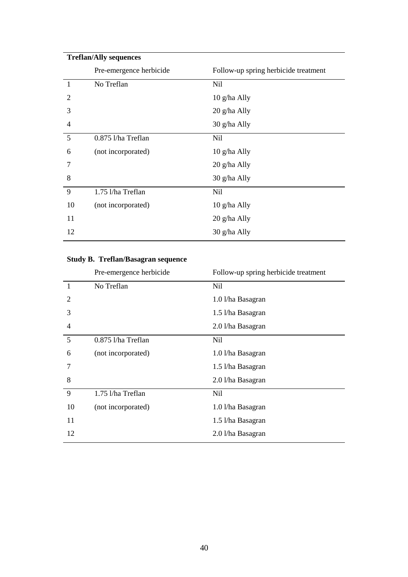| <b>Treflan/Ally sequences</b> |                         |                                      |  |  |  |  |  |
|-------------------------------|-------------------------|--------------------------------------|--|--|--|--|--|
|                               | Pre-emergence herbicide | Follow-up spring herbicide treatment |  |  |  |  |  |
| $\mathbf{1}$                  | No Treflan              | Nil                                  |  |  |  |  |  |
| $\overline{2}$                |                         | 10 g/ha Ally                         |  |  |  |  |  |
| 3                             |                         | 20 g/ha Ally                         |  |  |  |  |  |
| $\overline{4}$                |                         | 30 g/ha Ally                         |  |  |  |  |  |
| 5                             | 0.875 l/ha Treflan      | Nil                                  |  |  |  |  |  |
| 6                             | (not incorporated)      | 10 g/ha Ally                         |  |  |  |  |  |
| 7                             |                         | 20 g/ha Ally                         |  |  |  |  |  |
| 8                             |                         | 30 g/ha Ally                         |  |  |  |  |  |
| 9                             | 1.75 l/ha Treflan       | Nil                                  |  |  |  |  |  |
| 10                            | (not incorporated)      | 10 g/ha Ally                         |  |  |  |  |  |
| 11                            |                         | 20 g/ha Ally                         |  |  |  |  |  |
| 12                            |                         | 30 g/ha Ally                         |  |  |  |  |  |
|                               |                         |                                      |  |  |  |  |  |

# **Study B. Treflan/Basagran sequence**

|                | Pre-emergence herbicide | Follow-up spring herbicide treatment |
|----------------|-------------------------|--------------------------------------|
| $\mathbf{1}$   | No Treflan              | Nil                                  |
| 2              |                         | 1.0 l/ha Basagran                    |
| 3              |                         | 1.5 l/ha Basagran                    |
| $\overline{4}$ |                         | 2.0 l/ha Basagran                    |
| 5              | 0.875 l/ha Treflan      | Nil                                  |
| 6              | (not incorporated)      | 1.0 l/ha Basagran                    |
| 7              |                         | 1.5 l/ha Basagran                    |
| 8              |                         | 2.0 l/ha Basagran                    |
| 9              | 1.75 l/ha Treflan       | Nil                                  |
| 10             | (not incorporated)      | 1.0 l/ha Basagran                    |
| 11             |                         | 1.5 l/ha Basagran                    |
| 12             |                         | 2.0 l/ha Basagran                    |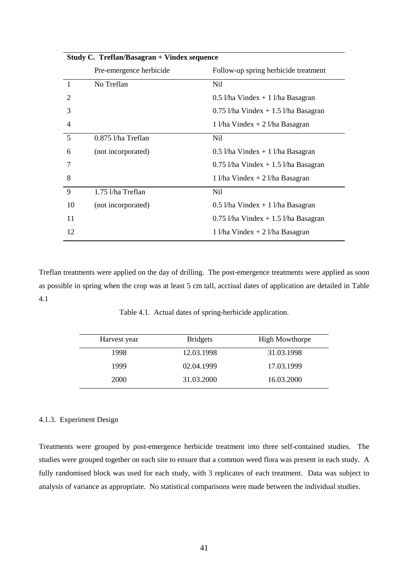| <b>Study C. Treflan/Basagran + Vindex sequence</b> |                         |                                        |  |  |  |  |
|----------------------------------------------------|-------------------------|----------------------------------------|--|--|--|--|
|                                                    | Pre-emergence herbicide | Follow-up spring herbicide treatment   |  |  |  |  |
|                                                    | No Treflan              | Nil                                    |  |  |  |  |
| 2                                                  |                         | $0.5$ l/ha Vindex + 1 l/ha Basagran    |  |  |  |  |
| 3                                                  |                         | $0.75$ l/ha Vindex + 1.5 l/ha Basagran |  |  |  |  |
| 4                                                  |                         | $1$ l/ha Vindex + 2 l/ha Basagran      |  |  |  |  |
| 5                                                  | $0.875$ 1/ha Treflan    | Nil.                                   |  |  |  |  |
| 6                                                  | (not incorporated)      | $0.5$ l/ha Vindex + 1 l/ha Basagran    |  |  |  |  |
| 7                                                  |                         | $0.75$ l/ha Vindex + 1.5 l/ha Basagran |  |  |  |  |
| 8                                                  |                         | $1$ l/ha Vindex + 2 l/ha Basagran      |  |  |  |  |
| 9                                                  | 1.75 l/ha Treflan       | Nil                                    |  |  |  |  |
| 10                                                 | (not incorporated)      | $0.5$ l/ha Vindex + 1 l/ha Basagran    |  |  |  |  |
| 11                                                 |                         | $0.75$ 1/ha Vindex + 1.5 1/ha Basagran |  |  |  |  |
| 12                                                 |                         | $1$ l/ha Vindex + 2 l/ha Basagran      |  |  |  |  |

Treflan treatments were applied on the day of drilling. The post-emergence treatments were applied as soon as possible in spring when the crop was at least 5 cm tall, acctiual dates of application are detailed in Table 4.1

Table 4.1. Actual dates of spring-herbicide application.

| Harvest year | <b>Bridgets</b> | <b>High Mowthorpe</b> |
|--------------|-----------------|-----------------------|
| 1998         | 12.03.1998      | 31.03.1998            |
| 1999         | 02.04.1999      | 17.03.1999            |
| <b>2000</b>  | 31.03.2000      | 16.03.2000            |

## 4.1.3. Experiment Design

Treatments were grouped by post-emergence herbicide treatment into three self-contained studies. The studies were grouped together on each site to ensure that a common weed flora was present in each study. A fully randomised block was used for each study, with 3 replicates of each treatment. Data was subject to analysis of variance as appropriate. No statistical comparisons were made between the individual studies.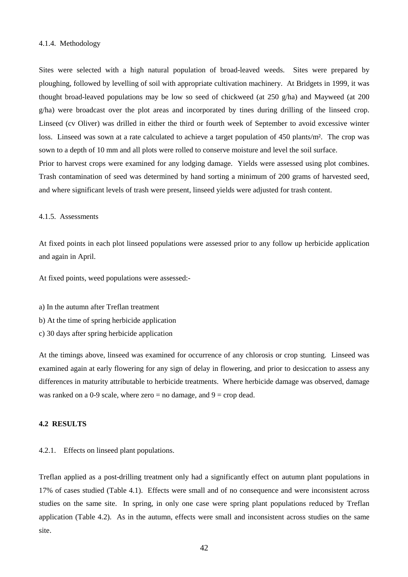### 4.1.4. Methodology

Sites were selected with a high natural population of broad-leaved weeds. Sites were prepared by ploughing, followed by levelling of soil with appropriate cultivation machinery. At Bridgets in 1999, it was thought broad-leaved populations may be low so seed of chickweed (at 250 g/ha) and Mayweed (at 200 g/ha) were broadcast over the plot areas and incorporated by tines during drilling of the linseed crop. Linseed (cv Oliver) was drilled in either the third or fourth week of September to avoid excessive winter loss. Linseed was sown at a rate calculated to achieve a target population of 450 plants/m<sup>2</sup>. The crop was sown to a depth of 10 mm and all plots were rolled to conserve moisture and level the soil surface. Prior to harvest crops were examined for any lodging damage. Yields were assessed using plot combines.

Trash contamination of seed was determined by hand sorting a minimum of 200 grams of harvested seed, and where significant levels of trash were present, linseed yields were adjusted for trash content.

#### 4.1.5. Assessments

At fixed points in each plot linseed populations were assessed prior to any follow up herbicide application and again in April.

At fixed points, weed populations were assessed:-

- a) In the autumn after Treflan treatment
- b) At the time of spring herbicide application
- c) 30 days after spring herbicide application

At the timings above, linseed was examined for occurrence of any chlorosis or crop stunting. Linseed was examined again at early flowering for any sign of delay in flowering, and prior to desiccation to assess any differences in maturity attributable to herbicide treatments. Where herbicide damage was observed, damage was ranked on a 0-9 scale, where zero  $=$  no damage, and  $9 =$  crop dead.

## **4.2 RESULTS**

4.2.1. Effects on linseed plant populations.

Treflan applied as a post-drilling treatment only had a significantly effect on autumn plant populations in 17% of cases studied (Table 4.1). Effects were small and of no consequence and were inconsistent across studies on the same site. In spring, in only one case were spring plant populations reduced by Treflan application (Table 4.2). As in the autumn, effects were small and inconsistent across studies on the same site.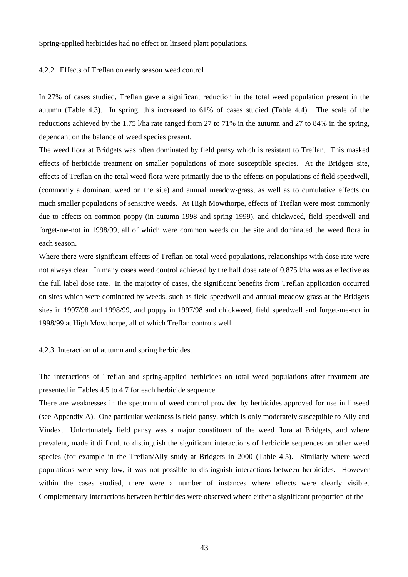Spring-applied herbicides had no effect on linseed plant populations.

### 4.2.2. Effects of Treflan on early season weed control

In 27% of cases studied, Treflan gave a significant reduction in the total weed population present in the autumn (Table 4.3). In spring, this increased to 61% of cases studied (Table 4.4). The scale of the reductions achieved by the 1.75 l/ha rate ranged from 27 to 71% in the autumn and 27 to 84% in the spring, dependant on the balance of weed species present.

The weed flora at Bridgets was often dominated by field pansy which is resistant to Treflan. This masked effects of herbicide treatment on smaller populations of more susceptible species. At the Bridgets site, effects of Treflan on the total weed flora were primarily due to the effects on populations of field speedwell, (commonly a dominant weed on the site) and annual meadow-grass, as well as to cumulative effects on much smaller populations of sensitive weeds. At High Mowthorpe, effects of Treflan were most commonly due to effects on common poppy (in autumn 1998 and spring 1999), and chickweed, field speedwell and forget-me-not in 1998/99, all of which were common weeds on the site and dominated the weed flora in each season.

Where there were significant effects of Treflan on total weed populations, relationships with dose rate were not always clear. In many cases weed control achieved by the half dose rate of 0.875 l/ha was as effective as the full label dose rate. In the majority of cases, the significant benefits from Treflan application occurred on sites which were dominated by weeds, such as field speedwell and annual meadow grass at the Bridgets sites in 1997/98 and 1998/99, and poppy in 1997/98 and chickweed, field speedwell and forget-me-not in 1998/99 at High Mowthorpe, all of which Treflan controls well.

4.2.3. Interaction of autumn and spring herbicides.

The interactions of Treflan and spring-applied herbicides on total weed populations after treatment are presented in Tables 4.5 to 4.7 for each herbicide sequence.

There are weaknesses in the spectrum of weed control provided by herbicides approved for use in linseed (see Appendix A). One particular weakness is field pansy, which is only moderately susceptible to Ally and Vindex. Unfortunately field pansy was a major constituent of the weed flora at Bridgets, and where prevalent, made it difficult to distinguish the significant interactions of herbicide sequences on other weed species (for example in the Treflan/Ally study at Bridgets in 2000 (Table 4.5). Similarly where weed populations were very low, it was not possible to distinguish interactions between herbicides. However within the cases studied, there were a number of instances where effects were clearly visible. Complementary interactions between herbicides were observed where either a significant proportion of the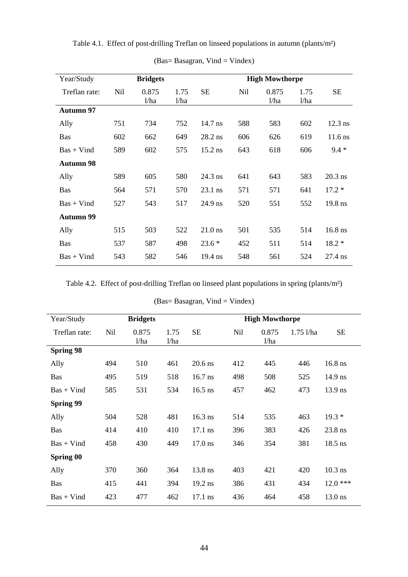| Year/Study       |     | <b>Bridgets</b> |              |           |     | <b>High Mowthorpe</b> |              |           |
|------------------|-----|-----------------|--------------|-----------|-----|-----------------------|--------------|-----------|
| Treflan rate:    | Nil | 0.875<br>1/ha   | 1.75<br>1/ha | <b>SE</b> | Nil | 0.875<br>1/ha         | 1.75<br>1/ha | <b>SE</b> |
| <b>Autumn 97</b> |     |                 |              |           |     |                       |              |           |
| Ally             | 751 | 734             | 752          | 14.7 ns   | 588 | 583                   | 602          | $12.3$ ns |
| <b>Bas</b>       | 602 | 662             | 649          | $28.2$ ns | 606 | 626                   | 619          | 11.6 ns   |
| $Bas + Vind$     | 589 | 602             | 575          | $15.2$ ns | 643 | 618                   | 606          | $9.4 *$   |
| <b>Autumn 98</b> |     |                 |              |           |     |                       |              |           |
| Ally             | 589 | 605             | 580          | 24.3 ns   | 641 | 643                   | 583          | $20.3$ ns |
| <b>Bas</b>       | 564 | 571             | 570          | $23.1$ ns | 571 | 571                   | 641          | $17.2*$   |
| $Bas + Vind$     | 527 | 543             | 517          | $24.9$ ns | 520 | 551                   | 552          | 19.8 ns   |
| <b>Autumn 99</b> |     |                 |              |           |     |                       |              |           |
| Ally             | 515 | 503             | 522          | $21.0$ ns | 501 | 535                   | 514          | $16.8$ ns |
| <b>Bas</b>       | 537 | 587             | 498          | $23.6*$   | 452 | 511                   | 514          | $18.2*$   |
| $Bas + Vind$     | 543 | 582             | 546          | $19.4$ ns | 548 | 561                   | 524          | 27.4 ns   |

Table 4.1. Effect of post-drilling Treflan on linseed populations in autumn (plants/m²)

(Bas= Basagran, Vind = Vindex)

Table 4.2. Effect of post-drilling Treflan on linseed plant populations in spring (plants/m²)

 $(Bas = Basagram, Vind = Vindex)$ 

| Year/Study       |            | <b>Bridgets</b> |              |           |     | <b>High Mowthorpe</b> |             |           |
|------------------|------------|-----------------|--------------|-----------|-----|-----------------------|-------------|-----------|
| Treflan rate:    | <b>Nil</b> | 0.875<br>1/ha   | 1.75<br>1/ha | <b>SE</b> | Nil | 0.875<br>1/ha         | $1.75$ l/ha | <b>SE</b> |
| <b>Spring 98</b> |            |                 |              |           |     |                       |             |           |
| Ally             | 494        | 510             | 461          | $20.6$ ns | 412 | 445                   | 446         | $16.8$ ns |
| <b>Bas</b>       | 495        | 519             | 518          | $16.7$ ns | 498 | 508                   | 525         | $14.9$ ns |
| $Bas + Vind$     | 585        | 531             | 534          | $16.5$ ns | 457 | 462                   | 473         | 13.9 ns   |
| <b>Spring 99</b> |            |                 |              |           |     |                       |             |           |
| Ally             | 504        | 528             | 481          | $16.3$ ns | 514 | 535                   | 463         | $19.3*$   |
| <b>Bas</b>       | 414        | 410             | 410          | $17.1$ ns | 396 | 383                   | 426         | 23.8 ns   |
| $Bas + Vind$     | 458        | 430             | 449          | $17.0$ ns | 346 | 354                   | 381         | $18.5$ ns |
| <b>Spring 00</b> |            |                 |              |           |     |                       |             |           |
| Ally             | 370        | 360             | 364          | 13.8 ns   | 403 | 421                   | 420         | $10.3$ ns |
| <b>Bas</b>       | 415        | 441             | 394          | 19.2 ns   | 386 | 431                   | 434         | $12.0***$ |
| $Bas + Vind$     | 423        | 477             | 462          | 17.1 ns   | 436 | 464                   | 458         | $13.0$ ns |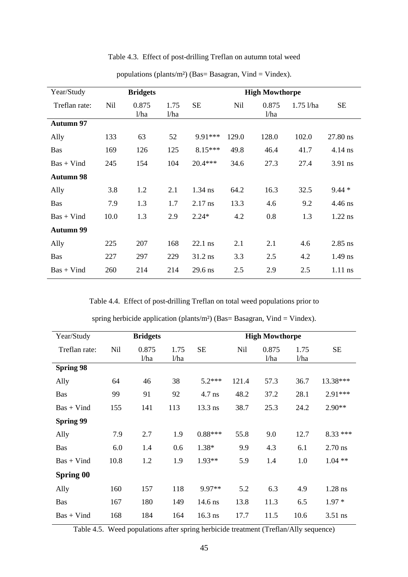| Year/Study       |      | <b>Bridgets</b> |              |           |       | <b>High Mowthorpe</b> |             |           |
|------------------|------|-----------------|--------------|-----------|-------|-----------------------|-------------|-----------|
| Treflan rate:    | Nil  | 0.875<br>1/ha   | 1.75<br>1/ha | <b>SE</b> | Nil   | 0.875<br>1/ha         | $1.75$ l/ha | <b>SE</b> |
| <b>Autumn 97</b> |      |                 |              |           |       |                       |             |           |
| Ally             | 133  | 63              | 52           | 9.91***   | 129.0 | 128.0                 | 102.0       | 27.80 ns  |
| <b>Bas</b>       | 169  | 126             | 125          | $8.15***$ | 49.8  | 46.4                  | 41.7        | 4.14 ns   |
| $Bas + Vind$     | 245  | 154             | 104          | $20.4***$ | 34.6  | 27.3                  | 27.4        | $3.91$ ns |
| <b>Autumn 98</b> |      |                 |              |           |       |                       |             |           |
| Ally             | 3.8  | 1.2             | 2.1          | 1.34 ns   | 64.2  | 16.3                  | 32.5        | $9.44*$   |
| <b>Bas</b>       | 7.9  | 1.3             | 1.7          | $2.17$ ns | 13.3  | 4.6                   | 9.2         | 4.46 ns   |
| $Bas + Vind$     | 10.0 | 1.3             | 2.9          | $2.24*$   | 4.2   | 0.8                   | 1.3         | $1.22$ ns |
| <b>Autumn 99</b> |      |                 |              |           |       |                       |             |           |
| Ally             | 225  | 207             | 168          | $22.1$ ns | 2.1   | 2.1                   | 4.6         | $2.85$ ns |
| Bas              | 227  | 297             | 229          | $31.2$ ns | 3.3   | 2.5                   | 4.2         | $1.49$ ns |
| $Bas + Vind$     | 260  | 214             | 214          | 29.6 ns   | 2.5   | 2.9                   | 2.5         | $1.11$ ns |

Table 4.3. Effect of post-drilling Treflan on autumn total weed

populations (plants/m<sup>2</sup>) (Bas= Basagran, Vind = Vindex).

Table 4.4. Effect of post-drilling Treflan on total weed populations prior to

| spring herbicide application (plants/m <sup>2</sup> ) (Bas= Basagran, Vind = Vindex). |
|---------------------------------------------------------------------------------------|
|---------------------------------------------------------------------------------------|

| <b>Bridgets</b> |       |      | <b>High Mowthorpe</b> |       |       |      |           |
|-----------------|-------|------|-----------------------|-------|-------|------|-----------|
| Nil             | 0.875 | 1.75 | <b>SE</b>             | Nil   | 0.875 | 1.75 | <b>SE</b> |
|                 |       |      |                       |       |       |      |           |
|                 |       |      |                       |       |       |      |           |
| 64              | 46    | 38   | $5.2***$              | 121.4 | 57.3  | 36.7 | 13.38***  |
| 99              | 91    | 92   | 4.7 ns                | 48.2  | 37.2  | 28.1 | 2.91***   |
| 155             | 141   | 113  | 13.3 ns               | 38.7  | 25.3  | 24.2 | $2.90**$  |
|                 |       |      |                       |       |       |      |           |
| 7.9             | 2.7   | 1.9  | $0.88***$             | 55.8  | 9.0   | 12.7 | $8.33***$ |
| 6.0             | 1.4   | 0.6  | $1.38*$               | 9.9   | 4.3   | 6.1  | $2.70$ ns |
| 10.8            | 1.2   | 1.9  | 1.93**                | 5.9   | 1.4   | 1.0  | $1.04**$  |
|                 |       |      |                       |       |       |      |           |
| 160             | 157   | 118  | 9.97**                | 5.2   | 6.3   | 4.9  | $1.28$ ns |
| 167             | 180   | 149  | $14.6$ ns             | 13.8  | 11.3  | 6.5  | $1.97*$   |
| 168             | 184   | 164  | $16.3$ ns             | 17.7  | 11.5  | 10.6 | $3.51$ ns |
|                 |       | 1/ha | 1/ha                  |       |       | 1/ha | 1/ha      |

Table 4.5. Weed populations after spring herbicide treatment (Treflan/Ally sequence)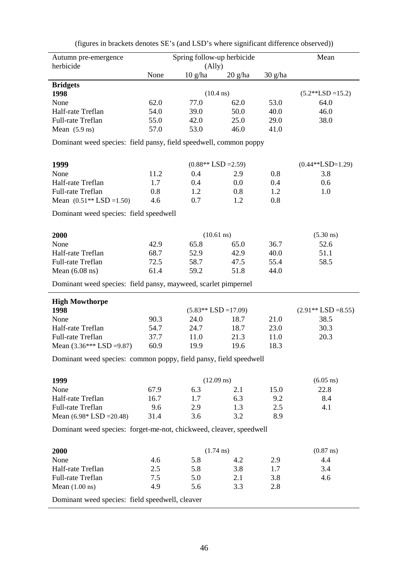| Autumn pre-emergence                                                |              | Spring follow-up herbicide |                     |                   | Mean                 |
|---------------------------------------------------------------------|--------------|----------------------------|---------------------|-------------------|----------------------|
| herbicide                                                           |              | (A11y)                     |                     |                   |                      |
|                                                                     | None         | $10 \text{ g/ha}$          | $20$ g/ha           | $30 \text{ g/ha}$ |                      |
| <b>Bridgets</b>                                                     |              |                            |                     |                   |                      |
| 1998                                                                |              | $(10.4 \text{ ns})$        |                     |                   | $(5.2**LSD = 15.2)$  |
| None                                                                | 62.0         | 77.0                       | 62.0                | 53.0              | 64.0                 |
| Half-rate Treflan                                                   | 54.0         | 39.0                       | 50.0                | 40.0              | 46.0                 |
| Full-rate Treflan                                                   | 55.0         | 42.0                       | 25.0                | 29.0              | 38.0                 |
| Mean $(5.9 \text{ ns})$                                             | 57.0         | 53.0                       | 46.0                | 41.0              |                      |
| Dominant weed species: field pansy, field speedwell, common poppy   |              |                            |                     |                   |                      |
| 1999                                                                |              | $(0.88**LSD = 2.59)$       |                     |                   | $(0.44**LSD=1.29)$   |
| None                                                                | 11.2         | 0.4                        | 2.9                 | 0.8               | 3.8                  |
| Half-rate Treflan                                                   | 1.7          | 0.4                        | 0.0                 | 0.4               | 0.6                  |
| Full-rate Treflan                                                   | 0.8          | 1.2                        | 0.8                 | 1.2               | 1.0                  |
| Mean $(0.51**LSD = 1.50)$                                           | 4.6          | 0.7                        | 1.2                 | 0.8               |                      |
| Dominant weed species: field speedwell                              |              |                            |                     |                   |                      |
|                                                                     |              |                            |                     |                   |                      |
| 2000                                                                |              | $(10.61 \text{ ns})$       |                     |                   | $(5.30 \text{ ns})$  |
| None                                                                | 42.9         | 65.8                       | 65.0                | 36.7              | 52.6                 |
| Half-rate Treflan                                                   | 68.7         | 52.9                       | 42.9                | 40.0              | 51.1                 |
| Full-rate Treflan                                                   | 72.5         | 58.7                       | 47.5                | 55.4              | 58.5                 |
| Mean $(6.08 \text{ ns})$                                            | 61.4         | 59.2                       | 51.8                | 44.0              |                      |
| Dominant weed species: field pansy, mayweed, scarlet pimpernel      |              |                            |                     |                   |                      |
| <b>High Mowthorpe</b>                                               |              |                            |                     |                   |                      |
| 1998                                                                |              | $(5.83**LSD = 17.09)$      |                     | 21.0              | $(2.91**LSD = 8.55)$ |
| None<br>Half-rate Treflan                                           | 90.3<br>54.7 | 24.0<br>24.7               | 18.7<br>18.7        | 23.0              | 38.5<br>30.3         |
| Full-rate Treflan                                                   | 37.7         | 11.0                       | 21.3                | 11.0              | 20.3                 |
| Mean $(3.36***$ LSD =9.87)                                          | 60.9         | 19.9                       | 19.6                | 18.3              |                      |
| Dominant weed species: common poppy, field pansy, field speedwell   |              |                            |                     |                   |                      |
|                                                                     |              |                            |                     |                   |                      |
| 1999                                                                |              | $(12.09 \text{ ns})$       |                     |                   | $(6.05 \text{ ns})$  |
| None                                                                | 67.9         | 6.3                        | 2.1                 | 15.0              | 22.8                 |
| Half-rate Treflan                                                   | 16.7         | 1.7                        | 6.3                 | 9.2               | 8.4                  |
| Full-rate Treflan                                                   | 9.6          | 2.9                        | 1.3                 | 2.5               | 4.1                  |
| Mean $(6.98 * LSD = 20.48)$                                         | 31.4         | 3.6                        | 3.2                 | 8.9               |                      |
| Dominant weed species: forget-me-not, chickweed, cleaver, speedwell |              |                            |                     |                   |                      |
| 2000                                                                |              |                            | $(1.74 \text{ ns})$ |                   | $(0.87 \text{ ns})$  |
| None                                                                | 4.6          | 5.8                        | 4.2                 | 2.9               | 4.4                  |
| Half-rate Treflan                                                   | 2.5          | 5.8                        | 3.8                 | 1.7               | 3.4                  |
| Full-rate Treflan                                                   | 7.5          | 5.0                        | 2.1                 | 3.8               | 4.6                  |
| Mean $(1.00 \text{ ns})$                                            | 4.9          | 5.6                        | 3.3                 | 2.8               |                      |
| Dominant weed species: field speedwell, cleaver                     |              |                            |                     |                   |                      |

(figures in brackets denotes SE's (and LSD's where significant difference observed))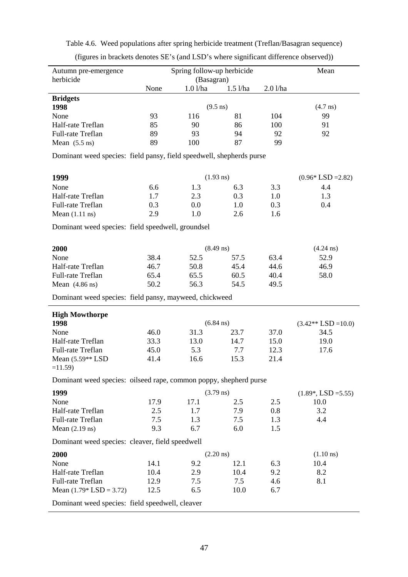| Autumn pre-emergence                                                 | Spring follow-up herbicide |                       |            |         | Mean                   |
|----------------------------------------------------------------------|----------------------------|-----------------------|------------|---------|------------------------|
| herbicide                                                            | None                       | (Basagran)<br>1.01/ha | $1.5$ l/ha | 2.01/ha |                        |
| <b>Bridgets</b>                                                      |                            |                       |            |         |                        |
| 1998                                                                 |                            | $(9.5 \text{ ns})$    |            |         | $(4.7 \text{ ns})$     |
| None                                                                 | 93                         | 116                   | 81         | 104     | 99                     |
| Half-rate Treflan                                                    | 85                         | 90                    | 86         | 100     | 91                     |
| Full-rate Treflan                                                    | 89                         | 93                    | 94         | 92      | 92                     |
| Mean $(5.5 \text{ ns})$                                              | 89                         | 100                   | 87         | 99      |                        |
| Dominant weed species: field pansy, field speedwell, shepherds purse |                            |                       |            |         |                        |
| 1999                                                                 |                            | $(1.93 \text{ ns})$   |            |         | $(0.96 * LSD = 2.82)$  |
| None                                                                 | 6.6                        | 1.3                   | 6.3        | 3.3     | 4.4                    |
| Half-rate Treflan                                                    | 1.7                        | 2.3                   | 0.3        | 1.0     | 1.3                    |
| Full-rate Treflan                                                    | 0.3                        | 0.0                   | 1.0        | 0.3     | 0.4                    |
| Mean $(1.11 \text{ ns})$                                             | 2.9                        | 1.0                   | 2.6        | 1.6     |                        |
| Dominant weed species: field speedwell, groundsel                    |                            |                       |            |         |                        |
| 2000                                                                 |                            | $(8.49 \text{ ns})$   |            |         | $(4.24 \text{ ns})$    |
| None                                                                 | 38.4                       | 52.5                  | 57.5       | 63.4    | 52.9                   |
| Half-rate Treflan                                                    | 46.7                       | 50.8                  | 45.4       | 44.6    | 46.9                   |
| Full-rate Treflan                                                    | 65.4                       | 65.5                  | 60.5       | 40.4    | 58.0                   |
| Mean $(4.86 \text{ ns})$                                             | 50.2                       | 56.3                  | 54.5       | 49.5    |                        |
| Dominant weed species: field pansy, mayweed, chickweed               |                            |                       |            |         |                        |
| <b>High Mowthorpe</b>                                                |                            |                       |            |         |                        |
| 1998                                                                 |                            | $(6.84 \text{ ns})$   |            |         | $(3.42**LSD=10.0)$     |
| None                                                                 | 46.0                       | 31.3                  | 23.7       | 37.0    | 34.5                   |
| Half-rate Treflan                                                    | 33.3                       | 13.0                  | 14.7       | 15.0    | 19.0                   |
| Full-rate Treflan                                                    | 45.0                       | 5.3                   | 7.7        | 12.3    | 17.6                   |
| Mean (5.59** LSD<br>$=11.59$                                         | 41.4                       | 16.6                  | 15.3       | 21.4    |                        |
| Dominant weed species: oilseed rape, common poppy, shepherd purse    |                            |                       |            |         |                        |
| 1999                                                                 |                            | $(3.79 \text{ ns})$   |            |         | $(1.89^*, LSD = 5.55)$ |
| None                                                                 | 17.9                       | 17.1                  | 2.5        | 2.5     | 10.0                   |
| Half-rate Treflan                                                    | 2.5                        | 1.7                   | 7.9        | 0.8     | 3.2                    |
| Full-rate Treflan                                                    | 7.5                        | 1.3                   | 7.5        | 1.3     | 4.4                    |
| Mean $(2.19 \text{ ns})$                                             | 9.3                        | 6.7                   | 6.0        | 1.5     |                        |
| Dominant weed species: cleaver, field speedwell                      |                            |                       |            |         |                        |
| 2000                                                                 |                            | $(2.20 \text{ ns})$   |            |         | $(1.10 \text{ ns})$    |
| None                                                                 | 14.1                       | 9.2                   | 12.1       | 6.3     | 10.4                   |
| Half-rate Treflan                                                    | 10.4                       | 2.9                   | 10.4       | 9.2     | 8.2                    |
| Full-rate Treflan                                                    | 12.9                       | 7.5                   | 7.5        | 4.6     | 8.1                    |
|                                                                      |                            |                       |            |         |                        |
| Mean $(1.79 * LSD = 3.72)$                                           | 12.5                       | 6.5                   | 10.0       | 6.7     |                        |

Table 4.6. Weed populations after spring herbicide treatment (Treflan/Basagran sequence)

(figures in brackets denotes SE's (and LSD's where significant difference observed))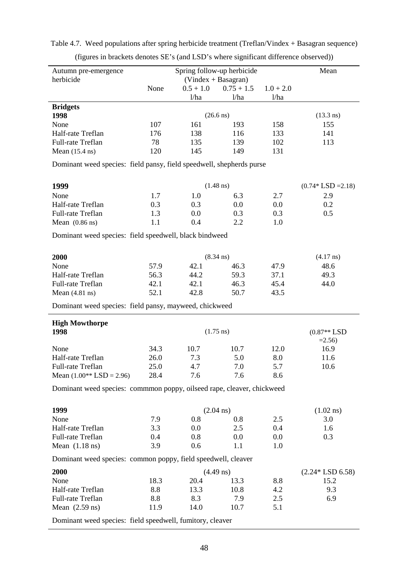| Autumn pre-emergence<br>herbicide                                      |      | Spring follow-up herbicide<br>$(Vindex + Basagram)$ |                     |             | Mean                    |
|------------------------------------------------------------------------|------|-----------------------------------------------------|---------------------|-------------|-------------------------|
|                                                                        | None | $0.5 + 1.0$                                         | $0.75 + 1.5$        | $1.0 + 2.0$ |                         |
|                                                                        |      | 1/ha                                                | 1/ha                | 1/ha        |                         |
| <b>Bridgets</b>                                                        |      |                                                     |                     |             |                         |
| 1998                                                                   |      |                                                     | $(26.6 \text{ ns})$ |             | $(13.3 \text{ ns})$     |
| None                                                                   | 107  | 161                                                 | 193                 | 158         | 155                     |
| Half-rate Treflan                                                      | 176  | 138                                                 | 116                 | 133         | 141                     |
| Full-rate Treflan                                                      | 78   | 135                                                 | 139                 | 102         | 113                     |
| Mean $(15.4 \text{ ns})$                                               | 120  | 145                                                 | 149                 | 131         |                         |
| Dominant weed species: field pansy, field speedwell, shepherds purse   |      |                                                     |                     |             |                         |
| 1999                                                                   |      |                                                     | $(1.48 \text{ ns})$ |             | $(0.74 * LSD = 2.18)$   |
| None                                                                   | 1.7  | 1.0                                                 | 6.3                 | 2.7         | 2.9                     |
| Half-rate Treflan                                                      | 0.3  | 0.3                                                 | 0.0                 | 0.0         | 0.2                     |
| Full-rate Treflan                                                      | 1.3  | 0.0                                                 | 0.3                 | 0.3         | 0.5                     |
| Mean $(0.86 \text{ ns})$                                               | 1.1  | 0.4                                                 | 2.2                 | 1.0         |                         |
| Dominant weed species: field speedwell, black bindweed                 |      |                                                     |                     |             |                         |
| 2000                                                                   |      |                                                     | $(8.34 \text{ ns})$ |             | $(4.17 \text{ ns})$     |
| None                                                                   | 57.9 | 42.1                                                | 46.3                | 47.9        | 48.6                    |
| Half-rate Treflan                                                      | 56.3 | 44.2                                                | 59.3                | 37.1        | 49.3                    |
| Full-rate Treflan                                                      | 42.1 | 42.1                                                | 46.3                | 45.4        | 44.0                    |
| Mean $(4.81 \text{ ns})$                                               | 52.1 | 42.8                                                | 50.7                | 43.5        |                         |
| Dominant weed species: field pansy, mayweed, chickweed                 |      |                                                     |                     |             |                         |
| <b>High Mowthorpe</b>                                                  |      |                                                     |                     |             |                         |
| 1998                                                                   |      |                                                     | $(1.75 \text{ ns})$ |             | $(0.87**LSD$<br>$=2.56$ |
| None                                                                   | 34.3 | 10.7                                                | 10.7                | 12.0        | 16.9                    |
| Half-rate Treflan                                                      | 26.0 | 7.3                                                 | 5.0                 | 8.0         | 11.6                    |
| Full-rate Treflan                                                      | 25.0 | 4.7                                                 | 7.0                 | 5.7         | 10.6                    |
| Mean $(1.00**$ LSD = 2.96)                                             | 28.4 | 7.6                                                 | 7.6                 | 8.6         |                         |
| Dominant weed species: commmon poppy, oilseed rape, cleaver, chickweed |      |                                                     |                     |             |                         |
| 1999                                                                   |      |                                                     | $(2.04 \text{ ns})$ |             | $(1.02 \text{ ns})$     |
| None                                                                   | 7.9  | 0.8                                                 | $0.8\,$             | 2.5         | 3.0                     |
| Half-rate Treflan                                                      | 3.3  | 0.0                                                 | 2.5                 | 0.4         | 1.6                     |
| Full-rate Treflan                                                      | 0.4  | 0.8                                                 | 0.0                 | $0.0\,$     | 0.3                     |
| Mean $(1.18 \text{ ns})$                                               | 3.9  | 0.6                                                 | 1.1                 | 1.0         |                         |
| Dominant weed species: common poppy, field speedwell, cleaver          |      |                                                     |                     |             |                         |
| 2000                                                                   |      |                                                     | $(4.49 \text{ ns})$ |             | $(2.24 * LSD 6.58)$     |
| None                                                                   | 18.3 | 20.4                                                | 13.3                | 8.8         | 15.2                    |
| Half-rate Treflan                                                      | 8.8  | 13.3                                                | 10.8                | 4.2         | 9.3                     |
|                                                                        |      |                                                     |                     |             |                         |
| Full-rate Treflan                                                      | 8.8  | 8.3                                                 | 7.9                 | 2.5         | 6.9                     |
| Mean $(2.59 \text{ ns})$                                               | 11.9 | 14.0                                                | 10.7                | 5.1         |                         |

Table 4.7. Weed populations after spring herbicide treatment (Treflan/Vindex + Basagran sequence)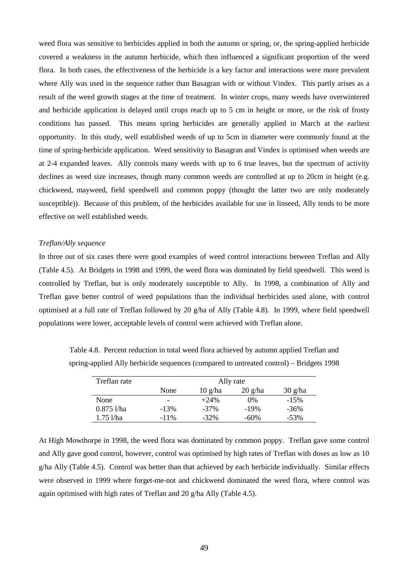weed flora was sensitive to herbicides applied in both the autumn or spring, or, the spring-applied herbicide covered a weakness in the autumn herbicide, which then influenced a significant proportion of the weed flora. In both cases, the effectiveness of the herbicide is a key factor and interactions were more prevalent where Ally was used in the sequence rather than Basagran with or without Vindex. This partly arises as a result of the weed growth stages at the time of treatment. In winter crops, many weeds have overwintered and herbicide application is delayed until crops reach up to 5 cm in height or more, or the risk of frosty conditions has passed. This means spring herbicides are generally applied in March at the earliest opportunity. In this study, well established weeds of up to 5cm in diameter were commonly found at the time of spring-herbicide application. Weed sensitivity to Basagran and Vindex is optimised when weeds are at 2-4 expanded leaves. Ally controls many weeds with up to 6 true leaves, but the spectrum of activity declines as weed size increases, though many common weeds are controlled at up to 20cm in height (e.g. chickweed, mayweed, field speedwell and common poppy (thought the latter two are only moderately susceptible)). Because of this problem, of the herbicides available for use in linseed, Ally tends to be more effective on well established weeds.

# *Treflan/Ally sequence*

In three out of six cases there were good examples of weed control interactions between Treflan and Ally (Table 4.5). At Bridgets in 1998 and 1999, the weed flora was dominated by field speedwell. This weed is controlled by Treflan, but is only moderately susceptible to Ally. In 1998, a combination of Ally and Treflan gave better control of weed populations than the individual herbicides used alone, with control optimised at a full rate of Treflan followed by 20 g/ha of Ally (Table 4.8). In 1999, where field speedwell populations were lower, acceptable levels of control were achieved with Treflan alone.

| Treflan rate | Ally rate |                                  |                                  |                   |  |  |  |  |
|--------------|-----------|----------------------------------|----------------------------------|-------------------|--|--|--|--|
|              | None      | $10 \frac{\text{g}}{\text{h}}$ a | $20 \frac{\text{g}}{\text{h}}$ a | $30 \frac{g}{ha}$ |  |  |  |  |
| None         | -         | $+24%$                           | $0\%$                            | $-15%$            |  |  |  |  |
| $0.875$ 1/ha | $-13%$    | $-37\%$                          | $-19%$                           | $-36\%$           |  |  |  |  |
| $1.75$ l/ha  | $-11\%$   | $-32\%$                          | $-60%$                           | $-53%$            |  |  |  |  |

Table 4.8. Percent reduction in total weed flora achieved by autumn applied Treflan and spring-applied Ally herbicide sequences (compared to untreated control) – Bridgets 1998

At High Mowthorpe in 1998, the weed flora was dominated by common poppy. Treflan gave some control and Ally gave good control, however, control was optimised by high rates of Treflan with doses as low as 10 g/ha Ally (Table 4.5). Control was better than that achieved by each herbicide individually. Similar effects were observed in 1999 where forget-me-not and chickweed dominated the weed flora, where control was again optimised with high rates of Treflan and 20 g/ha Ally (Table 4.5).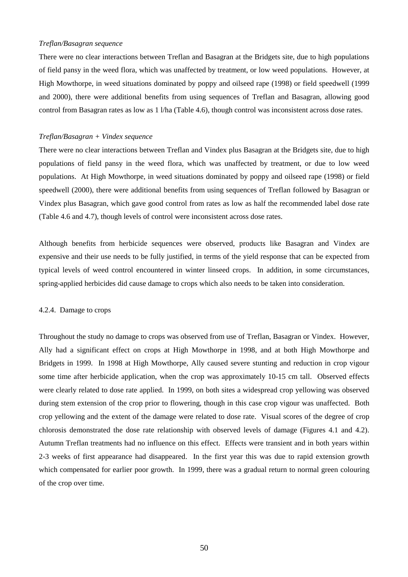## *Treflan/Basagran sequence*

There were no clear interactions between Treflan and Basagran at the Bridgets site, due to high populations of field pansy in the weed flora, which was unaffected by treatment, or low weed populations. However, at High Mowthorpe, in weed situations dominated by poppy and oilseed rape (1998) or field speedwell (1999 and 2000), there were additional benefits from using sequences of Treflan and Basagran, allowing good control from Basagran rates as low as 1 l/ha (Table 4.6), though control was inconsistent across dose rates.

## *Treflan/Basagran + Vindex sequence*

There were no clear interactions between Treflan and Vindex plus Basagran at the Bridgets site, due to high populations of field pansy in the weed flora, which was unaffected by treatment, or due to low weed populations. At High Mowthorpe, in weed situations dominated by poppy and oilseed rape (1998) or field speedwell (2000), there were additional benefits from using sequences of Treflan followed by Basagran or Vindex plus Basagran, which gave good control from rates as low as half the recommended label dose rate (Table 4.6 and 4.7), though levels of control were inconsistent across dose rates.

Although benefits from herbicide sequences were observed, products like Basagran and Vindex are expensive and their use needs to be fully justified, in terms of the yield response that can be expected from typical levels of weed control encountered in winter linseed crops. In addition, in some circumstances, spring-applied herbicides did cause damage to crops which also needs to be taken into consideration.

#### 4.2.4. Damage to crops

Throughout the study no damage to crops was observed from use of Treflan, Basagran or Vindex. However, Ally had a significant effect on crops at High Mowthorpe in 1998, and at both High Mowthorpe and Bridgets in 1999. In 1998 at High Mowthorpe, Ally caused severe stunting and reduction in crop vigour some time after herbicide application, when the crop was approximately 10-15 cm tall. Observed effects were clearly related to dose rate applied. In 1999, on both sites a widespread crop yellowing was observed during stem extension of the crop prior to flowering, though in this case crop vigour was unaffected. Both crop yellowing and the extent of the damage were related to dose rate. Visual scores of the degree of crop chlorosis demonstrated the dose rate relationship with observed levels of damage (Figures 4.1 and 4.2). Autumn Treflan treatments had no influence on this effect. Effects were transient and in both years within 2-3 weeks of first appearance had disappeared. In the first year this was due to rapid extension growth which compensated for earlier poor growth. In 1999, there was a gradual return to normal green colouring of the crop over time.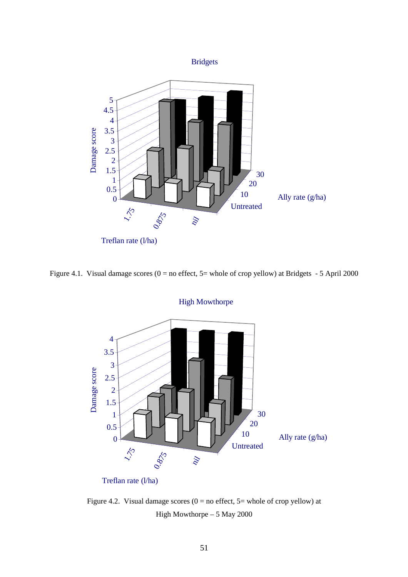

Figure 4.1. Visual damage scores ( $0 = no$  effect,  $5 = whole$  of crop yellow) at Bridgets - 5 April 2000



Figure 4.2. Visual damage scores ( $0 =$  no effect,  $5 =$  whole of crop yellow) at High Mowthorpe – 5 May 2000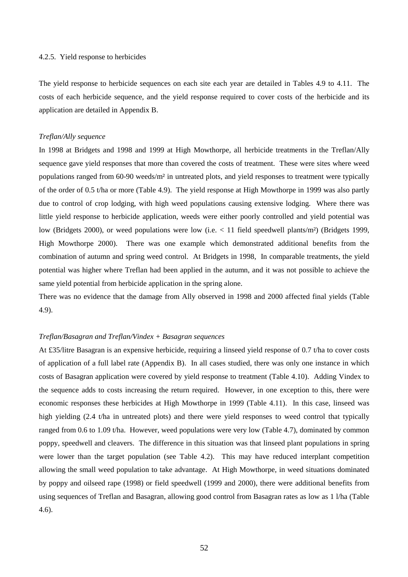#### 4.2.5. Yield response to herbicides

The yield response to herbicide sequences on each site each year are detailed in Tables 4.9 to 4.11. The costs of each herbicide sequence, and the yield response required to cover costs of the herbicide and its application are detailed in Appendix B.

#### *Treflan/Ally sequence*

In 1998 at Bridgets and 1998 and 1999 at High Mowthorpe, all herbicide treatments in the Treflan/Ally sequence gave yield responses that more than covered the costs of treatment. These were sites where weed populations ranged from 60-90 weeds/m² in untreated plots, and yield responses to treatment were typically of the order of 0.5 t/ha or more (Table 4.9). The yield response at High Mowthorpe in 1999 was also partly due to control of crop lodging, with high weed populations causing extensive lodging. Where there was little yield response to herbicide application, weeds were either poorly controlled and yield potential was low (Bridgets 2000), or weed populations were low (i.e. < 11 field speedwell plants/m²) (Bridgets 1999, High Mowthorpe 2000). There was one example which demonstrated additional benefits from the combination of autumn and spring weed control. At Bridgets in 1998, In comparable treatments, the yield potential was higher where Treflan had been applied in the autumn, and it was not possible to achieve the same yield potential from herbicide application in the spring alone.

There was no evidence that the damage from Ally observed in 1998 and 2000 affected final yields (Table 4.9).

#### *Treflan/Basagran and Treflan/Vindex + Basagran sequences*

At £35/litre Basagran is an expensive herbicide, requiring a linseed yield response of 0.7 t/ha to cover costs of application of a full label rate (Appendix B). In all cases studied, there was only one instance in which costs of Basagran application were covered by yield response to treatment (Table 4.10). Adding Vindex to the sequence adds to costs increasing the return required. However, in one exception to this, there were economic responses these herbicides at High Mowthorpe in 1999 (Table 4.11). In this case, linseed was high yielding (2.4 t/ha in untreated plots) and there were yield responses to weed control that typically ranged from 0.6 to 1.09 t/ha. However, weed populations were very low (Table 4.7), dominated by common poppy, speedwell and cleavers. The difference in this situation was that linseed plant populations in spring were lower than the target population (see Table 4.2). This may have reduced interplant competition allowing the small weed population to take advantage. At High Mowthorpe, in weed situations dominated by poppy and oilseed rape (1998) or field speedwell (1999 and 2000), there were additional benefits from using sequences of Treflan and Basagran, allowing good control from Basagran rates as low as 1 l/ha (Table 4.6).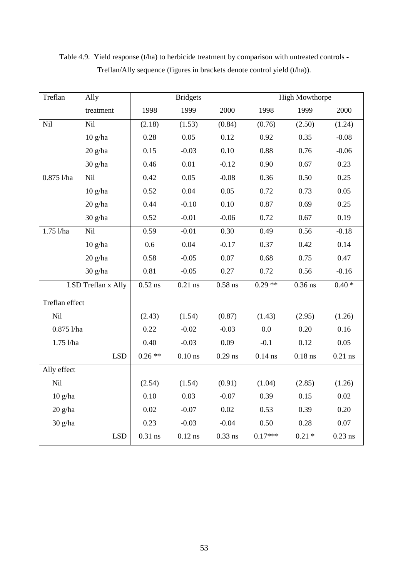| Treflan        | Ally               |           | <b>Bridgets</b> |           |           | <b>High Mowthorpe</b> |           |
|----------------|--------------------|-----------|-----------------|-----------|-----------|-----------------------|-----------|
|                | treatment          | 1998      | 1999            | 2000      | 1998      | 1999                  | 2000      |
| Nil            | Nil                | (2.18)    | (1.53)          | (0.84)    | (0.76)    | (2.50)                | (1.24)    |
|                | $10$ g/ha          | 0.28      | 0.05            | 0.12      | 0.92      | 0.35                  | $-0.08$   |
|                | $20$ g/ha          | 0.15      | $-0.03$         | 0.10      | 0.88      | 0.76                  | $-0.06$   |
|                | 30 g/ha            | 0.46      | 0.01            | $-0.12$   | 0.90      | 0.67                  | 0.23      |
| $0.875$ l/ha   | Nil                | 0.42      | 0.05            | $-0.08$   | 0.36      | 0.50                  | 0.25      |
|                | $10$ g/ha          | 0.52      | 0.04            | 0.05      | 0.72      | 0.73                  | 0.05      |
|                | $20$ g/ha          | 0.44      | $-0.10$         | 0.10      | 0.87      | 0.69                  | 0.25      |
|                | 30 g/ha            | 0.52      | $-0.01$         | $-0.06$   | 0.72      | 0.67                  | 0.19      |
| $1.75$ l/ha    | Nil                | 0.59      | $-0.01$         | 0.30      | 0.49      | 0.56                  | $-0.18$   |
|                | $10$ g/ha          | 0.6       | 0.04            | $-0.17$   | 0.37      | 0.42                  | 0.14      |
|                | $20$ g/ha          | 0.58      | $-0.05$         | 0.07      | 0.68      | 0.75                  | 0.47      |
|                | 30 g/ha            | 0.81      | $-0.05$         | 0.27      | 0.72      | 0.56                  | $-0.16$   |
|                | LSD Treflan x Ally | $0.52$ ns | $0.21$ ns       | $0.58$ ns | $0.29**$  | $0.36$ ns             | $0.40*$   |
| Treflan effect |                    |           |                 |           |           |                       |           |
| Nil            |                    | (2.43)    | (1.54)          | (0.87)    | (1.43)    | (2.95)                | (1.26)    |
| $0.875$ l/ha   |                    | 0.22      | $-0.02$         | $-0.03$   | 0.0       | 0.20                  | 0.16      |
| 1.75 l/ha      |                    | 0.40      | $-0.03$         | 0.09      | $-0.1$    | 0.12                  | 0.05      |
|                | <b>LSD</b>         | $0.26**$  | $0.10$ ns       | $0.29$ ns | $0.14$ ns | $0.18$ ns             | $0.21$ ns |
| Ally effect    |                    |           |                 |           |           |                       |           |
| Nil            |                    | (2.54)    | (1.54)          | (0.91)    | (1.04)    | (2.85)                | (1.26)    |
| $10$ g/ha      |                    | 0.10      | 0.03            | $-0.07$   | 0.39      | 0.15                  | 0.02      |
| 20 g/ha        |                    | 0.02      | $-0.07$         | 0.02      | 0.53      | 0.39                  | 0.20      |
| 30 g/ha        |                    | 0.23      | $-0.03$         | $-0.04$   | 0.50      | 0.28                  | 0.07      |
|                | <b>LSD</b>         | $0.31$ ns | $0.12$ ns       | $0.33$ ns | $0.17***$ | $0.21 *$              | $0.23$ ns |

Table 4.9. Yield response (t/ha) to herbicide treatment by comparison with untreated controls - Treflan/Ally sequence (figures in brackets denote control yield (t/ha)).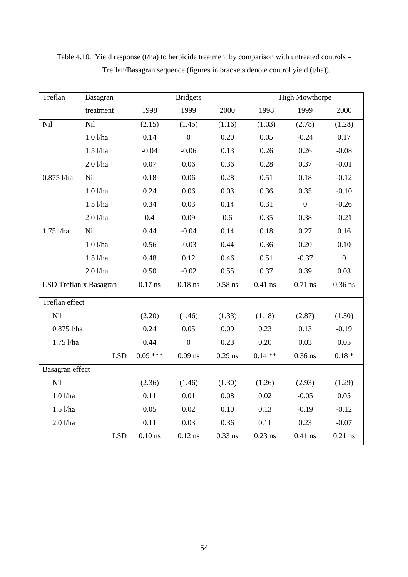| Treflan                | Basagran   |            | <b>Bridgets</b> |           |                        | <b>High Mowthorpe</b> |                   |
|------------------------|------------|------------|-----------------|-----------|------------------------|-----------------------|-------------------|
|                        | treatment  | 1998       | 1999            | 2000      | 1998                   | 1999                  | 2000              |
| Nil                    | Nil        | (2.15)     | (1.45)          | (1.16)    | (1.03)                 | (2.78)                | (1.28)            |
|                        | 1.01/ha    | 0.14       | $\mathbf{0}$    | 0.20      | 0.05                   | $-0.24$               | 0.17              |
|                        | $1.5$ l/ha | $-0.04$    | $-0.06$         | 0.13      | 0.26                   | 0.26                  | $-0.08$           |
|                        | 2.01/ha    | 0.07       | 0.06            | 0.36      | 0.28                   | 0.37                  | $-0.01$           |
| $0.875$ l/ha           | Nil        | 0.18       | 0.06            | 0.28      | 0.51                   | 0.18                  | $-0.12$           |
|                        | 1.01/ha    | 0.24       | 0.06            | 0.03      | 0.36                   | 0.35                  | $-0.10$           |
|                        | $1.5$ l/ha | 0.34       | 0.03            | 0.14      | 0.31                   | $\boldsymbol{0}$      | $-0.26$           |
|                        | 2.01/ha    | 0.4        | 0.09            | 0.6       | 0.35                   | 0.38                  | $-0.21$           |
| $1.75$ $1/ha$          | Nil        | 0.44       | $-0.04$         | 0.14      | 0.18                   | 0.27                  | $\overline{0.16}$ |
|                        | 1.01/ha    | 0.56       | $-0.03$         | 0.44      | 0.36                   | 0.20                  | 0.10              |
|                        | $1.5$ l/ha | 0.48       | 0.12            | 0.46      | 0.51                   | $-0.37$               | $\mathbf{0}$      |
|                        | 2.01/ha    | 0.50       | $-0.02$         | 0.55      | 0.37                   | 0.39                  | 0.03              |
| LSD Treflan x Basagran |            | $0.17$ ns  | $0.18$ ns       | $0.58$ ns | $0.41$ ns<br>$0.71$ ns |                       | $0.36$ ns         |
| Treflan effect         |            |            |                 |           |                        |                       |                   |
| Nil                    |            | (2.20)     | (1.46)          | (1.33)    | (1.18)                 | (2.87)                | (1.30)            |
| $0.875$ l/ha           |            | 0.24       | 0.05            | 0.09      | 0.23                   | 0.13                  | $-0.19$           |
| 1.75 l/ha              |            | 0.44       | $\mathbf{0}$    | 0.23      | 0.20                   | 0.03                  | 0.05              |
|                        | <b>LSD</b> | $0.09$ *** | $0.09$ ns       | $0.29$ ns | $0.14**$               | $0.36$ ns             | $0.18 *$          |
| Basagran effect        |            |            |                 |           |                        |                       |                   |
| Nil                    |            | (2.36)     | (1.46)          | (1.30)    | (1.26)                 | (2.93)                | (1.29)            |
| 1.01/ha                |            | 0.11       | 0.01            | 0.08      | 0.02                   | $-0.05$               | 0.05              |
| $1.5$ l/ha             |            | 0.05       | 0.02            | 0.10      | 0.13                   | $-0.19$               | $-0.12$           |
| 2.01/ha                |            | 0.11       | 0.03            | 0.36      | 0.11                   | 0.23                  | $-0.07$           |
|                        | <b>LSD</b> | $0.10$ ns  | $0.12$ ns       | $0.33$ ns | $0.23$ ns              | $0.41$ ns             | $0.21$ ns         |

Table 4.10. Yield response (t/ha) to herbicide treatment by comparison with untreated controls -Treflan/Basagran sequence (figures in brackets denote control yield (t/ha)).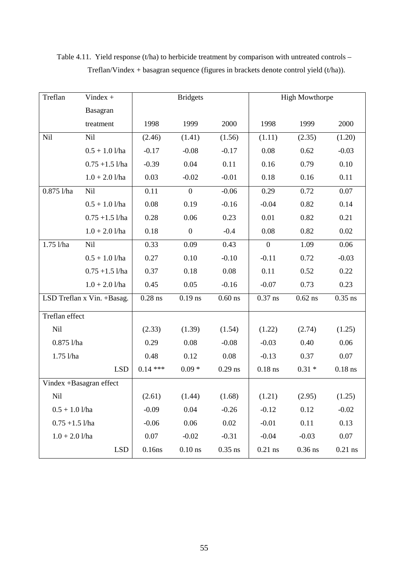| Treflan           | Vindex $+$                 |           | <b>Bridgets</b>  |           |                | <b>High Mowthorpe</b> |           |
|-------------------|----------------------------|-----------|------------------|-----------|----------------|-----------------------|-----------|
|                   | Basagran                   |           |                  |           |                |                       |           |
|                   | treatment                  | 1998      | 1999             | 2000      | 1998           | 1999                  | 2000      |
| Nil               | Nil                        | (2.46)    | (1.41)           | (1.56)    | (1.11)         | (2.35)                | (1.20)    |
|                   | $0.5 + 1.0$ l/ha           | $-0.17$   | $-0.08$          | $-0.17$   | 0.08           | 0.62                  | $-0.03$   |
|                   | $0.75 + 1.5$ l/ha          | $-0.39$   | 0.04             | 0.11      | 0.16           | 0.79                  | 0.10      |
|                   | $1.0 + 2.0$ l/ha           | 0.03      | $-0.02$          | $-0.01$   | 0.18           | 0.16                  | 0.11      |
| $0.875$ l/ha      | Nil                        | 0.11      | $\overline{0}$   | $-0.06$   | 0.29           | 0.72                  | 0.07      |
|                   | $0.5 + 1.0$ l/ha           | 0.08      | 0.19             | $-0.16$   | $-0.04$        | 0.82                  | 0.14      |
|                   | $0.75 + 1.5$ l/ha          | 0.28      | 0.06             | 0.23      | 0.01           | 0.82                  | 0.21      |
|                   | $1.0 + 2.0$ l/ha           | 0.18      | $\boldsymbol{0}$ | $-0.4$    | 0.08           | 0.82                  | 0.02      |
| $1.75$ l/ha       | Nil                        | 0.33      | 0.09             | 0.43      | $\overline{0}$ | 1.09                  | 0.06      |
|                   | $0.5 + 1.0$ l/ha           | 0.27      | 0.10             | $-0.10$   | $-0.11$        | 0.72                  | $-0.03$   |
|                   | $0.75 + 1.5$ l/ha          | 0.37      | 0.18             | 0.08      | 0.11           | 0.52                  | 0.22      |
|                   | $1.0 + 2.0$ l/ha           | 0.45      | 0.05             | $-0.16$   | $-0.07$        | 0.73                  | 0.23      |
|                   | LSD Treflan x Vin. +Basag. | $0.28$ ns | $0.19$ ns        | $0.60$ ns | $0.37$ ns      | $0.62$ ns             | $0.35$ ns |
| Treflan effect    |                            |           |                  |           |                |                       |           |
| <b>Nil</b>        |                            | (2.33)    | (1.39)           | (1.54)    | (1.22)         | (2.74)                | (1.25)    |
| $0.875$ l/ha      |                            | 0.29      | 0.08             | $-0.08$   | $-0.03$        | 0.40                  | 0.06      |
| 1.75 l/ha         |                            | 0.48      | 0.12             | 0.08      | $-0.13$        | 0.37                  | 0.07      |
|                   | <b>LSD</b>                 | $0.14***$ | $0.09*$          | $0.29$ ns | $0.18$ ns      | $0.31 *$              | $0.18$ ns |
|                   | Vindex +Basagran effect    |           |                  |           |                |                       |           |
| Nil               |                            | (2.61)    | (1.44)           | (1.68)    | (1.21)         | (2.95)                | (1.25)    |
| $0.5 + 1.0$ l/ha  |                            | $-0.09$   | 0.04             | $-0.26$   | $-0.12$        | 0.12                  | $-0.02$   |
| $0.75 + 1.5$ l/ha |                            | $-0.06$   | 0.06             | 0.02      | $-0.01$        | 0.11                  | 0.13      |
| $1.0 + 2.0$ l/ha  |                            | 0.07      | $-0.02$          | $-0.31$   | $-0.04$        | $-0.03$               | $0.07\,$  |
|                   | <b>LSD</b>                 | 0.16ns    | $0.10$ ns        | $0.35$ ns | $0.21$ ns      | $0.36$ ns             | $0.21$ ns |

Table 4.11. Yield response (t/ha) to herbicide treatment by comparison with untreated controls -Treflan/Vindex + basagran sequence (figures in brackets denote control yield (t/ha)).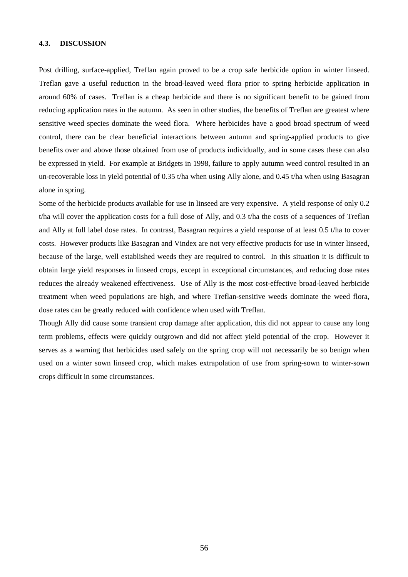#### **4.3. DISCUSSION**

Post drilling, surface-applied, Treflan again proved to be a crop safe herbicide option in winter linseed. Treflan gave a useful reduction in the broad-leaved weed flora prior to spring herbicide application in around 60% of cases. Treflan is a cheap herbicide and there is no significant benefit to be gained from reducing application rates in the autumn. As seen in other studies, the benefits of Treflan are greatest where sensitive weed species dominate the weed flora. Where herbicides have a good broad spectrum of weed control, there can be clear beneficial interactions between autumn and spring-applied products to give benefits over and above those obtained from use of products individually, and in some cases these can also be expressed in yield. For example at Bridgets in 1998, failure to apply autumn weed control resulted in an un-recoverable loss in yield potential of 0.35 t/ha when using Ally alone, and 0.45 t/ha when using Basagran alone in spring.

Some of the herbicide products available for use in linseed are very expensive. A yield response of only 0.2 t/ha will cover the application costs for a full dose of Ally, and 0.3 t/ha the costs of a sequences of Treflan and Ally at full label dose rates. In contrast, Basagran requires a yield response of at least 0.5 t/ha to cover costs. However products like Basagran and Vindex are not very effective products for use in winter linseed, because of the large, well established weeds they are required to control. In this situation it is difficult to obtain large yield responses in linseed crops, except in exceptional circumstances, and reducing dose rates reduces the already weakened effectiveness. Use of Ally is the most cost-effective broad-leaved herbicide treatment when weed populations are high, and where Treflan-sensitive weeds dominate the weed flora, dose rates can be greatly reduced with confidence when used with Treflan.

Though Ally did cause some transient crop damage after application, this did not appear to cause any long term problems, effects were quickly outgrown and did not affect yield potential of the crop. However it serves as a warning that herbicides used safely on the spring crop will not necessarily be so benign when used on a winter sown linseed crop, which makes extrapolation of use from spring-sown to winter-sown crops difficult in some circumstances.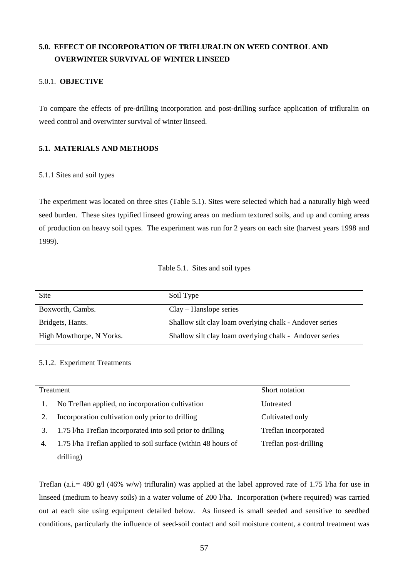# **5.0. EFFECT OF INCORPORATION OF TRIFLURALIN ON WEED CONTROL AND OVERWINTER SURVIVAL OF WINTER LINSEED**

# 5.0.1. **OBJECTIVE**

To compare the effects of pre-drilling incorporation and post-drilling surface application of trifluralin on weed control and overwinter survival of winter linseed.

# **5.1. MATERIALS AND METHODS**

# 5.1.1 Sites and soil types

The experiment was located on three sites (Table 5.1). Sites were selected which had a naturally high weed seed burden. These sites typified linseed growing areas on medium textured soils, and up and coming areas of production on heavy soil types. The experiment was run for 2 years on each site (harvest years 1998 and 1999).

# Table 5.1. Sites and soil types

| Site                     | Soil Type                                               |
|--------------------------|---------------------------------------------------------|
| Boxworth, Cambs.         | $Clav - Hanslope series$                                |
| Bridgets, Hants.         | Shallow silt clay loam overlying chalk - Andover series |
| High Mowthorpe, N Yorks. | Shallow silt clay loam overlying chalk - Andover series |

# 5.1.2. Experiment Treatments

|    | Treatment                                                     | Short notation        |
|----|---------------------------------------------------------------|-----------------------|
|    | No Treflan applied, no incorporation cultivation              | Untreated             |
|    | Incorporation cultivation only prior to drilling              | Cultivated only       |
| 3. | 1.75 l/ha Treflan incorporated into soil prior to drilling    | Treflan incorporated  |
| 4. | 1.75 l/ha Treflan applied to soil surface (within 48 hours of | Treflan post-drilling |
|    | drilling)                                                     |                       |

Treflan (a.i.= 480 g/l (46% w/w) trifluralin) was applied at the label approved rate of 1.75 l/ha for use in linseed (medium to heavy soils) in a water volume of 200 l/ha. Incorporation (where required) was carried out at each site using equipment detailed below. As linseed is small seeded and sensitive to seedbed conditions, particularly the influence of seed-soil contact and soil moisture content, a control treatment was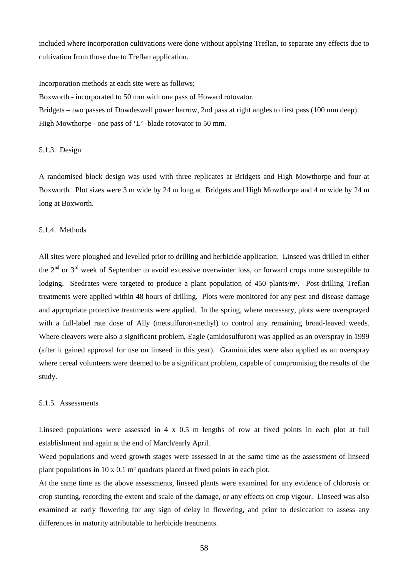included where incorporation cultivations were done without applying Treflan, to separate any effects due to cultivation from those due to Treflan application.

Incorporation methods at each site were as follows;

Boxworth - incorporated to 50 mm with one pass of Howard rotovator.

Bridgets – two passes of Dowdeswell power harrow, 2nd pass at right angles to first pass (100 mm deep). High Mowthorpe - one pass of 'L' -blade rotovator to 50 mm.

## 5.1.3. Design

A randomised block design was used with three replicates at Bridgets and High Mowthorpe and four at Boxworth. Plot sizes were 3 m wide by 24 m long at Bridgets and High Mowthorpe and 4 m wide by 24 m long at Boxworth.

# 5.1.4. Methods

All sites were ploughed and levelled prior to drilling and herbicide application. Linseed was drilled in either the  $2<sup>nd</sup>$  or  $3<sup>rd</sup>$  week of September to avoid excessive overwinter loss, or forward crops more susceptible to lodging. Seedrates were targeted to produce a plant population of 450 plants/m<sup>2</sup>. Post-drilling Treflan treatments were applied within 48 hours of drilling. Plots were monitored for any pest and disease damage and appropriate protective treatments were applied. In the spring, where necessary, plots were oversprayed with a full-label rate dose of Ally (metsulfuron-methyl) to control any remaining broad-leaved weeds. Where cleavers were also a significant problem, Eagle (amidosulfuron) was applied as an overspray in 1999 (after it gained approval for use on linseed in this year). Graminicides were also applied as an overspray where cereal volunteers were deemed to be a significant problem, capable of compromising the results of the study.

## 5.1.5. Assessments

Linseed populations were assessed in 4 x 0.5 m lengths of row at fixed points in each plot at full establishment and again at the end of March/early April.

Weed populations and weed growth stages were assessed in at the same time as the assessment of linseed plant populations in 10 x 0.1 m² quadrats placed at fixed points in each plot.

At the same time as the above assessments, linseed plants were examined for any evidence of chlorosis or crop stunting, recording the extent and scale of the damage, or any effects on crop vigour. Linseed was also examined at early flowering for any sign of delay in flowering, and prior to desiccation to assess any differences in maturity attributable to herbicide treatments.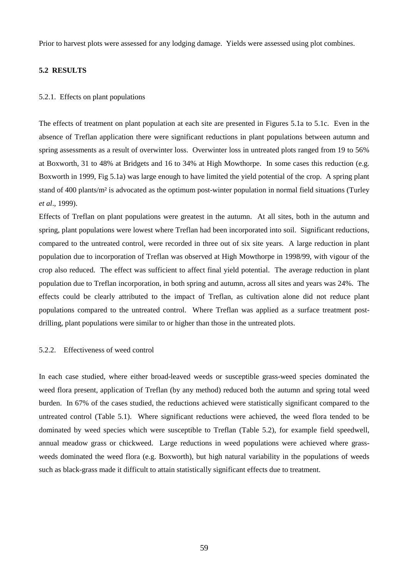Prior to harvest plots were assessed for any lodging damage. Yields were assessed using plot combines.

## **5.2 RESULTS**

## 5.2.1. Effects on plant populations

The effects of treatment on plant population at each site are presented in Figures 5.1a to 5.1c. Even in the absence of Treflan application there were significant reductions in plant populations between autumn and spring assessments as a result of overwinter loss. Overwinter loss in untreated plots ranged from 19 to 56% at Boxworth, 31 to 48% at Bridgets and 16 to 34% at High Mowthorpe. In some cases this reduction (e.g. Boxworth in 1999, Fig 5.1a) was large enough to have limited the yield potential of the crop. A spring plant stand of 400 plants/m² is advocated as the optimum post-winter population in normal field situations (Turley *et al*., 1999).

Effects of Treflan on plant populations were greatest in the autumn. At all sites, both in the autumn and spring, plant populations were lowest where Treflan had been incorporated into soil. Significant reductions, compared to the untreated control, were recorded in three out of six site years. A large reduction in plant population due to incorporation of Treflan was observed at High Mowthorpe in 1998/99, with vigour of the crop also reduced. The effect was sufficient to affect final yield potential. The average reduction in plant population due to Treflan incorporation, in both spring and autumn, across all sites and years was 24%. The effects could be clearly attributed to the impact of Treflan, as cultivation alone did not reduce plant populations compared to the untreated control. Where Treflan was applied as a surface treatment postdrilling, plant populations were similar to or higher than those in the untreated plots.

## 5.2.2. Effectiveness of weed control

In each case studied, where either broad-leaved weeds or susceptible grass-weed species dominated the weed flora present, application of Treflan (by any method) reduced both the autumn and spring total weed burden. In 67% of the cases studied, the reductions achieved were statistically significant compared to the untreated control (Table 5.1). Where significant reductions were achieved, the weed flora tended to be dominated by weed species which were susceptible to Treflan (Table 5.2), for example field speedwell, annual meadow grass or chickweed. Large reductions in weed populations were achieved where grassweeds dominated the weed flora (e.g. Boxworth), but high natural variability in the populations of weeds such as black-grass made it difficult to attain statistically significant effects due to treatment.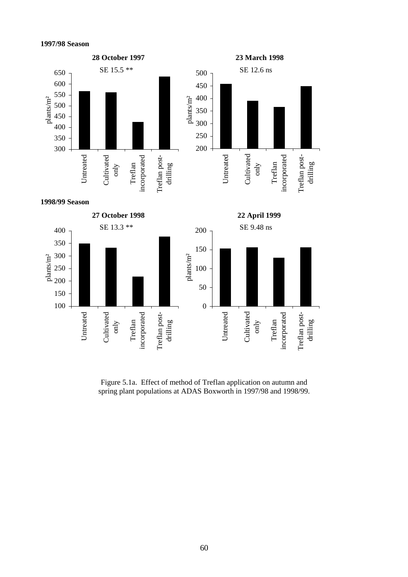

Figure 5.1a. Effect of method of Treflan application on autumn and spring plant populations at ADAS Boxworth in 1997/98 and 1998/99.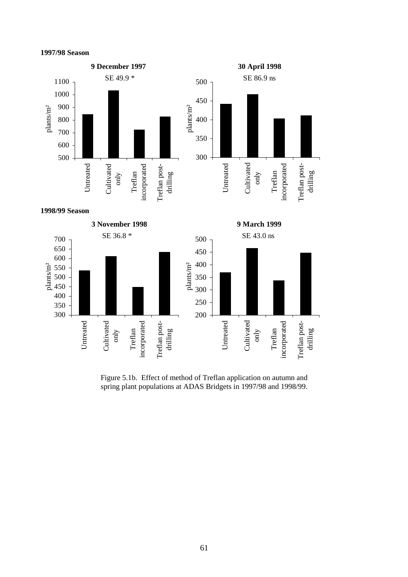



Figure 5.1b. Effect of method of Treflan application on autumn and spring plant populations at ADAS Bridgets in 1997/98 and 1998/99.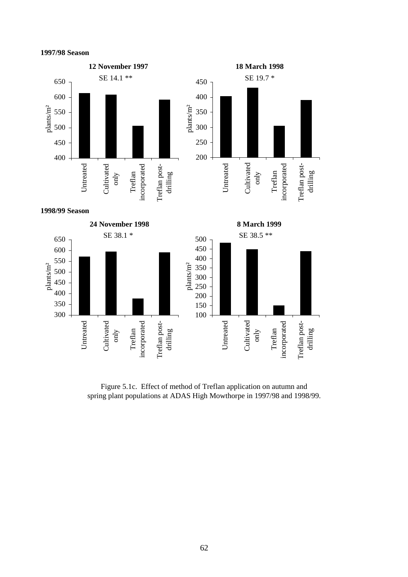### **1997/98 Season**



Figure 5.1c. Effect of method of Treflan application on autumn and spring plant populations at ADAS High Mowthorpe in 1997/98 and 1998/99.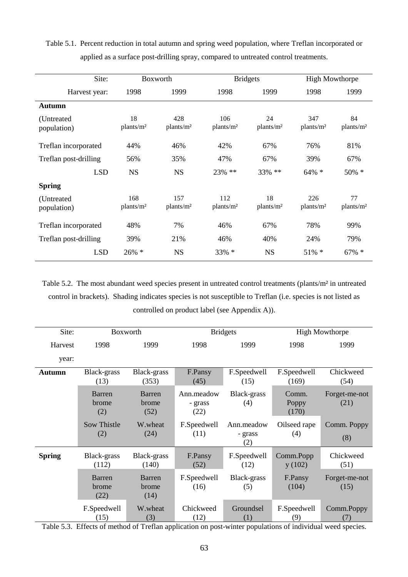| Table 5.1. Percent reduction in total autumn and spring weed population, where Treflan incorporated or |  |  |  |
|--------------------------------------------------------------------------------------------------------|--|--|--|
| applied as a surface post-drilling spray, compared to untreated control treatments.                    |  |  |  |

| Site:                      | Boxworth                     |                              | <b>Bridgets</b>              |                             | <b>High Mowthorpe</b>        |                             |
|----------------------------|------------------------------|------------------------------|------------------------------|-----------------------------|------------------------------|-----------------------------|
| Harvest year:              | 1998                         | 1999                         | 1998                         | 1999                        | 1998                         | 1999                        |
| Autumn                     |                              |                              |                              |                             |                              |                             |
| (Untreated)<br>population) | 18<br>plants/m <sup>2</sup>  | 428<br>plants/m <sup>2</sup> | 106<br>plants/m <sup>2</sup> | 24<br>plants/m <sup>2</sup> | 347<br>plants/m <sup>2</sup> | 84<br>plants/m <sup>2</sup> |
| Treflan incorporated       | 44%                          | 46%                          | 42%                          | 67%                         | 76%                          | 81%                         |
| Treflan post-drilling      | 56%                          | 35%                          | 47%                          | 67%                         | 39%                          | 67%                         |
| <b>LSD</b>                 | <b>NS</b>                    | <b>NS</b>                    | 23% **                       | 33% **                      | $64\% *$                     | 50% *                       |
| <b>Spring</b>              |                              |                              |                              |                             |                              |                             |
| (Untreated<br>population)  | 168<br>plants/m <sup>2</sup> | 157<br>plants/m <sup>2</sup> | 112<br>plants/m <sup>2</sup> | 18<br>plants/m <sup>2</sup> | 226<br>plants/m <sup>2</sup> | 77<br>plants/m <sup>2</sup> |
| Treflan incorporated       | 48%                          | 7%                           | 46%                          | 67%                         | 78%                          | 99%                         |
| Treflan post-drilling      | 39%                          | 21%                          | 46%                          | 40%                         | 24%                          | 79%                         |
| <b>LSD</b>                 | 26% *                        | <b>NS</b>                    | 33% *                        | <b>NS</b>                   | $51\% *$                     | $67\% *$                    |

Table 5.2. The most abundant weed species present in untreated control treatments (plants/m² in untreated control in brackets). Shading indicates species is not susceptible to Treflan (i.e. species is not listed as controlled on product label (see Appendix A)).

| Site:         |                         | Boxworth                |                               | <b>Bridgets</b>                        |                         | <b>High Mowthorpe</b> |  |  |
|---------------|-------------------------|-------------------------|-------------------------------|----------------------------------------|-------------------------|-----------------------|--|--|
| Harvest       | 1998                    | 1999                    | 1998                          | 1999                                   | 1998                    | 1999                  |  |  |
| year:         |                         |                         |                               |                                        |                         |                       |  |  |
| Autumn        | Black-grass<br>(13)     | Black-grass<br>(353)    | F.Pansy<br>(45)               | F.Speedwell<br>(15)                    | F.Speedwell<br>(169)    | Chickweed<br>(54)     |  |  |
|               | Barren<br>brome<br>(2)  | Barren<br>brome<br>(52) | Ann.meadow<br>- grass<br>(22) | Black-grass<br>(4)                     | Comm.<br>Poppy<br>(170) | Forget-me-not<br>(21) |  |  |
|               | Sow Thistle<br>(2)      | W.wheat<br>(24)         | F.Speedwell<br>(11)           | Ann.meadow<br>- grass<br>(2)           | Oilseed rape<br>(4)     | Comm. Poppy<br>(8)    |  |  |
| <b>Spring</b> | Black-grass<br>(112)    | Black-grass<br>(140)    | F.Pansy<br>(52)               | F.Speedwell<br>(12)                    | Comm.Popp<br>y(102)     | Chickweed<br>(51)     |  |  |
|               | Barren<br>brome<br>(22) | Barren<br>brome<br>(14) | F.Speedwell<br>(16)           | Black-grass<br>F.Pansy<br>(104)<br>(5) |                         | Forget-me-not<br>(15) |  |  |
|               | F.Speedwell<br>(15)     | W.wheat<br>(3)          | Chickweed<br>(12)             | Groundsel<br>(1)                       | F.Speedwell<br>(9)      | Comm.Poppy<br>(7)     |  |  |

Table 5.3. Effects of method of Treflan application on post-winter populations of individual weed species.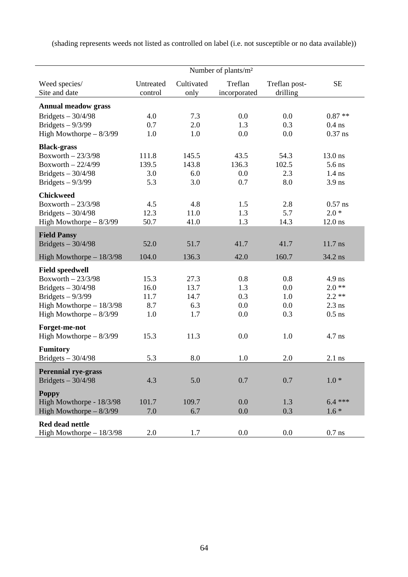(shading represents weeds not listed as controlled on label (i.e. not susceptible or no data available))

|                                | Number of plants/m <sup>2</sup> |                    |                         |                           |           |  |  |  |  |
|--------------------------------|---------------------------------|--------------------|-------------------------|---------------------------|-----------|--|--|--|--|
| Weed species/<br>Site and date | Untreated<br>control            | Cultivated<br>only | Treflan<br>incorporated | Treflan post-<br>drilling | <b>SE</b> |  |  |  |  |
| <b>Annual meadow grass</b>     |                                 |                    |                         |                           |           |  |  |  |  |
| Bridgets $-30/4/98$            | 4.0                             | 7.3                | 0.0                     | 0.0                       | $0.87**$  |  |  |  |  |
| Bridgets $-9/3/99$             | 0.7                             | 2.0                | 1.3                     | 0.3                       | $0.4$ ns  |  |  |  |  |
| High Mowthorpe $-8/3/99$       | 1.0                             | 1.0                | 0.0                     | 0.0                       | $0.37$ ns |  |  |  |  |
| <b>Black-grass</b>             |                                 |                    |                         |                           |           |  |  |  |  |
| Boxworth $-23/3/98$            | 111.8                           | 145.5              | 43.5                    | 54.3                      | 13.0 ns   |  |  |  |  |
| Boxworth $-22/4/99$            | 139.5                           | 143.8              | 136.3                   | 102.5                     | 5.6 ns    |  |  |  |  |
| Bridgets $-30/4/98$            | 3.0                             | 6.0                | 0.0                     | 2.3                       | $1.4$ ns  |  |  |  |  |
| Bridgets $-9/3/99$             | 5.3                             | 3.0                | 0.7                     | 8.0                       | $3.9$ ns  |  |  |  |  |
| <b>Chickweed</b>               |                                 |                    |                         |                           |           |  |  |  |  |
| Boxworth $-23/3/98$            | 4.5                             | 4.8                | 1.5                     | 2.8                       | $0.57$ ns |  |  |  |  |
| Bridgets $-30/4/98$            | 12.3                            | 11.0               | 1.3                     | 5.7                       | $2.0*$    |  |  |  |  |
| High Mowthorpe $-8/3/99$       | 50.7                            | 41.0               | 1.3                     | 14.3                      | $12.0$ ns |  |  |  |  |
| <b>Field Pansy</b>             |                                 |                    |                         |                           |           |  |  |  |  |
| Bridgets $-30/4/98$            | 52.0                            | 51.7               | 41.7                    | 41.7                      | $11.7$ ns |  |  |  |  |
| High Mowthorpe $-18/3/98$      | 104.0                           | 136.3              | 42.0                    | 160.7                     | 34.2 ns   |  |  |  |  |
| <b>Field speedwell</b>         |                                 |                    |                         |                           |           |  |  |  |  |
| Boxworth $-23/3/98$            | 15.3                            | 27.3               | 0.8                     | 0.8                       | $4.9$ ns  |  |  |  |  |
| Bridgets $-30/4/98$            | 16.0                            | 13.7               | 1.3                     | 0.0                       | $2.0**$   |  |  |  |  |
| Bridgets $-9/3/99$             | 11.7                            | 14.7               | 0.3                     | 1.0                       | $2.2**$   |  |  |  |  |
| High Mowthorpe $-18/3/98$      | 8.7                             | 6.3                | 0.0                     | 0.0                       | $2.3$ ns  |  |  |  |  |
| High Mowthorpe $-8/3/99$       | 1.0                             | 1.7                | 0.0                     | 0.3                       | $0.5$ ns  |  |  |  |  |
| Forget-me-not                  |                                 |                    |                         |                           |           |  |  |  |  |
| High Mowthorpe $-8/3/99$       | 15.3                            | 11.3               | 0.0                     | 1.0                       | $4.7$ ns  |  |  |  |  |
| <b>Fumitory</b>                |                                 |                    |                         |                           |           |  |  |  |  |
| Bridgets $-30/4/98$            | 5.3                             | 8.0                | 1.0                     | 2.0                       | $2.1$ ns  |  |  |  |  |
| <b>Perennial rye-grass</b>     |                                 |                    |                         |                           |           |  |  |  |  |
| Bridgets $-30/4/98$            | 4.3                             | 5.0                | 0.7                     | 0.7                       | $1.0*$    |  |  |  |  |
| <b>Poppy</b>                   |                                 |                    |                         |                           |           |  |  |  |  |
| High Mowthorpe - 18/3/98       | 101.7                           | 109.7              | 0.0                     | 1.3                       | $6.4***$  |  |  |  |  |
| High Mowthorpe $-8/3/99$       | 7.0                             | 6.7                | 0.0                     | 0.3                       | $1.6*$    |  |  |  |  |
| <b>Red dead nettle</b>         |                                 |                    |                         |                           |           |  |  |  |  |
| High Mowthorpe $-18/3/98$      | 2.0                             | 1.7                | $0.0\,$                 | 0.0                       | $0.7$ ns  |  |  |  |  |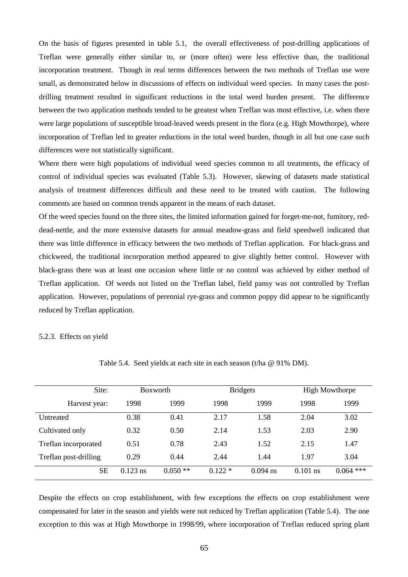On the basis of figures presented in table 5.1, the overall effectiveness of post-drilling applications of Treflan were generally either similar to, or (more often) were less effective than, the traditional incorporation treatment. Though in real terms differences between the two methods of Treflan use were small, as demonstrated below in discussions of effects on individual weed species. In many cases the postdrilling treatment resulted in significant reductions in the total weed burden present. The difference between the two application methods tended to be greatest when Treflan was most effective, i.e. when there were large populations of susceptible broad-leaved weeds present in the flora (e.g. High Mowthorpe), where incorporation of Treflan led to greater reductions in the total weed burden, though in all but one case such differences were not statistically significant.

Where there were high populations of individual weed species common to all treatments, the efficacy of control of individual species was evaluated (Table 5.3). However, skewing of datasets made statistical analysis of treatment differences difficult and these need to be treated with caution. The following comments are based on common trends apparent in the means of each dataset.

Of the weed species found on the three sites, the limited information gained for forget-me-not, fumitory, reddead-nettle, and the more extensive datasets for annual meadow-grass and field speedwell indicated that there was little difference in efficacy between the two methods of Treflan application. For black-grass and chickweed, the traditional incorporation method appeared to give slightly better control. However with black-grass there was at least one occasion where little or no control was achieved by either method of Treflan application. Of weeds not listed on the Treflan label, field pansy was not controlled by Treflan application. However, populations of perennial rye-grass and common poppy did appear to be significantly reduced by Treflan application.

#### 5.2.3. Effects on yield

| Site:                 | <b>Boxworth</b> |           | <b>Bridgets</b> |            | <b>High Mowthorpe</b> |             |
|-----------------------|-----------------|-----------|-----------------|------------|-----------------------|-------------|
| Harvest year:         | 1998            | 1999      | 1998            | 1999       | 1998                  | 1999        |
| Untreated             | 0.38            | 0.41      | 2.17            | 1.58       | 2.04                  | 3.02        |
| Cultivated only       | 0.32            | 0.50      | 2.14            | 1.53       | 2.03                  | 2.90        |
| Treflan incorporated  | 0.51            | 0.78      | 2.43            | 1.52       | 2.15                  | 1.47        |
| Treflan post-drilling | 0.29            | 0.44      | 2.44            | 1.44       | 1.97                  | 3.04        |
| <b>SE</b>             | $0.123$ ns      | $0.050**$ | $0.122*$        | $0.094$ ns | $0.101$ ns            | $0.064$ *** |

Table 5.4. Seed yields at each site in each season (t/ha @ 91% DM).

Despite the effects on crop establishment, with few exceptions the effects on crop establishment were compensated for later in the season and yields were not reduced by Treflan application (Table 5.4). The one exception to this was at High Mowthorpe in 1998/99, where incorporation of Treflan reduced spring plant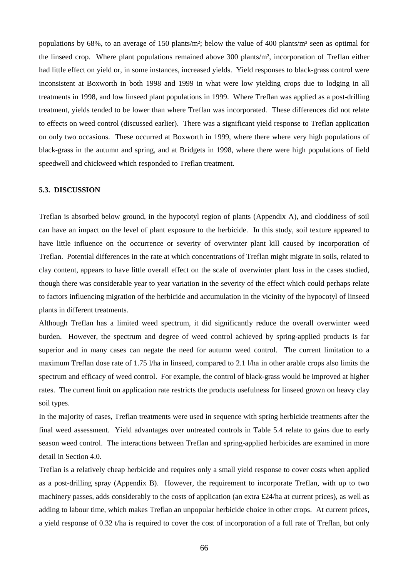populations by 68%, to an average of 150 plants/m²; below the value of 400 plants/m² seen as optimal for the linseed crop. Where plant populations remained above 300 plants/m², incorporation of Treflan either had little effect on yield or, in some instances, increased yields. Yield responses to black-grass control were inconsistent at Boxworth in both 1998 and 1999 in what were low yielding crops due to lodging in all treatments in 1998, and low linseed plant populations in 1999. Where Treflan was applied as a post-drilling treatment, yields tended to be lower than where Treflan was incorporated. These differences did not relate to effects on weed control (discussed earlier). There was a significant yield response to Treflan application on only two occasions. These occurred at Boxworth in 1999, where there where very high populations of black-grass in the autumn and spring, and at Bridgets in 1998, where there were high populations of field speedwell and chickweed which responded to Treflan treatment.

#### **5.3. DISCUSSION**

Treflan is absorbed below ground, in the hypocotyl region of plants (Appendix A), and cloddiness of soil can have an impact on the level of plant exposure to the herbicide. In this study, soil texture appeared to have little influence on the occurrence or severity of overwinter plant kill caused by incorporation of Treflan. Potential differences in the rate at which concentrations of Treflan might migrate in soils, related to clay content, appears to have little overall effect on the scale of overwinter plant loss in the cases studied, though there was considerable year to year variation in the severity of the effect which could perhaps relate to factors influencing migration of the herbicide and accumulation in the vicinity of the hypocotyl of linseed plants in different treatments.

Although Treflan has a limited weed spectrum, it did significantly reduce the overall overwinter weed burden. However, the spectrum and degree of weed control achieved by spring-applied products is far superior and in many cases can negate the need for autumn weed control. The current limitation to a maximum Treflan dose rate of 1.75 l/ha in linseed, compared to 2.1 l/ha in other arable crops also limits the spectrum and efficacy of weed control. For example, the control of black-grass would be improved at higher rates. The current limit on application rate restricts the products usefulness for linseed grown on heavy clay soil types.

In the majority of cases, Treflan treatments were used in sequence with spring herbicide treatments after the final weed assessment. Yield advantages over untreated controls in Table 5.4 relate to gains due to early season weed control. The interactions between Treflan and spring-applied herbicides are examined in more detail in Section 4.0.

Treflan is a relatively cheap herbicide and requires only a small yield response to cover costs when applied as a post-drilling spray (Appendix B). However, the requirement to incorporate Treflan, with up to two machinery passes, adds considerably to the costs of application (an extra £24/ha at current prices), as well as adding to labour time, which makes Treflan an unpopular herbicide choice in other crops. At current prices, a yield response of 0.32 t/ha is required to cover the cost of incorporation of a full rate of Treflan, but only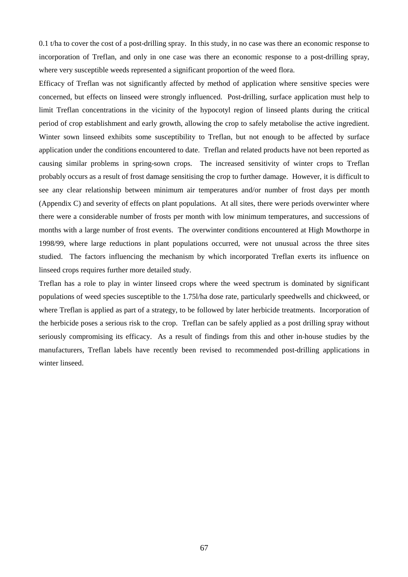0.1 t/ha to cover the cost of a post-drilling spray. In this study, in no case was there an economic response to incorporation of Treflan, and only in one case was there an economic response to a post-drilling spray, where very susceptible weeds represented a significant proportion of the weed flora.

Efficacy of Treflan was not significantly affected by method of application where sensitive species were concerned, but effects on linseed were strongly influenced. Post-drilling, surface application must help to limit Treflan concentrations in the vicinity of the hypocotyl region of linseed plants during the critical period of crop establishment and early growth, allowing the crop to safely metabolise the active ingredient. Winter sown linseed exhibits some susceptibility to Treflan, but not enough to be affected by surface application under the conditions encountered to date. Treflan and related products have not been reported as causing similar problems in spring-sown crops. The increased sensitivity of winter crops to Treflan probably occurs as a result of frost damage sensitising the crop to further damage. However, it is difficult to see any clear relationship between minimum air temperatures and/or number of frost days per month (Appendix C) and severity of effects on plant populations. At all sites, there were periods overwinter where there were a considerable number of frosts per month with low minimum temperatures, and successions of months with a large number of frost events. The overwinter conditions encountered at High Mowthorpe in 1998/99, where large reductions in plant populations occurred, were not unusual across the three sites studied. The factors influencing the mechanism by which incorporated Treflan exerts its influence on linseed crops requires further more detailed study.

Treflan has a role to play in winter linseed crops where the weed spectrum is dominated by significant populations of weed species susceptible to the 1.75l/ha dose rate, particularly speedwells and chickweed, or where Treflan is applied as part of a strategy, to be followed by later herbicide treatments. Incorporation of the herbicide poses a serious risk to the crop. Treflan can be safely applied as a post drilling spray without seriously compromising its efficacy. As a result of findings from this and other in-house studies by the manufacturers, Treflan labels have recently been revised to recommended post-drilling applications in winter linseed.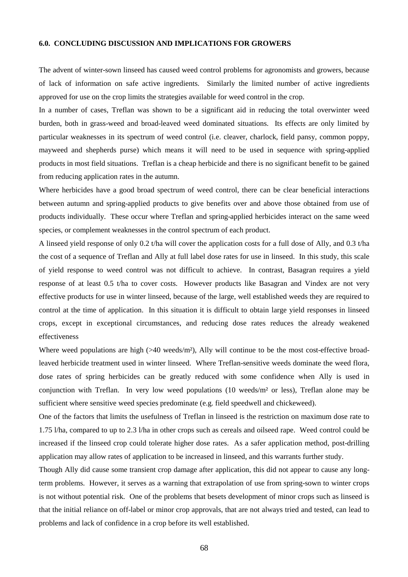## **6.0. CONCLUDING DISCUSSION AND IMPLICATIONS FOR GROWERS**

The advent of winter-sown linseed has caused weed control problems for agronomists and growers, because of lack of information on safe active ingredients. Similarly the limited number of active ingredients approved for use on the crop limits the strategies available for weed control in the crop.

In a number of cases, Treflan was shown to be a significant aid in reducing the total overwinter weed burden, both in grass-weed and broad-leaved weed dominated situations. Its effects are only limited by particular weaknesses in its spectrum of weed control (i.e. cleaver, charlock, field pansy, common poppy, mayweed and shepherds purse) which means it will need to be used in sequence with spring-applied products in most field situations. Treflan is a cheap herbicide and there is no significant benefit to be gained from reducing application rates in the autumn.

Where herbicides have a good broad spectrum of weed control, there can be clear beneficial interactions between autumn and spring-applied products to give benefits over and above those obtained from use of products individually. These occur where Treflan and spring-applied herbicides interact on the same weed species, or complement weaknesses in the control spectrum of each product.

A linseed yield response of only 0.2 t/ha will cover the application costs for a full dose of Ally, and 0.3 t/ha the cost of a sequence of Treflan and Ally at full label dose rates for use in linseed. In this study, this scale of yield response to weed control was not difficult to achieve. In contrast, Basagran requires a yield response of at least 0.5 t/ha to cover costs. However products like Basagran and Vindex are not very effective products for use in winter linseed, because of the large, well established weeds they are required to control at the time of application. In this situation it is difficult to obtain large yield responses in linseed crops, except in exceptional circumstances, and reducing dose rates reduces the already weakened effectiveness

Where weed populations are high  $(>40 \text{ weeds/m}^2)$ , Ally will continue to be the most cost-effective broadleaved herbicide treatment used in winter linseed. Where Treflan-sensitive weeds dominate the weed flora, dose rates of spring herbicides can be greatly reduced with some confidence when Ally is used in conjunction with Treflan. In very low weed populations (10 weeds/m² or less), Treflan alone may be sufficient where sensitive weed species predominate (e.g. field speedwell and chickeweed).

One of the factors that limits the usefulness of Treflan in linseed is the restriction on maximum dose rate to 1.75 l/ha, compared to up to 2.3 l/ha in other crops such as cereals and oilseed rape. Weed control could be increased if the linseed crop could tolerate higher dose rates. As a safer application method, post-drilling application may allow rates of application to be increased in linseed, and this warrants further study.

Though Ally did cause some transient crop damage after application, this did not appear to cause any longterm problems. However, it serves as a warning that extrapolation of use from spring-sown to winter crops is not without potential risk. One of the problems that besets development of minor crops such as linseed is that the initial reliance on off-label or minor crop approvals, that are not always tried and tested, can lead to problems and lack of confidence in a crop before its well established.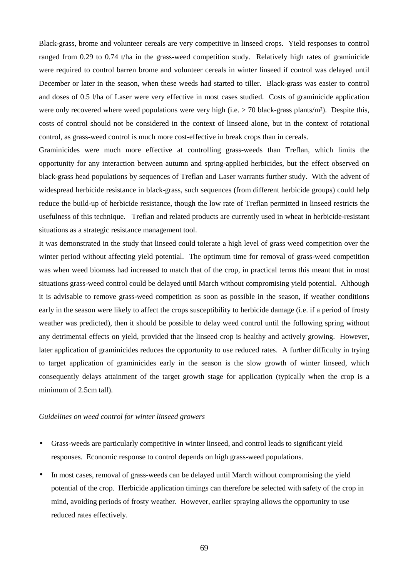Black-grass, brome and volunteer cereals are very competitive in linseed crops. Yield responses to control ranged from 0.29 to 0.74 t/ha in the grass-weed competition study. Relatively high rates of graminicide were required to control barren brome and volunteer cereals in winter linseed if control was delayed until December or later in the season, when these weeds had started to tiller. Black-grass was easier to control and doses of 0.5 l/ha of Laser were very effective in most cases studied. Costs of graminicide application were only recovered where weed populations were very high (i.e.  $>$  70 black-grass plants/m<sup>2</sup>). Despite this, costs of control should not be considered in the context of linseed alone, but in the context of rotational control, as grass-weed control is much more cost-effective in break crops than in cereals.

Graminicides were much more effective at controlling grass-weeds than Treflan, which limits the opportunity for any interaction between autumn and spring-applied herbicides, but the effect observed on black-grass head populations by sequences of Treflan and Laser warrants further study. With the advent of widespread herbicide resistance in black-grass, such sequences (from different herbicide groups) could help reduce the build-up of herbicide resistance, though the low rate of Treflan permitted in linseed restricts the usefulness of this technique. Treflan and related products are currently used in wheat in herbicide-resistant situations as a strategic resistance management tool.

It was demonstrated in the study that linseed could tolerate a high level of grass weed competition over the winter period without affecting yield potential. The optimum time for removal of grass-weed competition was when weed biomass had increased to match that of the crop, in practical terms this meant that in most situations grass-weed control could be delayed until March without compromising yield potential. Although it is advisable to remove grass-weed competition as soon as possible in the season, if weather conditions early in the season were likely to affect the crops susceptibility to herbicide damage (i.e. if a period of frosty weather was predicted), then it should be possible to delay weed control until the following spring without any detrimental effects on yield, provided that the linseed crop is healthy and actively growing. However, later application of graminicides reduces the opportunity to use reduced rates. A further difficulty in trying to target application of graminicides early in the season is the slow growth of winter linseed, which consequently delays attainment of the target growth stage for application (typically when the crop is a minimum of 2.5cm tall).

### *Guidelines on weed control for winter linseed growers*

- Grass-weeds are particularly competitive in winter linseed, and control leads to significant yield responses. Economic response to control depends on high grass-weed populations.
- In most cases, removal of grass-weeds can be delayed until March without compromising the yield potential of the crop. Herbicide application timings can therefore be selected with safety of the crop in mind, avoiding periods of frosty weather. However, earlier spraying allows the opportunity to use reduced rates effectively.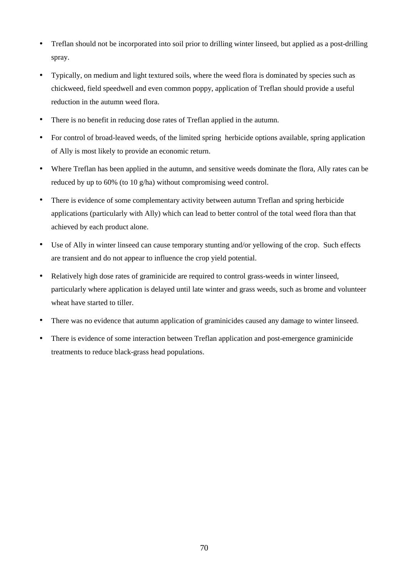- Treflan should not be incorporated into soil prior to drilling winter linseed, but applied as a post-drilling spray.
- Typically, on medium and light textured soils, where the weed flora is dominated by species such as chickweed, field speedwell and even common poppy, application of Treflan should provide a useful reduction in the autumn weed flora.
- There is no benefit in reducing dose rates of Treflan applied in the autumn.
- For control of broad-leaved weeds, of the limited spring herbicide options available, spring application of Ally is most likely to provide an economic return.
- Where Treflan has been applied in the autumn, and sensitive weeds dominate the flora, Ally rates can be reduced by up to 60% (to 10 g/ha) without compromising weed control.
- There is evidence of some complementary activity between autumn Treflan and spring herbicide applications (particularly with Ally) which can lead to better control of the total weed flora than that achieved by each product alone.
- Use of Ally in winter linseed can cause temporary stunting and/or yellowing of the crop. Such effects are transient and do not appear to influence the crop yield potential.
- Relatively high dose rates of graminicide are required to control grass-weeds in winter linseed, particularly where application is delayed until late winter and grass weeds, such as brome and volunteer wheat have started to tiller.
- There was no evidence that autumn application of graminicides caused any damage to winter linseed.
- There is evidence of some interaction between Treflan application and post-emergence graminicide treatments to reduce black-grass head populations.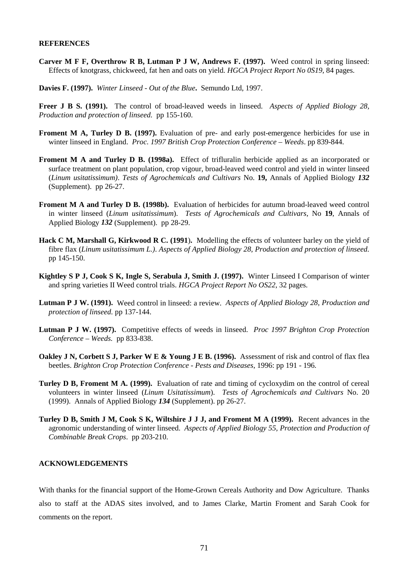#### **REFERENCES**

- **Carver M F F, Overthrow R B, Lutman P J W, Andrews F. (1997).** Weed control in spring linseed: Effects of knotgrass, chickweed, fat hen and oats on yield*. HGCA Project Report No 0S19,* 84 pages.
- **Davies F. (1997).** *Winter Linseed Out of the Blue***.** Semundo Ltd, 1997.
- **Freer J B S. (1991).** The control of broad-leaved weeds in linseed. *Aspects of Applied Biology 28, Production and protection of linseed.* pp 155-160.
- Froment M A, Turley D B. (1997). Evaluation of pre- and early post-emergence herbicides for use in winter linseed in England. *Proc. 1997 British Crop Protection Conference – Weeds*. pp 839-844.
- **Froment M A and Turley D B. (1998a).** Effect of trifluralin herbicide applied as an incorporated or surface treatment on plant population, crop vigour, broad-leaved weed control and yield in winter linseed (*Linum usitatissimum)*. *Tests of Agrochemicals and Cultivars* No. **19,** Annals of Applied Biology *132* (Supplement). pp 26-27.
- **Froment M A and Turley D B. (1998b).** Evaluation of herbicides for autumn broad-leaved weed control in winter linseed (*Linum usitatissimum*). *Tests of Agrochemicals and Cultivars,* No **19**, Annals of Applied Biology *132* (Supplement). pp 28-29.
- **Hack C M, Marshall G, Kirkwood R C. (1991**)**.** Modelling the effects of volunteer barley on the yield of fibre flax (*Linum usitatissimum L.)*. *Aspects of Applied Biology 28, Production and protection of linseed.* pp 145-150.
- **Kightley S P J, Cook S K, Ingle S, Serabula J, Smith J. (1997).** Winter Linseed I Comparison of winter and spring varieties II Weed control trials. *HGCA Project Report No OS22*, 32 pages.
- **Lutman P J W. (1991).** Weed control in linseed: a review. *Aspects of Applied Biology 28, Production and protection of linseed.* pp 137-144.
- **Lutman P J W. (1997).** Competitive effects of weeds in linseed. *Proc 1997 Brighton Crop Protection Conference – Weeds.* pp 833-838.
- **Oakley J N, Corbett S J, Parker W E & Young J E B. (1996).** Assessment of risk and control of flax flea beetles. *Brighton Crop Protection Conference - Pests and Diseases*, 1996: pp 191 - 196*.*
- **Turley D B, Froment M A. (1999).** Evaluation of rate and timing of cycloxydim on the control of cereal volunteers in winter linseed (*Linum Usitatissimum*). *Tests of Agrochemicals and Cultivars* No. 20 (1999). Annals of Applied Biology *134* (Supplement). pp 26-27.
- **Turley D B, Smith J M, Cook S K, Wiltshire J J J, and Froment M A (1999).** Recent advances in the agronomic understanding of winter linseed. *Aspects of Applied Biology 55, Protection and Production of Combinable Break Crops*. pp 203-210.

#### **ACKNOWLEDGEMENTS**

With thanks for the financial support of the Home-Grown Cereals Authority and Dow Agriculture. Thanks also to staff at the ADAS sites involved, and to James Clarke, Martin Froment and Sarah Cook for comments on the report.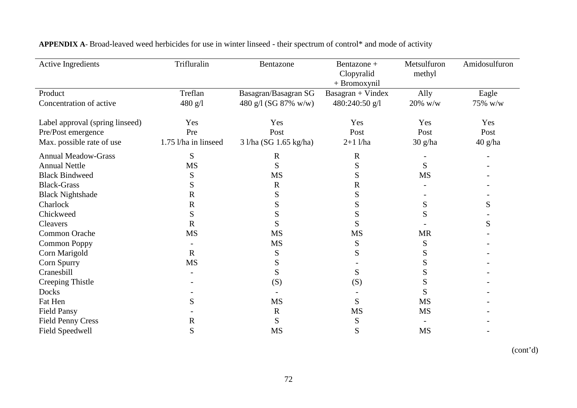| <b>Active Ingredients</b>       | Trifluralin          | Bentazone              | Bentazone +<br>Clopyralid<br>+ Bromoxynil | Metsulfuron<br>methyl | Amidosulfuron |
|---------------------------------|----------------------|------------------------|-------------------------------------------|-----------------------|---------------|
| Product                         | Treflan              | Basagran/Basagran SG   | $Basagram + Vindex$                       | Ally                  | Eagle         |
| Concentration of active         | 480 g/l              | 480 g/l (SG 87% w/w)   | 480:240:50 g/l                            | 20% w/w               | 75% w/w       |
| Label approval (spring linseed) | Yes                  | Yes                    | Yes                                       | Yes                   | Yes           |
| Pre/Post emergence              | Pre                  | Post                   | Post                                      | Post                  | Post          |
| Max. possible rate of use       | 1.75 l/ha in linseed | 3 l/ha (SG 1.65 kg/ha) | $2+1$ l/ha                                | 30 g/ha               | $40$ g/ha     |
| <b>Annual Meadow-Grass</b>      | S                    | $\mathbf R$            | $\mathbb{R}$                              |                       |               |
| <b>Annual Nettle</b>            | <b>MS</b>            | S                      | S                                         | S                     |               |
| <b>Black Bindweed</b>           | ${\bf S}$            | <b>MS</b>              | S                                         | <b>MS</b>             |               |
| <b>Black-Grass</b>              | S                    | $\mathbf R$            | R                                         |                       |               |
| <b>Black Nightshade</b>         | $\mathbf R$          | S                      | S                                         |                       |               |
| Charlock                        | $\mathbf R$          | S                      | S                                         | S                     | S             |
| Chickweed                       | S                    | S                      | S                                         | S                     |               |
| Cleavers                        | $\mathbf R$          | S                      | S                                         |                       | S             |
| Common Orache                   | <b>MS</b>            | <b>MS</b>              | MS                                        | <b>MR</b>             |               |
| <b>Common Poppy</b>             |                      | <b>MS</b>              | S                                         | S                     |               |
| Corn Marigold                   | $\mathbf R$          | S                      | S                                         | S                     |               |
| Corn Spurry                     | <b>MS</b>            | S                      |                                           | S                     |               |
| Cranesbill                      |                      | S                      | S                                         | S                     |               |
| Creeping Thistle                |                      | (S)                    | (S)                                       | S                     |               |
| Docks                           |                      |                        |                                           | S                     |               |
| Fat Hen                         | S                    | <b>MS</b>              | S                                         | <b>MS</b>             |               |
| <b>Field Pansy</b>              |                      | R                      | MS                                        | <b>MS</b>             |               |
| <b>Field Penny Cress</b>        | $\mathbf R$          | S                      | S                                         |                       |               |
| <b>Field Speedwell</b>          | S                    | <b>MS</b>              | S                                         | <b>MS</b>             |               |

**APPENDIX A**- Broad-leaved weed herbicides for use in winter linseed - their spectrum of control\* and mode of activity

(cont'd)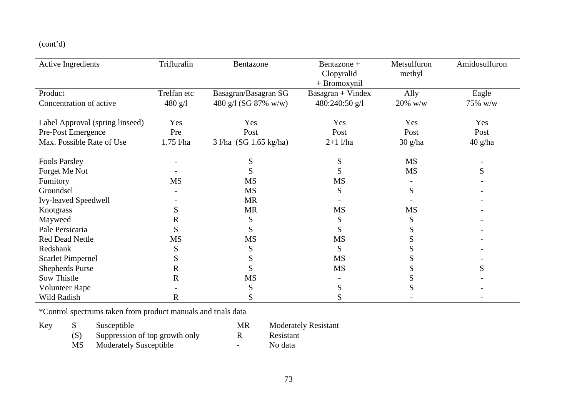(cont'd)

| Active Ingredients              | Trifluralin | Bentazone              | Bentazone +         | Metsulfuron | Amidosulfuron |
|---------------------------------|-------------|------------------------|---------------------|-------------|---------------|
|                                 |             |                        | Clopyralid          | methyl      |               |
|                                 |             |                        | $+$ Bromoxynil      |             |               |
| Product                         | Trelfan etc | Basagran/Basagran SG   | $Basagram + Vindex$ | Ally        | Eagle         |
| Concentration of active         | 480 g/l     | 480 g/l (SG 87% w/w)   | 480:240:50 g/l      | $20\%$ w/w  | 75% w/w       |
| Label Approval (spring linseed) | Yes         | Yes                    | Yes                 | Yes         | Yes           |
| Pre-Post Emergence              | Pre         | Post                   | Post                | Post        | Post          |
| Max. Possible Rate of Use       | $1.75$ l/ha | 3 l/ha (SG 1.65 kg/ha) | $2+1$ l/ha          | $30$ g/ha   | $40$ g/ha     |
| <b>Fools Parsley</b>            |             | S                      | S                   | <b>MS</b>   |               |
| Forget Me Not                   |             | S                      | S                   | <b>MS</b>   | S             |
| Fumitory                        | <b>MS</b>   | <b>MS</b>              | <b>MS</b>           |             |               |
| Groundsel                       |             | <b>MS</b>              | S                   | S           |               |
| Ivy-leaved Speedwell            |             | <b>MR</b>              |                     |             |               |
| Knotgrass                       | S           | <b>MR</b>              | <b>MS</b>           | <b>MS</b>   |               |
| Mayweed                         | R           | S                      | S                   | S           |               |
| Pale Persicaria                 | S           | S                      | S                   |             |               |
| <b>Red Dead Nettle</b>          | <b>MS</b>   | <b>MS</b>              | <b>MS</b>           |             |               |
| Redshank                        | S           | S                      | S                   |             |               |
| <b>Scarlet Pimpernel</b>        | S           | S                      | <b>MS</b>           |             |               |
| <b>Shepherds Purse</b>          | R           | S                      | <b>MS</b>           | C.          | S             |
| Sow Thistle                     | $\mathbf R$ | MS                     |                     | S           |               |
| <b>Volunteer Rape</b>           |             | S                      | S                   | C.          |               |
| Wild Radish                     | R           | S                      | S                   |             |               |

\*Control spectrums taken from product manuals and trials data

| Key |    | Susceptible                    | MR   | <b>Moderately Resistant</b> |
|-----|----|--------------------------------|------|-----------------------------|
|     |    | Suppression of top growth only |      | Resistant                   |
|     | MS | <b>Moderately Susceptible</b>  | $ -$ | No data                     |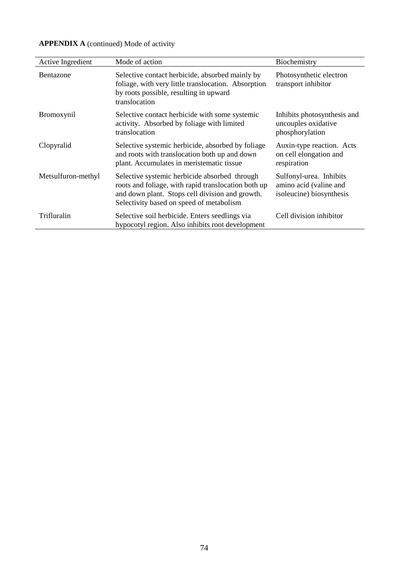| Active Ingredient  | Mode of action                                                                                                                                                                                      | Biochemistry                                                                  |
|--------------------|-----------------------------------------------------------------------------------------------------------------------------------------------------------------------------------------------------|-------------------------------------------------------------------------------|
| Bentazone          | Selective contact herbicide, absorbed mainly by<br>foliage, with very little translocation. Absorption<br>by roots possible, resulting in upward<br>translocation                                   | Photosynthetic electron<br>transport inhibitor                                |
| Bromoxynil         | Selective contact herbicide with some systemic<br>activity. Absorbed by foliage with limited<br>translocation                                                                                       | Inhibits photosynthesis and<br>uncouples oxidative<br>phosphorylation         |
| Clopyralid         | Selective systemic herbicide, absorbed by foliage<br>and roots with translocation both up and down<br>plant. Accumulates in meristematic tissue                                                     | Auxin-type reaction. Acts<br>on cell elongation and<br>respiration            |
| Metsulfuron-methyl | Selective systemic herbicide absorbed through<br>roots and foliage, with rapid translocation both up<br>and down plant. Stops cell division and growth.<br>Selectivity based on speed of metabolism | Sulfonyl-urea. Inhibits<br>amino acid (valine and<br>isoleucine) biosynthesis |
| Trifluralin        | Selective soil herbicide. Enters seedlings via<br>hypocotyl region. Also inhibits root development                                                                                                  | Cell division inhibitor                                                       |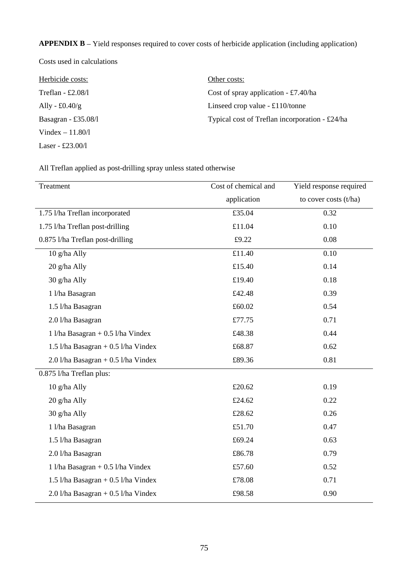**APPENDIX B** – Yield responses required to cover costs of herbicide application (including application)

Costs used in calculations

| Herbicide costs:       | Other costs:                                   |
|------------------------|------------------------------------------------|
| Treflan - £2.08/1      | Cost of spray application $- \pounds 7.40$ /ha |
| Ally - $\pounds0.40/g$ | Linseed crop value $-£110/tonne$               |
| Basagran - £35.08/1    | Typical cost of Treflan incorporation - £24/ha |
| Vindex $-11.80/l$      |                                                |
| Laser - £23.00/1       |                                                |

All Treflan applied as post-drilling spray unless stated otherwise

| Treatment                             | Cost of chemical and | Yield response required |
|---------------------------------------|----------------------|-------------------------|
|                                       | application          | to cover costs (t/ha)   |
| 1.75 l/ha Treflan incorporated        | £35.04               | 0.32                    |
| 1.75 l/ha Treflan post-drilling       | £11.04               | 0.10                    |
| 0.875 l/ha Treflan post-drilling      | £9.22                | 0.08                    |
| 10 g/ha Ally                          | £11.40               | 0.10                    |
| 20 g/ha Ally                          | £15.40               | 0.14                    |
| 30 g/ha Ally                          | £19.40               | 0.18                    |
| 1 l/ha Basagran                       | £42.48               | 0.39                    |
| 1.5 l/ha Basagran                     | £60.02               | 0.54                    |
| 2.0 l/ha Basagran                     | £77.75               | 0.71                    |
| 1 l/ha Basagran + $0.5$ l/ha Vindex   | £48.38               | 0.44                    |
| 1.5 l/ha Basagran + $0.5$ l/ha Vindex | £68.87               | 0.62                    |
| $2.0$ l/ha Basagran + 0.5 l/ha Vindex | £89.36               | 0.81                    |
| 0.875 l/ha Treflan plus:              |                      |                         |
| 10 g/ha Ally                          | £20.62               | 0.19                    |
| 20 g/ha Ally                          | £24.62               | 0.22                    |
| 30 g/ha Ally                          | £28.62               | 0.26                    |
| 1 l/ha Basagran                       | £51.70               | 0.47                    |
| 1.5 l/ha Basagran                     | £69.24               | 0.63                    |
| 2.0 l/ha Basagran                     | £86.78               | 0.79                    |
| 1 l/ha Basagran + $0.5$ l/ha Vindex   | £57.60               | 0.52                    |
| 1.5 l/ha Basagran + $0.5$ l/ha Vindex | £78.08               | 0.71                    |
| $2.0$ l/ha Basagran + 0.5 l/ha Vindex | £98.58               | 0.90                    |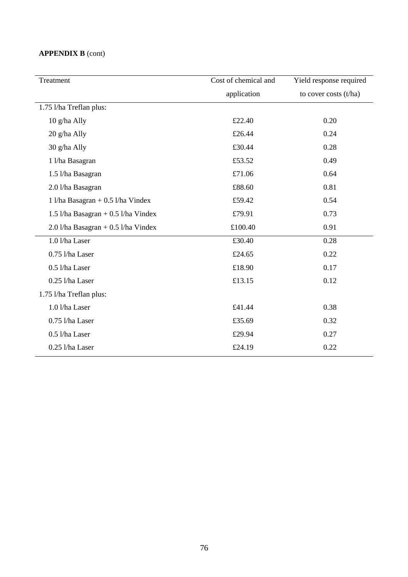# **APPENDIX B** (cont)

| Treatment                               | Cost of chemical and | Yield response required |
|-----------------------------------------|----------------------|-------------------------|
|                                         | application          | to cover costs (t/ha)   |
| 1.75 l/ha Treflan plus:                 |                      |                         |
| 10 g/ha Ally                            | £22.40               | 0.20                    |
| 20 g/ha Ally                            | £26.44               | 0.24                    |
| 30 g/ha Ally                            | £30.44               | 0.28                    |
| 1 l/ha Basagran                         | £53.52               | 0.49                    |
| 1.5 l/ha Basagran                       | £71.06               | 0.64                    |
| 2.0 l/ha Basagran                       | £88.60               | 0.81                    |
| 1 l/ha Basagran + $0.5$ l/ha Vindex     | £59.42               | 0.54                    |
| 1.5 $1/ha$ Basagran + 0.5 $1/ha$ Vindex | £79.91               | 0.73                    |
| $2.0$ l/ha Basagran + 0.5 l/ha Vindex   | £100.40              | 0.91                    |
| 1.0 l/ha Laser                          | £30.40               | 0.28                    |
| 0.75 l/ha Laser                         | £24.65               | 0.22                    |
| 0.5 l/ha Laser                          | £18.90               | 0.17                    |
| 0.25 l/ha Laser                         | £13.15               | 0.12                    |
| 1.75 l/ha Treflan plus:                 |                      |                         |
| 1.0 l/ha Laser                          | £41.44               | 0.38                    |
| 0.75 l/ha Laser                         | £35.69               | 0.32                    |
| 0.5 l/ha Laser                          | £29.94               | 0.27                    |
| 0.25 l/ha Laser                         | £24.19               | 0.22                    |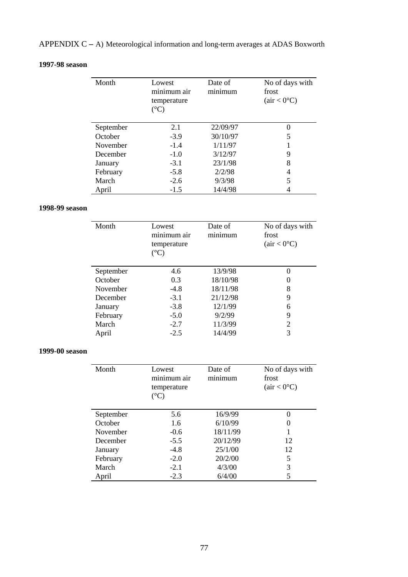# APPENDIX C **–** A) Meteorological information and long-term averages at ADAS Boxworth

## **1997-98 season**

| Month     | Lowest<br>minimum air<br>temperature<br>$({}^{\circ}C)$ | Date of<br>minimum | No of days with<br>frost<br>(air < 0°C) |
|-----------|---------------------------------------------------------|--------------------|-----------------------------------------|
| September | 2.1                                                     | 22/09/97           | 0                                       |
| October   | $-3.9$                                                  | 30/10/97           | 5                                       |
| November  | $-1.4$                                                  | 1/11/97            |                                         |
| December  | $-1.0$                                                  | 3/12/97            | 9                                       |
| January   | $-3.1$                                                  | 23/1/98            | 8                                       |
| February  | $-5.8$                                                  | 2/2/98             | 4                                       |
| March     | $-2.6$                                                  | 9/3/98             | 5                                       |
| April     | $-1.5$                                                  | 14/4/98            |                                         |

## **1998-99 season**

| Month     | Lowest<br>minimum air<br>temperature<br>$({}^{\circ}C)$ | Date of<br>minimum | No of days with<br>frost<br>(air < 0°C) |
|-----------|---------------------------------------------------------|--------------------|-----------------------------------------|
| September | 4.6                                                     | 13/9/98            |                                         |
| October   | 0.3                                                     | 18/10/98           |                                         |
| November  | $-4.8$                                                  | 18/11/98           | 8                                       |
| December  | $-3.1$                                                  | 21/12/98           | 9                                       |
| January   | $-3.8$                                                  | 12/1/99            | 6                                       |
| February  | $-5.0$                                                  | 9/2/99             | 9                                       |
| March     | $-2.7$                                                  | 11/3/99            | 2                                       |
| April     | $-2.5$                                                  | 14/4/99            | 3                                       |

## **1999-00 season**

| Month           | Lowest<br>minimum air<br>temperature<br>$({}^\circ\mathrm{C})$ | Date of<br>minimum | No of days with<br>frost<br>(air < 0°C) |
|-----------------|----------------------------------------------------------------|--------------------|-----------------------------------------|
| September       | 5.6                                                            | 16/9/99            | 0                                       |
| October         | 1.6                                                            | 6/10/99            | $\theta$                                |
| <b>November</b> | $-0.6$                                                         | 18/11/99           |                                         |
| December        | $-5.5$                                                         | 20/12/99           | 12                                      |
| January         | $-4.8$                                                         | 25/1/00            | 12                                      |
| February        | $-2.0$                                                         | 20/2/00            | 5                                       |
| March           | $-2.1$                                                         | 4/3/00             | 3                                       |
| April           | $-2.3$                                                         | 6/4/00             |                                         |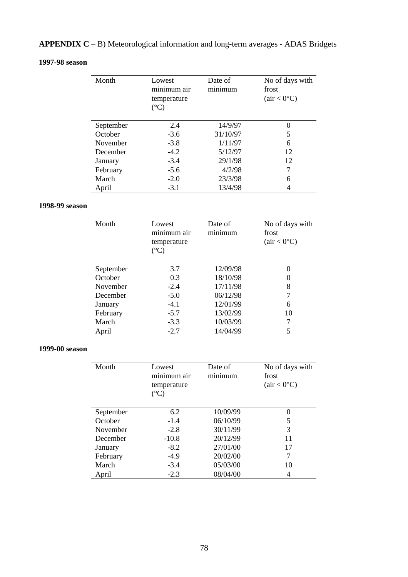# **APPENDIX C** – B) Meteorological information and long-term averages - ADAS Bridgets

### **1997-98 season**

| Month     | Lowest<br>minimum air<br>temperature<br>$({}^{\circ}C)$ | Date of<br>minimum | No of days with<br>frost<br>(air < 0°C) |
|-----------|---------------------------------------------------------|--------------------|-----------------------------------------|
| September | 2.4                                                     | 14/9/97            | 0                                       |
| October   | $-3.6$                                                  | 31/10/97           | 5                                       |
| November  | $-3.8$                                                  | 1/11/97            | 6                                       |
| December  | $-4.2$                                                  | 5/12/97            | 12                                      |
| January   | $-3.4$                                                  | 29/1/98            | 12                                      |
| February  | $-5.6$                                                  | 4/2/98             | 7                                       |
| March     | $-2.0$                                                  | 23/3/98            | 6                                       |
| April     | $-3.1$                                                  | 13/4/98            |                                         |

### **1998-99 season**

| Month     | Lowest<br>minimum air<br>temperature<br>$(^{\circ}C)$ | Date of<br>minimum | No of days with<br>frost<br>(air < 0°C) |
|-----------|-------------------------------------------------------|--------------------|-----------------------------------------|
| September | 3.7                                                   | 12/09/98           |                                         |
| October   | 0.3                                                   | 18/10/98           |                                         |
| November  | $-2.4$                                                | 17/11/98           | 8                                       |
| December  | $-5.0$                                                | 06/12/98           |                                         |
| January   | $-4.1$                                                | 12/01/99           | 6                                       |
| February  | $-5.7$                                                | 13/02/99           | 10                                      |
| March     | $-3.3$                                                | 10/03/99           |                                         |
| April     | $-2.7$                                                | 14/04/99           |                                         |

## **1999-00 season**

| Month     | Lowest<br>minimum air<br>temperature<br>$({}^\circ\mathrm{C})$ | Date of<br>minimum | No of days with<br>frost<br>(air < 0°C) |
|-----------|----------------------------------------------------------------|--------------------|-----------------------------------------|
| September | 6.2                                                            | 10/09/99           | 0                                       |
| October   | $-1.4$                                                         | 06/10/99           | 5                                       |
| November  | $-2.8$                                                         | 30/11/99           | 3                                       |
| December  | $-10.8$                                                        | 20/12/99           | 11                                      |
| January   | $-8.2$                                                         | 27/01/00           | 17                                      |
| February  | $-4.9$                                                         | 20/02/00           |                                         |
| March     | $-3.4$                                                         | 05/03/00           | 10                                      |
| April     | $-2.3$                                                         | 08/04/00           |                                         |